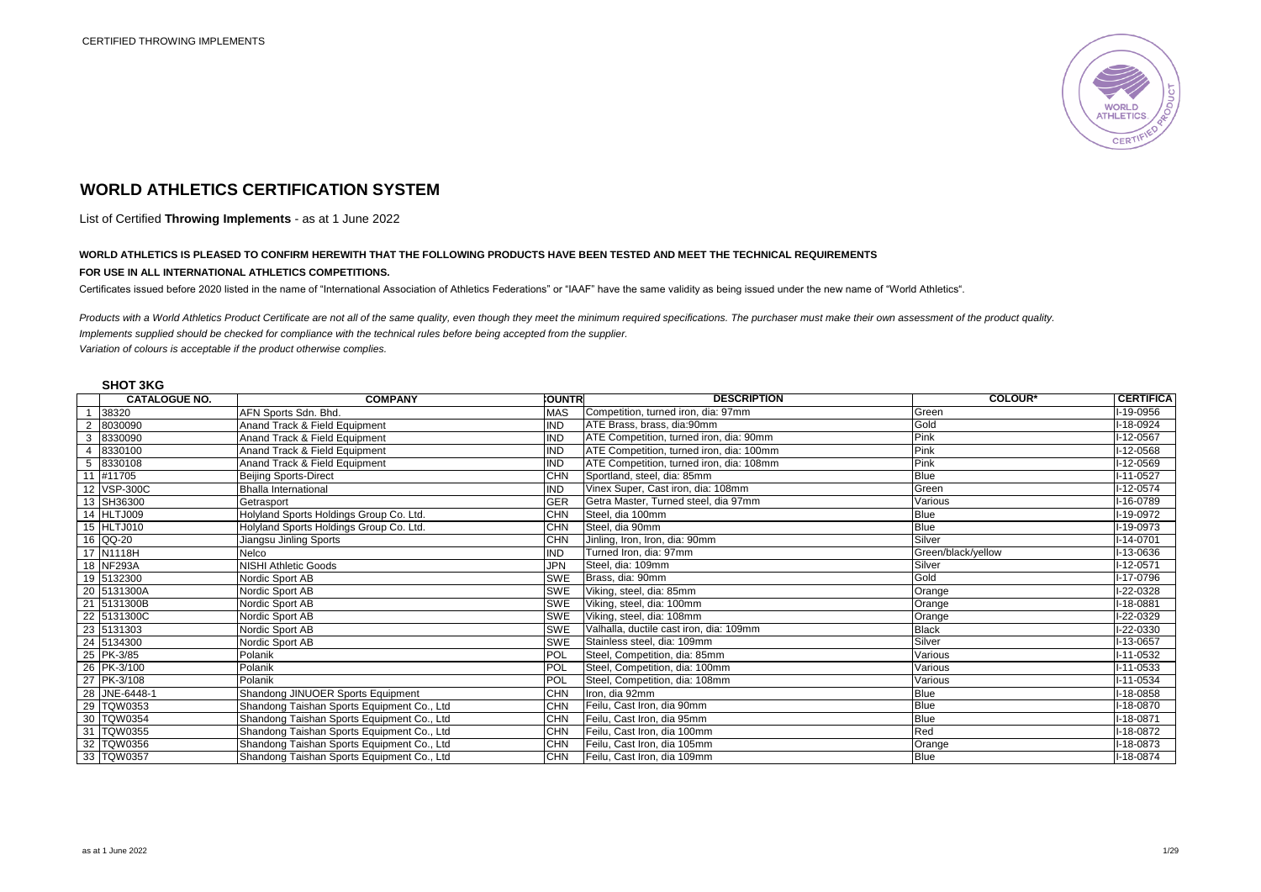

# **WORLD ATHLETICS CERTIFICATION SYSTEM**

List of Certified **Throwing Implements** - as at 1 June 2022

# **WORLD ATHLETICS IS PLEASED TO CONFIRM HEREWITH THAT THE FOLLOWING PRODUCTS HAVE BEEN TESTED AND MEET THE TECHNICAL REQUIREMENTS**

#### **FOR USE IN ALL INTERNATIONAL ATHLETICS COMPETITIONS.**

Certificates issued before 2020 listed in the name of "International Association of Athletics Federations" or "IAAF" have the same validity as being issued under the new name of "World Athletics".

*Products with a World Athletics Product Certificate are not all of the same quality, even though they meet the minimum required specifications. The purchaser must make their own assessment of the product quality. Implements supplied should be checked for compliance with the technical rules before being accepted from the supplier. Variation of colours is acceptable if the product otherwise complies.* 

### **SHOT 3KG**

|                | <b>CATALOGUE NO.</b> | <b>COMPANY</b>                             | <b>COUNTRI</b> | <b>DESCRIPTION</b>                       | <b>COLOUR*</b>     | <b>CERTIFICA</b> |
|----------------|----------------------|--------------------------------------------|----------------|------------------------------------------|--------------------|------------------|
|                | 38320                | AFN Sports Sdn. Bhd.                       | <b>MAS</b>     | Competition, turned iron, dia: 97mm      | Green              | I-19-0956        |
| 2              | 8030090              | Anand Track & Field Equipment              | IND            | ATE Brass, brass, dia:90mm               | Gold               | $I-18-0924$      |
| 3              | 8330090              | Anand Track & Field Equipment              | IND            | ATE Competition, turned iron, dia: 90mm  | Pink               | I-12-0567        |
| $\overline{A}$ | 8330100              | Anand Track & Field Equipment              | <b>ND</b>      | ATE Competition, turned iron, dia: 100mm | Pink               | I-12-0568        |
| 5              | 8330108              | Anand Track & Field Equipment              | <b>IND</b>     | ATE Competition, turned iron, dia: 108mm | Pink               | I-12-0569        |
|                | #11705               | <b>Beijing Sports-Direct</b>               | <b>CHN</b>     | Sportland, steel, dia: 85mm              | Blue               | $I-11-0527$      |
|                | 12 VSP-300C          | <b>Bhalla International</b>                | <b>IND</b>     | Vinex Super, Cast iron, dia: 108mm       | Green              | I-12-0574        |
|                | 13 SH36300           | Getrasport                                 | <b>GER</b>     | Getra Master, Turned steel, dia 97mm     | Various            | I-16-0789        |
|                | 14 HLTJ009           | Holyland Sports Holdings Group Co. Ltd.    | <b>CHN</b>     | Steel, dia 100mm                         | Blue               | $I-19-0972$      |
|                | 15 HLTJ010           | Holyland Sports Holdings Group Co. Ltd.    | <b>CHN</b>     | Steel, dia 90mm                          | Blue               | I-19-0973        |
|                | 16 QQ-20             | Jiangsu Jinling Sports                     | CHN            | Jinling, Iron, Iron, dia: 90mm           | Silver             | $I - 14 - 0701$  |
|                | 17 N1118H            | Nelco                                      | IND            | Turned Iron, dia: 97mm                   | Green/black/yellow | I-13-0636        |
|                | 18 NF293A            | <b>NISHI Athletic Goods</b>                | JPN            | Steel, dia: 109mm                        | Silver             | $I-12-0571$      |
|                | 19 5132300           | Nordic Sport AB                            | <b>SWE</b>     | Brass, dia: 90mm                         | Gold               | I-17-0796        |
|                | 20 5131300A          | Nordic Sport AB                            | <b>SWE</b>     | Viking, steel, dia: 85mm                 | Orange             | I-22-0328        |
|                | 21 5131300B          | Nordic Sport AB                            | <b>SWE</b>     | Viking, steel, dia: 100mm                | Orange             | $I-18-0881$      |
|                | 22 5131300C          | Nordic Sport AB                            | <b>SWE</b>     | Viking, steel, dia: 108mm                | Orange             | I-22-0329        |
|                | 23 5131303           | Nordic Sport AB                            | <b>SWE</b>     | Valhalla, ductile cast iron, dia: 109mm  | <b>Black</b>       | I-22-0330        |
|                | 24 5134300           | Nordic Sport AB                            | <b>SWE</b>     | Stainless steel, dia: 109mm              | Silver             | I-13-0657        |
|                | 25 PK-3/85           | Polanik                                    | <b>POL</b>     | Steel, Competition, dia: 85mm            | Various            | $1-11-0532$      |
|                | 26 PK-3/100          | Polanik                                    | POL            | Steel, Competition, dia: 100mm           | Various            | $I-11-0533$      |
|                | 27 PK-3/108          | Polanik                                    | POL            | Steel, Competition, dia: 108mm           | Various            | $I-11-0534$      |
|                | 28 JNE-6448-1        | Shandong JINUOER Sports Equipment          | <b>CHN</b>     | Iron, dia 92mm                           | Blue               | I-18-0858        |
|                | 29 TQW0353           | Shandong Taishan Sports Equipment Co., Ltd | <b>CHN</b>     | Feilu, Cast Iron, dia 90mm               | <b>Blue</b>        | $I-18-0870$      |
|                | 30 TQW0354           | Shandong Taishan Sports Equipment Co., Ltd | <b>CHN</b>     | Feilu, Cast Iron, dia 95mm               | Blue               | I-18-0871        |
|                | 31 TQW0355           | Shandong Taishan Sports Equipment Co., Ltd | <b>CHN</b>     | Feilu, Cast Iron, dia 100mm              | Red                | I-18-0872        |
|                | 32 TQW0356           | Shandong Taishan Sports Equipment Co., Ltd | CHN            | Feilu, Cast Iron, dia 105mm              | Orange             | I-18-0873        |
|                | 33 TQW0357           | Shandong Taishan Sports Equipment Co., Ltd | <b>CHN</b>     | Feilu, Cast Iron, dia 109mm              | Blue               | I-18-0874        |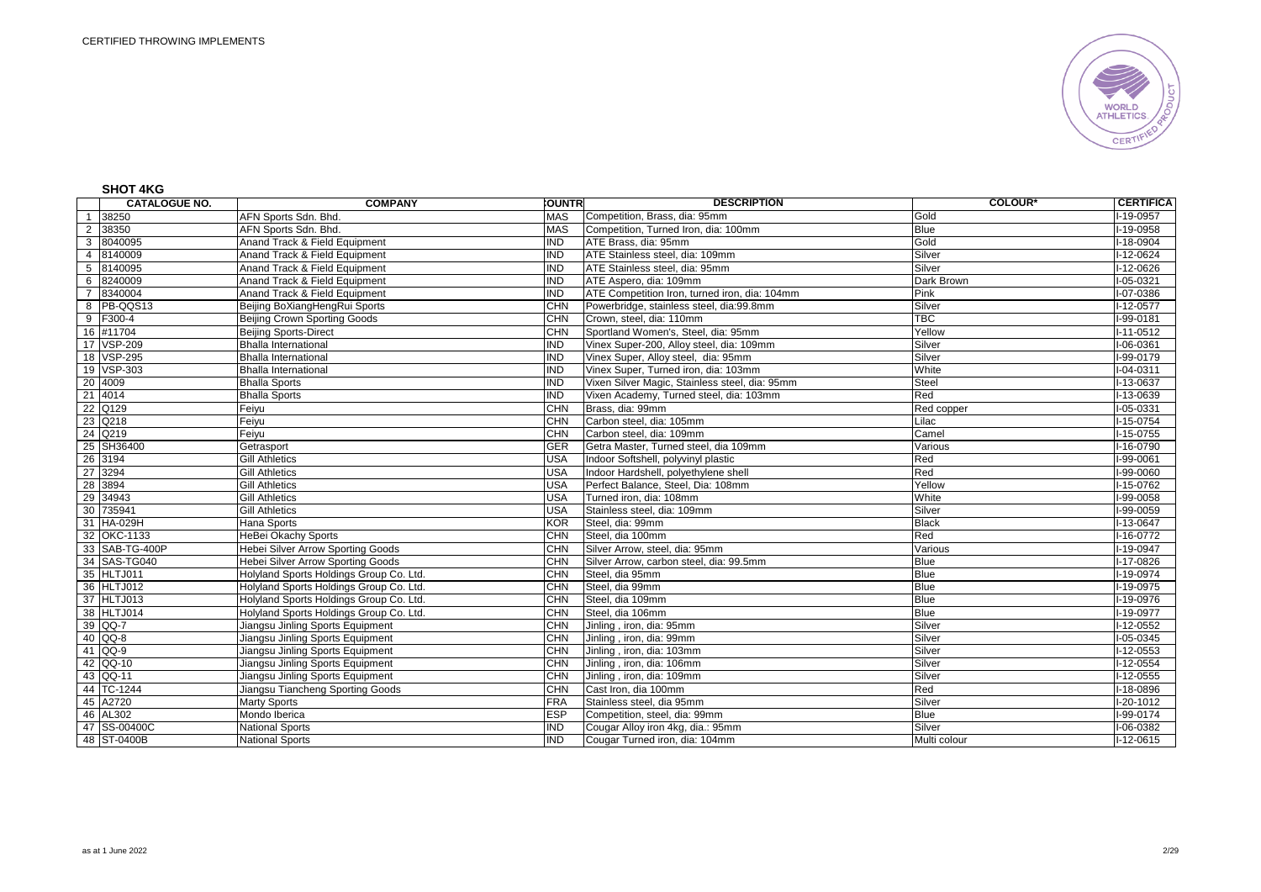

## **SHOT 4KG**

|                | <b>CATALOGUE NO.</b> | <b>COMPANY</b>                          | <b>COUNTRI</b> | <b>DESCRIPTION</b>                             | <b>COLOUR*</b> | <b>CERTIFICA</b> |
|----------------|----------------------|-----------------------------------------|----------------|------------------------------------------------|----------------|------------------|
|                | 1 38250              | AFN Sports Sdn. Bhd.                    | <b>MAS</b>     | Competition, Brass, dia: 95mm                  | Gold           | $-19 - 0957$     |
|                | 2 38350              | AFN Sports Sdn. Bhd.                    | <b>MAS</b>     | Competition, Turned Iron, dia: 100mm           | <b>Blue</b>    | $1-19-0958$      |
| 3              | 8040095              | Anand Track & Field Equipment           | IND            | ATE Brass, dia: 95mm                           | Gold           | $-18 - 0904$     |
|                | 4 8140009            | Anand Track & Field Equipment           | IND            | ATE Stainless steel, dia: 109mm                | Silver         | $-12 - 0624$     |
|                | 5 8140095            | Anand Track & Field Equipment           | <b>IND</b>     | ATE Stainless steel, dia: 95mm                 | Silver         | I-12-0626        |
| 6              | 8240009              | Anand Track & Field Equipment           | <b>IND</b>     | ATE Aspero, dia: 109mm                         | Dark Brown     | $1 - 05 - 0321$  |
| $\overline{7}$ | 8340004              | Anand Track & Field Equipment           | <b>IND</b>     | ATE Competition Iron, turned iron, dia: 104mm  | Pink           | I-07-0386        |
|                | 8 PB-QQS13           | Beijing BoXiangHengRui Sports           | <b>CHN</b>     | Powerbridge, stainless steel, dia:99.8mm       | Silver         | $1-12-0577$      |
|                | 9 F300-4             | Beijing Crown Sporting Goods            | <b>CHN</b>     | Crown, steel, dia: 110mm                       | <b>TBC</b>     | $1-99-0181$      |
|                | 16 #11704            | <b>Beijing Sports-Direct</b>            | <b>CHN</b>     | Sportland Women's, Steel, dia: 95mm            | Yellow         | $I-11-0512$      |
|                | 17 VSP-209           | <b>Bhalla International</b>             | IND            | Vinex Super-200, Alloy steel, dia: 109mm       | Silver         | $I-06-0361$      |
|                | 18 VSP-295           | <b>Bhalla International</b>             | <b>IND</b>     | Vinex Super, Alloy steel, dia: 95mm            | Silver         | I-99-0179        |
|                | 19 VSP-303           | <b>Bhalla International</b>             | <b>IND</b>     | Vinex Super, Turned iron, dia: 103mm           | White          | I-04-0311        |
|                | 20 4009              | <b>Bhalla Sports</b>                    | IND            | Vixen Silver Magic, Stainless steel, dia: 95mm | <b>Steel</b>   | I-13-0637        |
|                | 21 4014              | <b>Bhalla Sports</b>                    | <b>IND</b>     | Vixen Academy, Turned steel, dia: 103mm        | Red            | I-13-0639        |
|                | 22 Q129              | Feiyu                                   | <b>CHN</b>     | Brass, dia: 99mm                               | Red copper     | I-05-0331        |
|                | 23 Q218              | Feiyu                                   | <b>CHN</b>     | Carbon steel, dia: 105mm                       | Lilac          | $1 - 15 - 0754$  |
|                | 24 Q219              | Feiyu                                   | <b>CHN</b>     | Carbon steel, dia: 109mm                       | Camel          | $1 - 15 - 0755$  |
|                | 25 SH36400           | Getrasport                              | <b>GER</b>     | Getra Master, Turned steel, dia 109mm          | Various        | $1 - 16 - 0790$  |
|                | 26 3194              | <b>Gill Athletics</b>                   | <b>USA</b>     | Indoor Softshell, polyvinyl plastic            | Red            | I-99-0061        |
|                | 27 3294              | <b>Gill Athletics</b>                   | USA            | Indoor Hardshell, polyethylene shell           | Red            | I-99-0060        |
|                | 28 3894              | <b>Gill Athletics</b>                   | USA            | Perfect Balance, Steel, Dia: 108mm             | Yellow         | $I-15-0762$      |
|                | 29 34943             | <b>Gill Athletics</b>                   | <b>USA</b>     | Turned iron, dia: 108mm                        | White          | I-99-0058        |
|                | 30 735941            | <b>Gill Athletics</b>                   | <b>USA</b>     | Stainless steel, dia: 109mm                    | Silver         | I-99-0059        |
|                | 31 HA-029H           | Hana Sports                             | KOR            | Steel, dia: 99mm                               | <b>Black</b>   | I-13-0647        |
|                | 32 OKC-1133          | HeBei Okachy Sports                     | <b>CHN</b>     | Steel, dia 100mm                               | Red            | $-16-0772$       |
|                | 33 SAB-TG-400P       | Hebei Silver Arrow Sporting Goods       | <b>CHN</b>     | Silver Arrow, steel, dia: 95mm                 | Various        | $-19 - 0947$     |
|                | 34 SAS-TG040         | Hebei Silver Arrow Sporting Goods       | <b>CHN</b>     | Silver Arrow, carbon steel, dia: 99.5mm        | <b>Blue</b>    | I-17-0826        |
|                | 35 HLTJ011           | Holyland Sports Holdings Group Co. Ltd. | CHN            | Steel, dia 95mm                                | <b>Blue</b>    | $1-19-0974$      |
|                | 36 HLTJ012           | Holyland Sports Holdings Group Co. Ltd. | CHN            | Steel, dia 99mm                                | <b>Blue</b>    | $-19 - 0975$     |
|                | 37 HLTJ013           | Holyland Sports Holdings Group Co. Ltd. | <b>CHN</b>     | Steel, dia 109mm                               | <b>Blue</b>    | I-19-0976        |
|                | 38 HLTJ014           | Holyland Sports Holdings Group Co. Ltd. | <b>CHN</b>     | Steel. dia 106mm                               | <b>Blue</b>    | $-19-0977$       |
|                | 39 QQ-7              | Jiangsu Jinling Sports Equipment        | <b>CHN</b>     | Jinling, iron, dia: 95mm                       | Silver         | $-12 - 0552$     |
|                | 40 QQ-8              | Jiangsu Jinling Sports Equipment        | <b>CHN</b>     | Jinling, iron, dia: 99mm                       | Silver         | $I-05-0345$      |
|                | 41 QQ-9              | Jiangsu Jinling Sports Equipment        | <b>CHN</b>     | Jinling, iron, dia: 103mm                      | Silver         | I-12-0553        |
|                | 42 QQ-10             | Jiangsu Jinling Sports Equipment        | <b>CHN</b>     | Jinling, iron, dia: 106mm                      | Silver         | $-12 - 0554$     |
|                | 43 QQ-11             | Jiangsu Jinling Sports Equipment        | <b>CHN</b>     | Jinling, iron, dia: 109mm                      | Silver         | $-12 - 0555$     |
|                | 44 TC-1244           | Jiangsu Tiancheng Sporting Goods        | <b>CHN</b>     | Cast Iron, dia 100mm                           | Red            | I-18-0896        |
|                | 45 A2720             | <b>Marty Sports</b>                     | <b>FRA</b>     | Stainless steel, dia 95mm                      | Silver         | I-20-1012        |
|                | 46 AL302             | Mondo Iberica                           | <b>ESP</b>     | Competition, steel, dia: 99mm                  | <b>Blue</b>    | $I-99-0174$      |
|                | 47 SS-00400C         | <b>National Sports</b>                  | IND            | Cougar Alloy iron 4kg, dia.: 95mm              | Silver         | I-06-0382        |
|                | 48 ST-0400B          | <b>National Sports</b>                  | <b>IND</b>     | Cougar Turned iron, dia: 104mm                 | Multi colour   | $I-12-0615$      |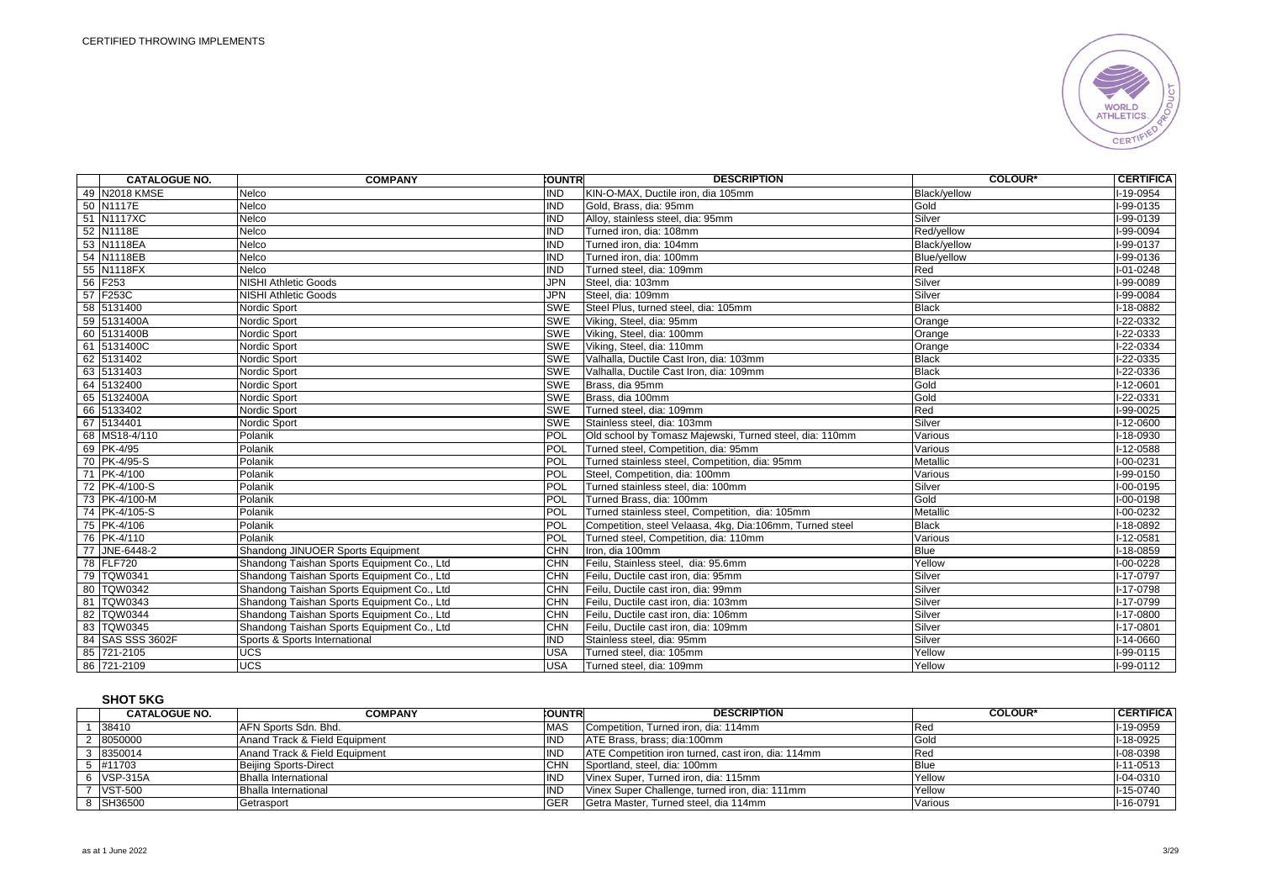

| <b>CATALOGUE NO.</b> | <b>COMPANY</b>                              | <b>COUNTR</b> | <b>DESCRIPTION</b>                                       | <b>COLOUR*</b> | <b>CERTIFICA</b> |
|----------------------|---------------------------------------------|---------------|----------------------------------------------------------|----------------|------------------|
| 49 N2018 KMSE        | Nelco                                       | <b>IND</b>    | KIN-O-MAX, Ductile iron, dia 105mm                       | Black/yellow   | I-19-0954        |
| 50 N1117E            | Nelco                                       | <b>IND</b>    | Gold, Brass, dia: 95mm                                   | Gold           | I-99-0135        |
| 51 N1117XC           | Nelco                                       | <b>IND</b>    | Alloy, stainless steel, dia: 95mm                        | Silver         | I-99-0139        |
| 52 N1118E            | Nelco                                       | <b>IND</b>    | Turned iron, dia: 108mm                                  | Red/vellow     | I-99-0094        |
| 53 N1118EA           | Nelco                                       | <b>IND</b>    | Turned iron, dia: 104mm                                  | Black/yellow   | I-99-0137        |
| 54 N1118EB           | Nelco                                       | <b>IND</b>    | Turned iron, dia: 100mm                                  | Blue/yellow    | I-99-0136        |
| 55 N1118FX           | Nelco                                       | IND           | Turned steel, dia: 109mm                                 | Red            | I-01-0248        |
| 56 F253              | <b>NISHI Athletic Goods</b>                 | <b>JPN</b>    | Steel. dia: 103mm                                        | Silver         | $-99 - 0089$     |
| 57 F253C             | <b>NISHI Athletic Goods</b>                 | <b>JPN</b>    | Steel. dia: 109mm                                        | Silver         | I-99-0084        |
| 58 5131400           | Nordic Sport                                | <b>SWE</b>    | Steel Plus, turned steel, dia: 105mm                     | <b>Black</b>   | I-18-0882        |
| 59 5131400A          | Nordic Sport                                | <b>SWE</b>    | Viking, Steel, dia: 95mm                                 | Orange         | I-22-0332        |
| 60 5131400B          | Nordic Sport                                | SWE           | Viking, Steel, dia: 100mm                                | Orange         | I-22-0333        |
| 61 5131400C          | Nordic Sport                                | <b>SWE</b>    | Viking, Steel, dia: 110mm                                | Orange         | I-22-0334        |
| 62 5131402           | Nordic Sport                                | <b>SWE</b>    | Valhalla, Ductile Cast Iron, dia: 103mm                  | <b>Black</b>   | $1-22-0335$      |
| 63 5131403           | Nordic Sport                                | <b>SWE</b>    | Valhalla, Ductile Cast Iron, dia: 109mm                  | <b>Black</b>   | $I-22-0336$      |
| 64 5132400           | Nordic Sport                                | <b>SWE</b>    | Brass, dia 95mm                                          | Gold           | I-12-0601        |
| 65 5132400A          | Nordic Sport                                | <b>SWE</b>    | Brass, dia 100mm                                         | Gold           | I-22-0331        |
| 66 5133402           | Nordic Sport                                | <b>SWE</b>    | Turned steel, dia: 109mm                                 | Red            | $I-99-0025$      |
| 67 5134401           | Nordic Sport                                | <b>SWE</b>    | Stainless steel, dia: 103mm                              | Silver         | $I-12-0600$      |
| 68 MS18-4/110        | Polanik                                     | <b>POL</b>    | Old school by Tomasz Majewski, Turned steel, dia: 110mm  | Various        | I-18-0930        |
| 69 PK-4/95           | Polanik                                     | POL           | Turned steel, Competition, dia: 95mm                     | Various        | $I-12-0588$      |
| 70 PK-4/95-S         | Polanik                                     | <b>POL</b>    | Turned stainless steel, Competition, dia: 95mm           | Metallic       | $I - 00 - 0231$  |
| 71 PK-4/100          | Polanik                                     | <b>POL</b>    | Steel, Competition, dia: 100mm                           | Various        | $I-99-0150$      |
| 72 PK-4/100-S        | Polanik                                     | POL           | Turned stainless steel, dia: 100mm                       | Silver         | I-00-0195        |
| 73 PK-4/100-M        | Polanik                                     | <b>POL</b>    | Turned Brass, dia: 100mm                                 | Gold           | $I-00-0198$      |
| 74 PK-4/105-S        | Polanik                                     | <b>POL</b>    | Turned stainless steel, Competition, dia: 105mm          | Metallic       | $I-00-0232$      |
| 75 PK-4/106          | Polanik                                     | <b>POL</b>    | Competition, steel Velaasa, 4kg, Dia:106mm, Turned steel | <b>Black</b>   | I-18-0892        |
| 76 PK-4/110          | Polanik                                     | <b>POL</b>    | Turned steel, Competition, dia: 110mm                    | Various        | I-12-0581        |
| 77 JNE-6448-2        | Shandong JINUOER Sports Equipment           | <b>CHN</b>    | Iron, dia 100mm                                          | <b>Blue</b>    | $I-18-0859$      |
| 78 FLF720            | Shandong Taishan Sports Equipment Co., Ltd  | <b>CHN</b>    | Feilu, Stainless steel, dia: 95.6mm                      | Yellow         | $I-00-0228$      |
| 79 TQW0341           | Shandong Taishan Sports Equipment Co., Ltd  | CHN           | Feilu. Ductile cast iron. dia: 95mm                      | Silver         | I-17-0797        |
| 80 TQW0342           | Shandong Taishan Sports Equipment Co., Ltd  | <b>CHN</b>    | Feilu. Ductile cast iron. dia: 99mm                      | Silver         | I-17-0798        |
| 81 TQW0343           | Shandong Taishan Sports Equipment Co., Ltd. | <b>CHN</b>    | Feilu, Ductile cast iron, dia: 103mm                     | Silver         | I-17-0799        |
| 82 TQW0344           | Shandong Taishan Sports Equipment Co., Ltd  | <b>CHN</b>    | Feilu, Ductile cast iron, dia: 106mm                     | Silver         | $I-17-0800$      |
| 83 TQW0345           | Shandong Taishan Sports Equipment Co., Ltd  | <b>CHN</b>    | Feilu, Ductile cast iron, dia: 109mm                     | Silver         | I-17-0801        |
| 84 SAS SSS 3602F     | Sports & Sports International               | <b>IND</b>    | Stainless steel, dia: 95mm                               | Silver         | $I-14-0660$      |
| 85 721-2105          | <b>UCS</b>                                  | <b>USA</b>    | Turned steel, dia: 105mm                                 | Yellow         | I-99-0115        |
| 86 721-2109          | UCS                                         | <b>USA</b>    | Turned steel, dia: 109mm                                 | Yellow         | I-99-0112        |

# **SHOT 5KG**

| <b>CATALOGUE NO.</b>  | <b>COMPANY</b>                | <b>COUNTR</b> | <b>DESCRIPTION</b>                                 | <b>COLOUR*</b> | <b>CERTIFICA</b> |
|-----------------------|-------------------------------|---------------|----------------------------------------------------|----------------|------------------|
| 38410                 | AFN Sports Sdn. Bhd.          | <b>MAS</b>    | Competition, Turned iron, dia: 114mm               | <b>Red</b>     | I-19-0959        |
| 8050000               | Anand Track & Field Equipment | <b>IND</b>    | ATE Brass, brass; dia:100mm                        | Gold           | I-18-0925        |
| 8350014               | Anand Track & Field Equipment | <b>IND</b>    | ATE Competition iron turned, cast iron, dia: 114mm | <b>Red</b>     | I-08-0398        |
| $5 \frac{1411703}{ }$ | Beijing Sports-Direct         | <b>CHN</b>    | Sportland, steel, dia: 100mm                       | l Blue         | I-11-0513        |
| <b>VSP-315A</b>       | <b>Bhalla International</b>   | <b>IND</b>    | Vinex Super, Turned iron, dia: 115mm               | Yellow         | I-04-0310        |
| <b>VST-500</b>        | <b>Bhalla International</b>   | IND           | Vinex Super Challenge, turned iron, dia: 111mm     | Yellow         | I-15-0740        |
| SH36500               | Getrasport                    | <b>GER</b>    | Getra Master, Turned steel, dia 114mm              | Various        | I-16-0791        |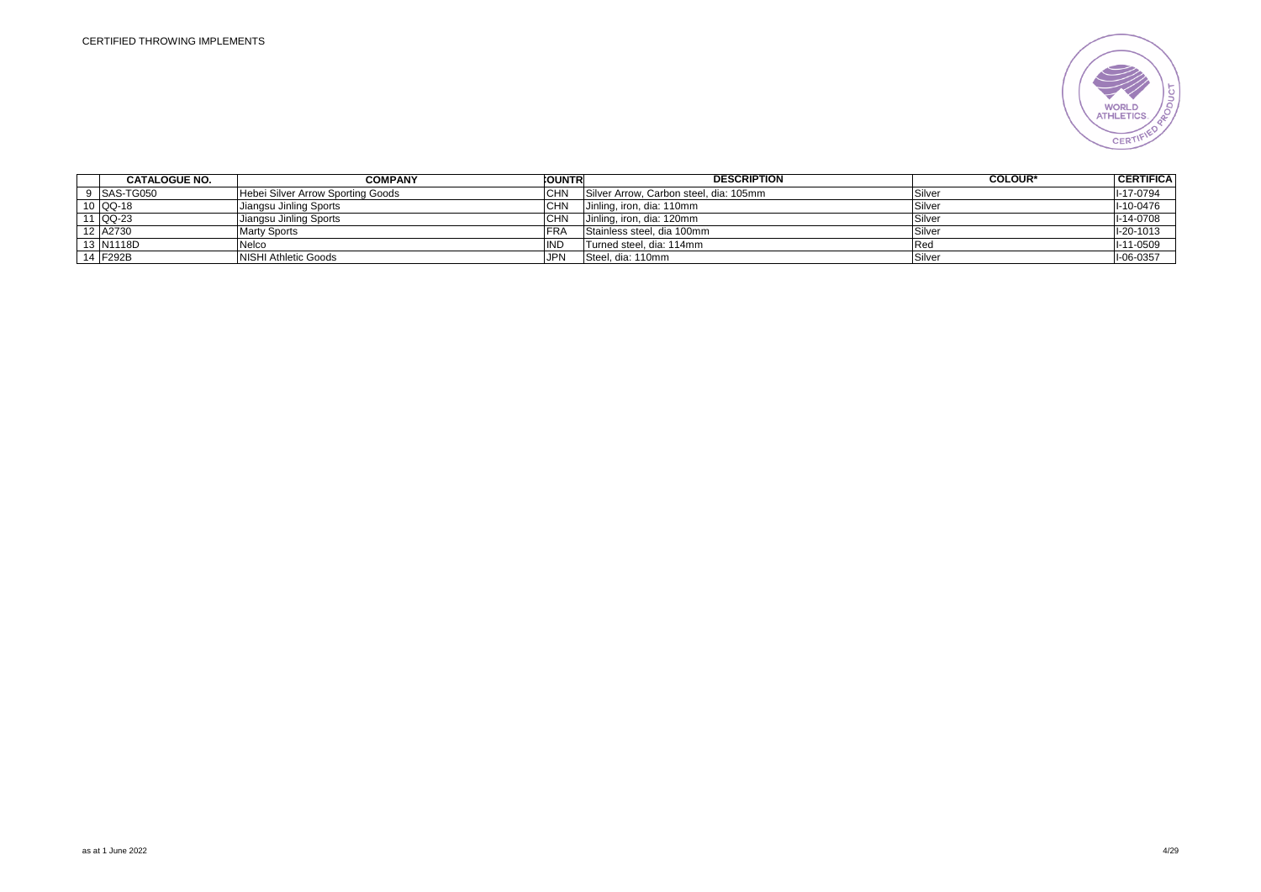

| <b>CATALOGUE NO.</b> | COMPANY                           | <b>COUNTR</b> | <b>DESCRIPTION</b>                     | <b>COLOUR*</b> | <b>CERTIFICA</b> |
|----------------------|-----------------------------------|---------------|----------------------------------------|----------------|------------------|
| 9 SAS-TG050          | Hebei Silver Arrow Sporting Goods | CHN           | Silver Arrow, Carbon steel, dia: 105mm | Silver         | I-17-0794        |
| 10 QQ-18             | Jiangsu Jinling Sports            | CHN           | Jinling, iron, dia: 110mm              | Silver         | I-10-0476        |
| $1$ QQ-23            | Jiangsu Jinling Sports            | <b>CHN</b>    | Jinling, iron, dia: 120mm              | Silver         | I-14-0708        |
| 12 A2730             | <b>Marty Sports</b>               | <b>FRA</b>    | Stainless steel, dia 100mm             | Silver         | I-20-1013        |
| 13 N1118D            | Nelco                             | IND           | Turned steel, dia: 114mm               | l Rec          | $I-11-0509$      |
| 14 F292B             | NISHI Athletic Goods              | <b>JPN</b>    | Steel, dia: 110mm                      | Silver         | I-06-0357        |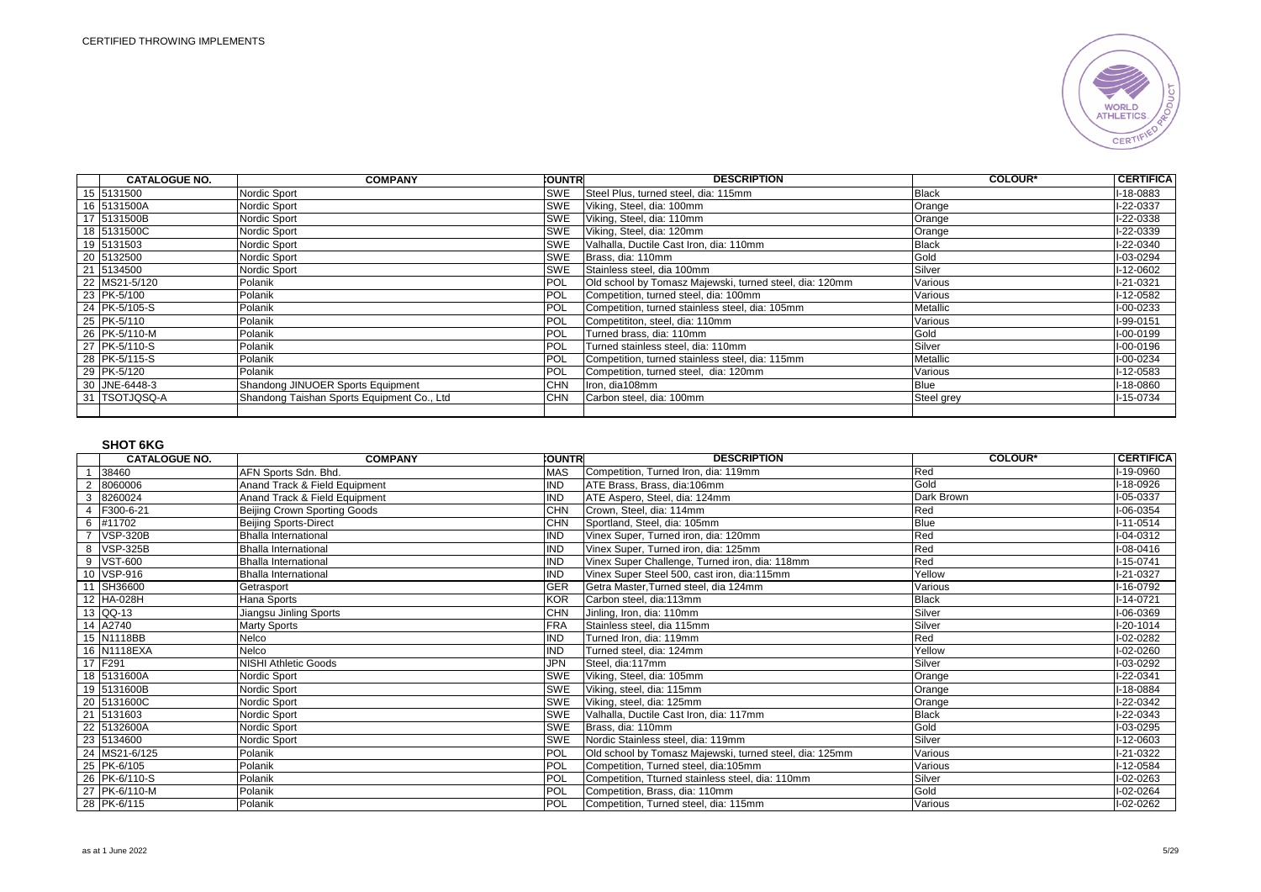

| <b>CATALOGUE NO.</b> | <b>COMPANY</b>                             | <b>COUNTRI</b> | <b>DESCRIPTION</b>                                      | <b>COLOUR*</b> | <b>CERTIFICA</b> |
|----------------------|--------------------------------------------|----------------|---------------------------------------------------------|----------------|------------------|
| 15 5131500           | Nordic Sport                               | SWE            | Steel Plus, turned steel, dia: 115mm                    | <b>Black</b>   | I-18-0883        |
| 16 5131500A          | Nordic Sport                               | <b>SWE</b>     | Viking, Steel, dia: 100mm                               | Orange         | I-22-0337        |
| 17 5131500B          | Nordic Sport                               | SWE            | Viking, Steel, dia: 110mm                               | Orange         | I-22-0338        |
| 18 5131500C          | Nordic Sport                               | SWE            | Viking, Steel, dia: 120mm                               | Orange         | I-22-0339        |
| 19 5131503           | Nordic Sport                               | SWE            | Valhalla, Ductile Cast Iron, dia: 110mm                 | <b>Black</b>   | I-22-0340        |
| 20 5132500           | Nordic Sport                               | SWE            | Brass, dia: 110mm                                       | Gold           | I-03-0294        |
| 21 5134500           | Nordic Sport                               | <b>SWE</b>     | Stainless steel, dia 100mm                              | Silver         | I-12-0602        |
| 22 MS21-5/120        | Polanik                                    | POL            | Old school by Tomasz Majewski, turned steel, dia: 120mm | Various        | I-21-0321        |
| 23 PK-5/100          | Polanik                                    | POL            | Competition, turned steel, dia: 100mm                   | Various        | I-12-0582        |
| 24 PK-5/105-S        | Polanik                                    | POL            | Competition, turned stainless steel, dia: 105mm         | Metallic       | I-00-0233        |
| 25 PK-5/110          | Polanik                                    | POL            | Competititon, steel, dia: 110mm                         | Various        | I-99-0151        |
| 26 PK-5/110-M        | Polanik                                    | POL            | Turned brass, dia: 110mm                                | Gold           | I-00-0199        |
| 27 PK-5/110-S        | Polanik                                    | POL            | Turned stainless steel, dia: 110mm                      | Silver         | I-00-0196        |
| 28 PK-5/115-S        | Polanik                                    | POL            | Competition, turned stainless steel, dia: 115mm         | Metallic       | I-00-0234        |
| 29 PK-5/120          | Polanik                                    | POL            | Competition, turned steel, dia: 120mm                   | Various        | I-12-0583        |
| 30 JNE-6448-3        | Shandong JINUOER Sports Equipment          | CHN            | Iron, dia108mm                                          | <b>Blue</b>    | I-18-0860        |
| 31 TSOTJQSQ-A        | Shandong Taishan Sports Equipment Co., Ltd | <b>CHN</b>     | Carbon steel, dia: 100mm                                | Steel grey     | I-15-0734        |
|                      |                                            |                |                                                         |                |                  |

## **SHOT 6KG**

|   | <b>CATALOGUE NO.</b> | <b>COMPANY</b>                | <b>CUNTR</b> | <b>DESCRIPTION</b>                                      | <b>COLOUR*</b> | <b>CERTIFICA</b> |
|---|----------------------|-------------------------------|--------------|---------------------------------------------------------|----------------|------------------|
|   | 38460                | AFN Sports Sdn. Bhd.          | <b>MAS</b>   | Competition, Turned Iron, dia: 119mm                    | Red            | I-19-0960        |
|   | 8060006              | Anand Track & Field Equipment | <b>IND</b>   | ATE Brass, Brass, dia:106mm                             | Gold           | I-18-0926        |
| 3 | 8260024              | Anand Track & Field Equipment | <b>IND</b>   | ATE Aspero, Steel, dia: 124mm                           | Dark Brown     | I-05-0337        |
| 4 | F300-6-21            | Beijing Crown Sporting Goods  | <b>CHN</b>   | Crown. Steel. dia: 114mm                                | Red            | I-06-0354        |
|   | 6 #11702             | <b>Beijing Sports-Direct</b>  | CHN          | Sportland, Steel, dia: 105mm                            | Blue           | $I-11-0514$      |
|   | 7 VSP-320B           | <b>Bhalla International</b>   | <b>IND</b>   | Vinex Super, Turned iron, dia: 120mm                    | Red            | I-04-0312        |
|   | 8 VSP-325B           | <b>Bhalla International</b>   | <b>IND</b>   | Vinex Super, Turned iron, dia: 125mm                    | Red            | I-08-0416        |
|   | 9 VST-600            | <b>Bhalla International</b>   | <b>IND</b>   | Vinex Super Challenge, Turned iron, dia: 118mm          | Red            | $I-15-0741$      |
|   | 10 VSP-916           | <b>Bhalla International</b>   | <b>IND</b>   | Vinex Super Steel 500, cast iron, dia:115mm             | Yellow         | I-21-0327        |
|   | 11 SH36600           | Getrasport                    | <b>GER</b>   | Getra Master, Turned steel, dia 124mm                   | Various        | I-16-0792        |
|   | 12 HA-028H           | Hana Sports                   | <b>KOR</b>   | Carbon steel, dia:113mm                                 | <b>Black</b>   | $I-14-0721$      |
|   | 13 QQ-13             | Jiangsu Jinling Sports        | CHN          | Jinling, Iron, dia: 110mm                               | Silver         | I-06-0369        |
|   | 14 A2740             | <b>Marty Sports</b>           | <b>FRA</b>   | Stainless steel, dia 115mm                              | Silver         | $I-20-1014$      |
|   | 15 N1118BB           | Nelco                         | <b>IND</b>   | Turned Iron, dia: 119mm                                 | Red            | I-02-0282        |
|   | 16 N1118EXA          | Nelco                         | <b>IND</b>   | Turned steel, dia: 124mm                                | Yellow         | I-02-0260        |
|   | 17 F291              | <b>NISHI Athletic Goods</b>   | <b>JPN</b>   | Steel, dia:117mm                                        | Silver         | I-03-0292        |
|   | 18 5131600A          | Nordic Sport                  | <b>SWE</b>   | Viking, Steel, dia: 105mm                               | Orange         | I-22-0341        |
|   | 19 5131600B          | Nordic Sport                  | <b>SWE</b>   | Viking, steel, dia: 115mm                               | Orange         | I-18-0884        |
|   | 20 5131600C          | Nordic Sport                  | <b>SWE</b>   | Viking, steel, dia: 125mm                               | Orange         | I-22-0342        |
|   | 21 5131603           | Nordic Sport                  | <b>SWE</b>   | Valhalla, Ductile Cast Iron, dia: 117mm                 | <b>Black</b>   | I-22-0343        |
|   | 22 5132600A          | Nordic Sport                  | <b>SWE</b>   | Brass, dia: 110mm                                       | Gold           | I-03-0295        |
|   | 23 5134600           | Nordic Sport                  | <b>SWE</b>   | Nordic Stainless steel, dia: 119mm                      | Silver         | I-12-0603        |
|   | 24 MS21-6/125        | Polanik                       | <b>POL</b>   | Old school by Tomasz Majewski, turned steel, dia: 125mm | Various        | I-21-0322        |
|   | 25 PK-6/105          | Polanik                       | <b>POL</b>   | Competition, Turned steel, dia:105mm                    | Various        | I-12-0584        |
|   | 26 PK-6/110-S        | Polanik                       | POL          | Competition, Tturned stainless steel, dia: 110mm        | Silver         | I-02-0263        |
|   | 27 PK-6/110-M        | Polanik                       | POL          | Competition, Brass, dia: 110mm                          | Gold           | I-02-0264        |
|   | 28 PK-6/115          | Polanik                       | POL          | Competition, Turned steel, dia: 115mm                   | Various        | I-02-0262        |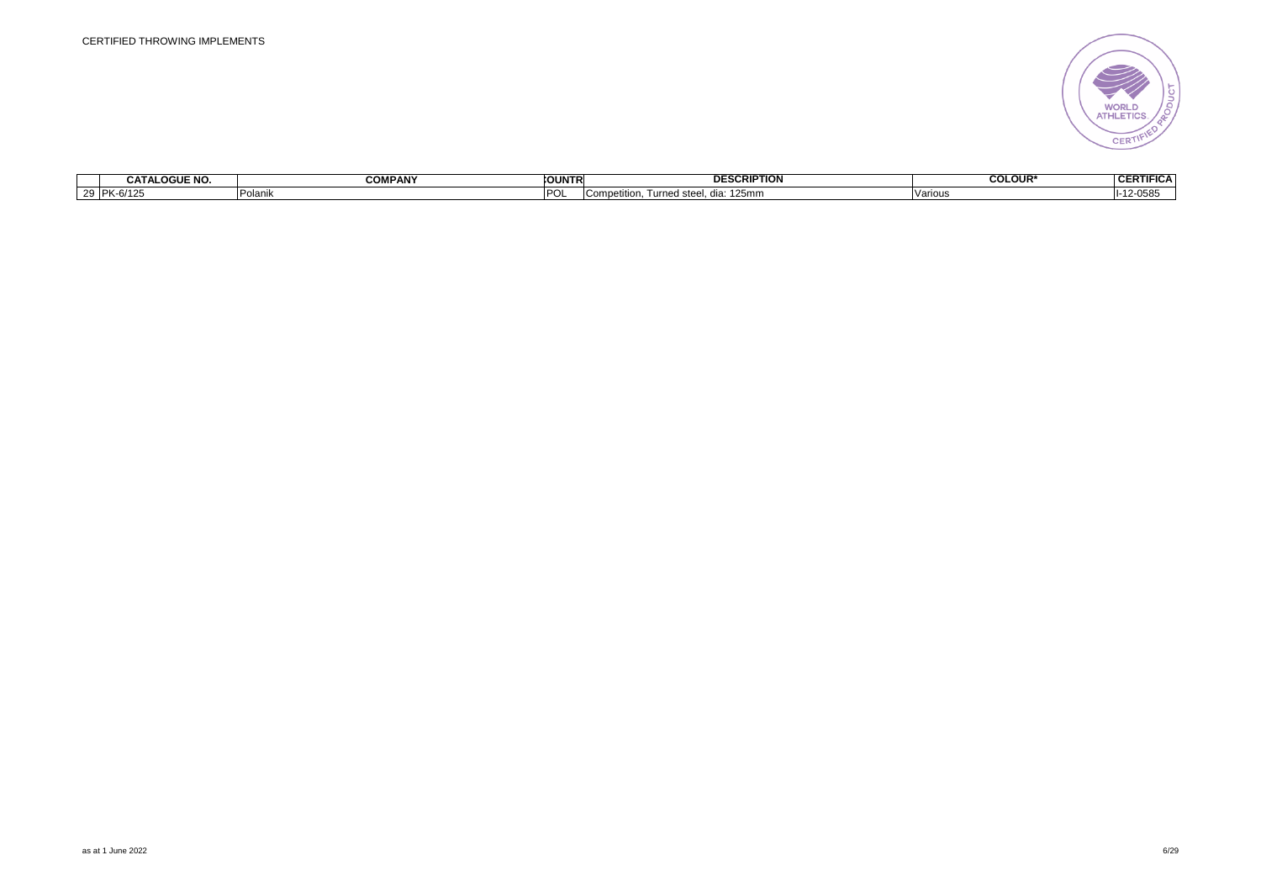

| <b>CATALOGUE NO.</b>  | COMPANY        | <b>COUNTH</b> | <b>DESCRIPTION</b>                                        | <b>COLOUR</b> | <b>CEDTI</b><br>$\overline{\mathbf{r}}$<br>IIFICA<br>VER. |
|-----------------------|----------------|---------------|-----------------------------------------------------------|---------------|-----------------------------------------------------------|
| $IDK_6/12$<br>707 I Z | . .<br>Polanik |               | .125m<br>d ste<br>betitior<br>™urne、<br>. dia:<br>1491111 | Variou:       | $-055$<br>H-1                                             |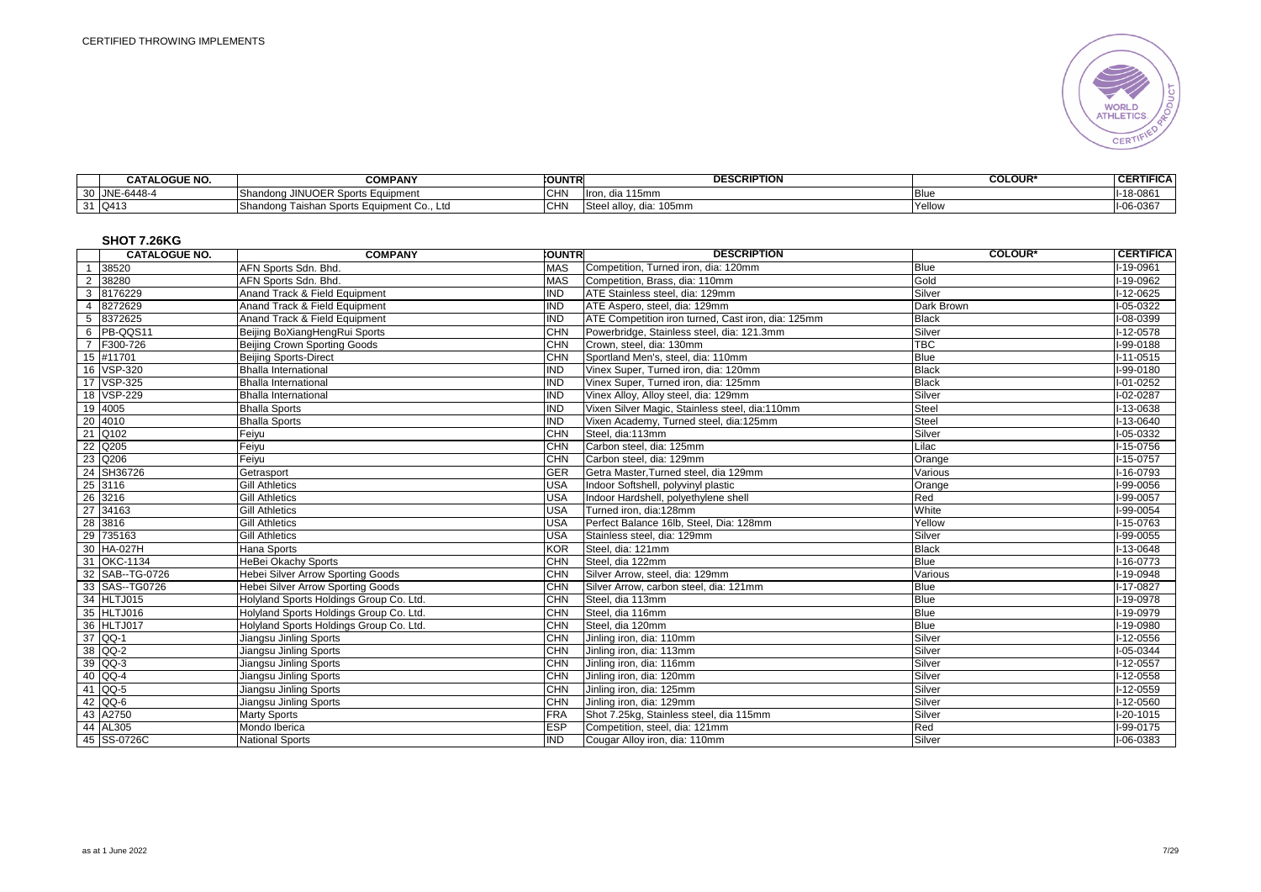

| <b>CATALOGUE NO.</b> | <b>COMPANY</b>                                                           | <b>FOUNTR</b>    | <b>DESCRIPTION</b>             | <b>COLOUR*</b> | <b>CERTIFICA</b> |
|----------------------|--------------------------------------------------------------------------|------------------|--------------------------------|----------------|------------------|
| JNE-6448-4           | $'$ IOED $\mathcal{C}_{\mathbf{D}}$<br>JINUOER Sports Eauipment<br>ıaona | $\sim$ in<br>◡╹╹ | 115mm<br>iningi<br>uid<br>iliu |                | $I-18-086'$      |
| 31 Q413              | $\sim$<br>⊦Sports Equipment<br>′ dong Taishan،<br>nent Co Ltd            | $\sim$ $\Box$    | Stee<br>allov.<br>dia: 105mm   | Yellow         | $-06 - 0367$     |

# **SHOT 7.26KG**

|                | <b>CATALOGUE NO.</b> | <b>COMPANY</b>                           | <b>COUNTRI</b> | <b>DESCRIPTION</b>                                 | <b>COLOUR*</b> | <b>CERTIFICA</b> |
|----------------|----------------------|------------------------------------------|----------------|----------------------------------------------------|----------------|------------------|
|                | 1 38520              | AFN Sports Sdn. Bhd.                     | <b>MAS</b>     | Competition, Turned iron, dia: 120mm               | <b>Blue</b>    | I-19-0961        |
| $\overline{2}$ | 38280                | AFN Sports Sdn. Bhd.                     | <b>MAS</b>     | Competition, Brass, dia: 110mm                     | Gold           | I-19-0962        |
|                | 3 8176229            | Anand Track & Field Equipment            | <b>IND</b>     | ATE Stainless steel, dia: 129mm                    | Silver         | $1-12-0625$      |
| $\overline{4}$ | 8272629              | Anand Track & Field Equipment            | <b>IND</b>     | ATE Aspero, steel, dia: 129mm                      | Dark Brown     | I-05-0322        |
| 5              | 8372625              | Anand Track & Field Equipment            | <b>IND</b>     | ATE Competition iron turned, Cast iron, dia: 125mm | <b>Black</b>   | I-08-0399        |
|                | 6 PB-QQS11           | Beijing BoXiangHengRui Sports            | <b>CHN</b>     | Powerbridge, Stainless steel, dia: 121.3mm         | Silver         | $1-12-0578$      |
|                | 7 F300-726           | Beijing Crown Sporting Goods             | <b>CHN</b>     | Crown, steel, dia: 130mm                           | <b>TBC</b>     | I-99-0188        |
|                | 15 #11701            | <b>Beijing Sports-Direct</b>             | <b>CHN</b>     | Sportland Men's, steel, dia: 110mm                 | <b>Blue</b>    | $I-11-0515$      |
|                | 16 VSP-320           | <b>Bhalla International</b>              | <b>IND</b>     | Vinex Super, Turned iron, dia: 120mm               | <b>Black</b>   | I-99-0180        |
|                | 17 VSP-325           | <b>Bhalla International</b>              | <b>IND</b>     | Vinex Super, Turned iron, dia: 125mm               | <b>Black</b>   | I-01-0252        |
|                | 18 VSP-229           | <b>Bhalla International</b>              | IND            | Vinex Alloy, Alloy steel, dia: 129mm               | Silver         | $I-02-0287$      |
|                | 19 4005              | <b>Bhalla Sports</b>                     | <b>IND</b>     | Vixen Silver Magic, Stainless steel, dia:110mm     | <b>Steel</b>   | I-13-0638        |
|                | 20 4010              | <b>Bhalla Sports</b>                     | <b>IND</b>     | Vixen Academy, Turned steel, dia:125mm             | <b>Steel</b>   | $-13 - 0640$     |
|                | 21 Q102              | Feiyu                                    | <b>CHN</b>     | Steel, dia:113mm                                   | Silver         | $I-05-0332$      |
|                | 22 Q205              | Feiyu                                    | CHN            | Carbon steel, dia: 125mm                           | Lilac          | $-15-0756$       |
|                | 23 Q206              | Feivu                                    | <b>CHN</b>     | Carbon steel, dia: 129mm                           | Orange         | I-15-0757        |
|                | 24 SH36726           | Getrasport                               | GER            | Getra Master, Turned steel, dia 129mm              | Various        | $1 - 16 - 0793$  |
|                | 25 3116              | <b>Gill Athletics</b>                    | <b>USA</b>     | Indoor Softshell, polyvinyl plastic                | Orange         | I-99-0056        |
|                | 26 3216              | <b>Gill Athletics</b>                    | <b>USA</b>     | Indoor Hardshell, polyethylene shell               | Red            | I-99-0057        |
|                | 27 34163             | <b>Gill Athletics</b>                    | <b>USA</b>     | Turned iron, dia:128mm                             | White          | I-99-0054        |
|                | 28 3816              | <b>Gill Athletics</b>                    | <b>USA</b>     | Perfect Balance 16lb, Steel, Dia: 128mm            | Yellow         | $I-15-0763$      |
|                | 29 735163            | <b>Gill Athletics</b>                    | <b>USA</b>     | Stainless steel, dia: 129mm                        | Silver         | $I-99-0055$      |
|                | 30 HA-027H           | Hana Sports                              | <b>KOR</b>     | Steel, dia: 121mm                                  | <b>Black</b>   | I-13-0648        |
|                | 31 OKC-1134          | HeBei Okachy Sports                      | <b>CHN</b>     | Steel, dia 122mm                                   | <b>Blue</b>    | $-16 - 0773$     |
|                | 32 SAB--TG-0726      | Hebei Silver Arrow Sporting Goods        | <b>CHN</b>     | Silver Arrow, steel, dia: 129mm                    | Various        | $1-19-0948$      |
|                | 33 SAS-TG0726        | <b>Hebei Silver Arrow Sporting Goods</b> | <b>CHN</b>     | Silver Arrow, carbon steel, dia: 121mm             | <b>Blue</b>    | $1 - 17 - 0827$  |
|                | 34 HLTJ015           | Holyland Sports Holdings Group Co. Ltd.  | <b>CHN</b>     | Steel, dia 113mm                                   | <b>Blue</b>    | I-19-0978        |
|                | 35 HLTJ016           | Holyland Sports Holdings Group Co. Ltd.  | <b>CHN</b>     | Steel, dia 116mm                                   | <b>Blue</b>    | I-19-0979        |
|                | 36 HLTJ017           | Holyland Sports Holdings Group Co. Ltd.  | <b>CHN</b>     | Steel, dia 120mm                                   | <b>Blue</b>    | $-19 - 0980$     |
|                | 37 QQ-1              | Jiangsu Jinling Sports                   | <b>CHN</b>     | Jinling iron, dia: 110mm                           | Silver         | I-12-0556        |
|                | 38 QQ-2              | Jiangsu Jinling Sports                   | <b>CHN</b>     | Jinling iron, dia: 113mm                           | Silver         | I-05-0344        |
|                | 39 QQ-3              | Jiangsu Jinling Sports                   | CHN            | Jinling iron, dia: 116mm                           | Silver         | I-12-0557        |
|                | 40 QQ-4              | Jiangsu Jinling Sports                   | <b>CHN</b>     | Jinling iron, dia: 120mm                           | Silver         | $-12 - 0558$     |
|                | 41 QQ-5              | Jiangsu Jinling Sports                   | <b>CHN</b>     | Jinling iron, dia: 125mm                           | Silver         | I-12-0559        |
|                | 42 QQ-6              | Jiangsu Jinling Sports                   | <b>CHN</b>     | Jinling iron, dia: 129mm                           | Silver         | I-12-0560        |
|                | 43 A2750             | <b>Marty Sports</b>                      | FRA            | Shot 7.25kg, Stainless steel, dia 115mm            | Silver         | $1-20-1015$      |
|                | 44 AL305             | Mondo Iberica                            | <b>ESP</b>     | Competition, steel, dia: 121mm                     | Red            | I-99-0175        |
|                | 45 SS-0726C          | <b>National Sports</b>                   | <b>IND</b>     | Cougar Alloy iron, dia: 110mm                      | Silver         | I-06-0383        |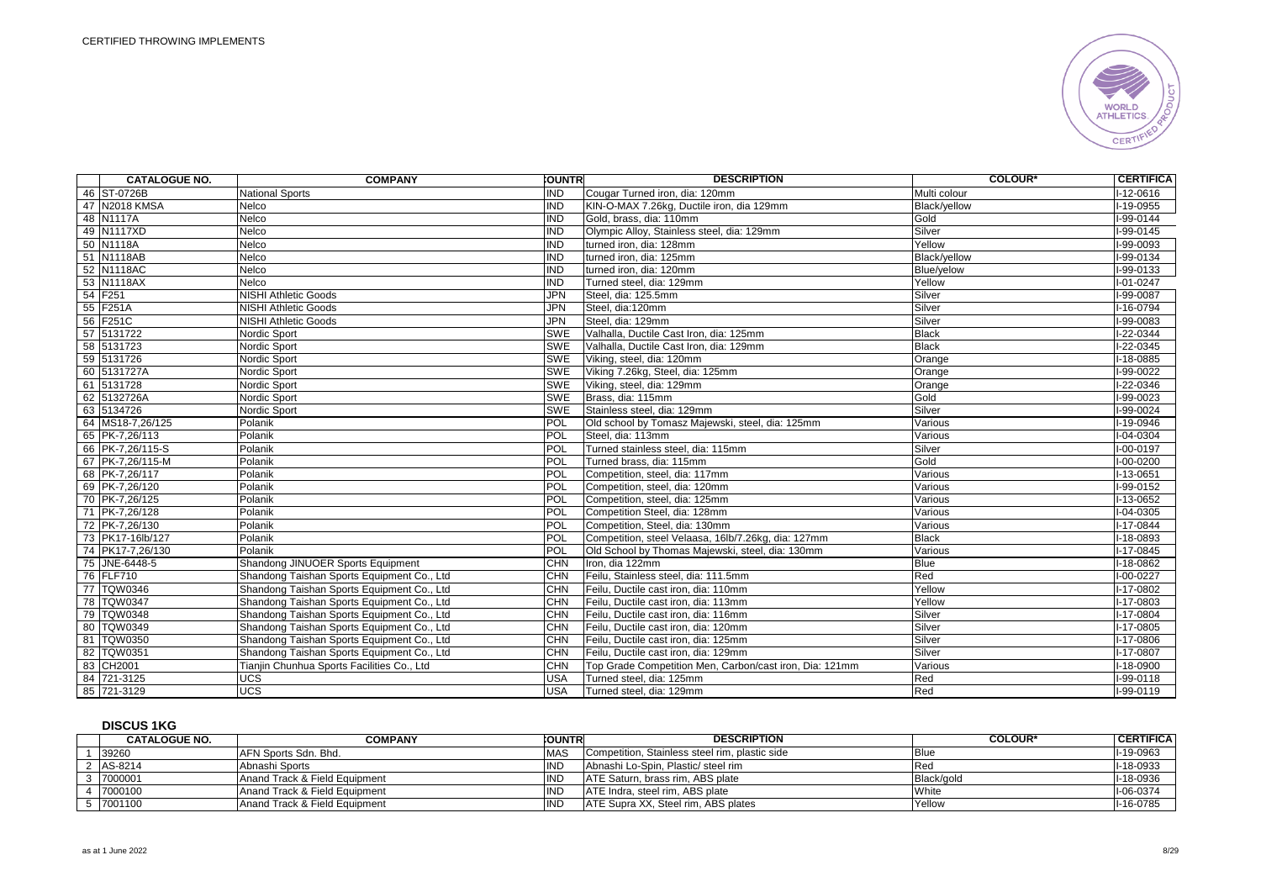

| <b>CATALOGUE NO.</b> | <b>COMPANY</b>                              | <b>COUNTRI</b> | <b>DESCRIPTION</b>                                      | <b>COLOUR*</b> | <b>CERTIFICA</b> |
|----------------------|---------------------------------------------|----------------|---------------------------------------------------------|----------------|------------------|
| 46 ST-0726B          | <b>National Sports</b>                      | <b>IND</b>     | Cougar Turned iron, dia: 120mm                          | Multi colour   | $I-12-0616$      |
| 47 N2018 KMSA        | Nelco                                       | <b>IND</b>     | KIN-O-MAX 7.26kg, Ductile iron, dia 129mm               | Black/vellow   | I-19-0955        |
| 48 N1117A            | Nelco                                       | <b>IND</b>     | Gold, brass, dia: 110mm                                 | Gold           | $I-99-0144$      |
| 49 N1117XD           | Nelco                                       | <b>IND</b>     | Olympic Alloy, Stainless steel, dia: 129mm              | Silver         | $I-99-0145$      |
| 50 N1118A            | Nelco                                       | <b>IND</b>     | turned iron, dia: 128mm                                 | Yellow         | I-99-0093        |
| 51 N1118AB           | Nelco                                       | <b>IND</b>     | turned iron. dia: 125mm                                 | Black/vellow   | $I-99-0134$      |
| 52 N1118AC           | <b>Nelco</b>                                | <b>IND</b>     | turned iron, dia: 120mm                                 | Blue/yelow     | I-99-0133        |
| 53 N1118AX           | Nelco                                       | <b>IND</b>     | Turned steel, dia: 129mm                                | Yellow         | $I - 01 - 0247$  |
| 54 F251              | <b>NISHI Athletic Goods</b>                 | <b>JPN</b>     | Steel, dia: 125.5mm                                     | Silver         | I-99-0087        |
| 55 F251A             | <b>NISHI Athletic Goods</b>                 | <b>JPN</b>     | Steel, dia:120mm                                        | Silver         | $I-16-0794$      |
| 56 F251C             | <b>NISHI Athletic Goods</b>                 | <b>JPN</b>     | Steel, dia: 129mm                                       | Silver         | I-99-0083        |
| 57 5131722           | Nordic Sport                                | <b>SWE</b>     | Valhalla, Ductile Cast Iron, dia: 125mm                 | <b>Black</b>   | $1-22-0344$      |
| 58 5131723           | Nordic Sport                                | <b>SWE</b>     | Valhalla, Ductile Cast Iron, dia: 129mm                 | <b>Black</b>   | I-22-0345        |
| 59 5131726           | Nordic Sport                                | <b>SWE</b>     | Viking, steel, dia: 120mm                               | Orange         | $1-18-0885$      |
| 60 5131727A          | Nordic Sport                                | <b>SWE</b>     | Viking 7.26kg, Steel, dia: 125mm                        | Orange         | $1-99-0022$      |
| 61 5131728           | Nordic Sport                                | <b>SWE</b>     | Viking, steel, dia: 129mm                               | Orange         | $I-22-0346$      |
| 62 5132726A          | Nordic Sport                                | SWE            | Brass, dia: 115mm                                       | Gold           | I-99-0023        |
| 63 5134726           | Nordic Sport                                | <b>SWE</b>     | Stainless steel, dia: 129mm                             | Silver         | I-99-0024        |
| 64 MS18-7,26/125     | Polanik                                     | POL            | Old school by Tomasz Majewski, steel, dia: 125mm        | Various        | I-19-0946        |
| 65 PK-7.26/113       | Polanik                                     | POL            | Steel. dia: 113mm                                       | Various        | $I - 04 - 0304$  |
| 66 PK-7,26/115-S     | Polanik                                     | <b>POL</b>     | Turned stainless steel, dia: 115mm                      | Silver         | $I-00-0197$      |
| 67 PK-7,26/115-M     | Polanik                                     | <b>POL</b>     | Turned brass, dia: 115mm                                | Gold           | I-00-0200        |
| 68 PK-7,26/117       | Polanik                                     | <b>POL</b>     | Competition, steel, dia: 117mm                          | Various        | $I-13-0651$      |
| 69 PK-7,26/120       | Polanik                                     | POL            | Competition, steel, dia: 120mm                          | Various        | I-99-0152        |
| 70 PK-7,26/125       | Polanik                                     | <b>POL</b>     | Competition, steel, dia: 125mm                          | Various        | $I-13-0652$      |
| 71 PK-7,26/128       | Polanik                                     | POL            | Competition Steel, dia: 128mm                           | Various        | $I-04-0305$      |
| 72 PK-7,26/130       | Polanik                                     | POL            | Competition, Steel, dia: 130mm                          | Various        | $1-17-0844$      |
| 73 PK17-16lb/127     | Polanik                                     | POL            | Competition, steel Velaasa, 16lb/7.26kg, dia: 127mm     | <b>Black</b>   | I-18-0893        |
| 74 PK17-7,26/130     | Polanik                                     | POL            | Old School by Thomas Majewski, steel, dia: 130mm        | Various        | $I-17-0845$      |
| 75 JNE-6448-5        | Shandong JINUOER Sports Equipment           | <b>CHN</b>     | Iron. dia 122mm                                         | <b>Blue</b>    | $I-18-0862$      |
| 76 FLF710            | Shandong Taishan Sports Equipment Co., Ltd  | <b>CHN</b>     | Feilu, Stainless steel, dia: 111.5mm                    | Red            | I-00-0227        |
| 77 TQW0346           | Shandong Taishan Sports Equipment Co., Ltd. | <b>CHN</b>     | Feilu. Ductile cast iron. dia: 110mm                    | Yellow         | I-17-0802        |
| 78 TQW0347           | Shandong Taishan Sports Equipment Co., Ltd  | <b>CHN</b>     | Feilu, Ductile cast iron, dia: 113mm                    | Yellow         | I-17-0803        |
| 79 TQW0348           | Shandong Taishan Sports Equipment Co., Ltd  | <b>CHN</b>     | Feilu. Ductile cast iron. dia: 116mm                    | Silver         | $I-17-0804$      |
| 80 TQW0349           | Shandong Taishan Sports Equipment Co., Ltd  | <b>CHN</b>     | Feilu, Ductile cast iron, dia: 120mm                    | Silver         | I-17-0805        |
| 81 TQW0350           | Shandong Taishan Sports Equipment Co., Ltd. | <b>CHN</b>     | Feilu, Ductile cast iron, dia: 125mm                    | Silver         | I-17-0806        |
| 82 TQW0351           | Shandong Taishan Sports Equipment Co., Ltd  | <b>CHN</b>     | Feilu. Ductile cast iron. dia: 129mm                    | Silver         | I-17-0807        |
| 83 CH2001            | Tianjin Chunhua Sports Facilities Co., Ltd  | <b>CHN</b>     | Top Grade Competition Men, Carbon/cast iron, Dia: 121mm | Various        | I-18-0900        |
| 84 721-3125          | <b>UCS</b>                                  | <b>USA</b>     | Turned steel, dia: 125mm                                | Red            | I-99-0118        |
| 85 721-3129          | <b>UCS</b>                                  | <b>USA</b>     | Turned steel, dia: 129mm                                | Red            | $I-99-0119$      |

## **DISCUS 1KG**

| <b>CATALOGUE NO.</b> | COMPANY                       | <b>COUNTR</b> | <b>DESCRIPTION</b>                             | <b>COLOUR*</b> | <b>CERTIFICA</b> |
|----------------------|-------------------------------|---------------|------------------------------------------------|----------------|------------------|
| 39260                | <b>JAFN Sports Sdn. Bhd.</b>  | <b>MAS</b>    | Competition. Stainless steel rim. plastic side | <b>Blue</b>    | I-19-0963        |
| AS-8214              | Abnashi Sports                | <b>IND</b>    | Abnashi Lo-Spin, Plastic/ steel rim            | <b>IRed</b>    | I-18-0933        |
| 7000001              | Anand Track & Field Equipment | <b>IND</b>    | ATE Saturn, brass rim, ABS plate               | Black/gold     | I-18-0936        |
| 7000100              | Anand Track & Field Equipment | <b>IIND</b>   | ATE Indra, steel rim, ABS plate                | White          | $I-06-0374$      |
| 7001100              | Anand Track & Field Equipment | <b>IND</b>    | <b>ATE Supra XX. Steel rim. ABS plates</b>     | Yellow         | I-16-0785        |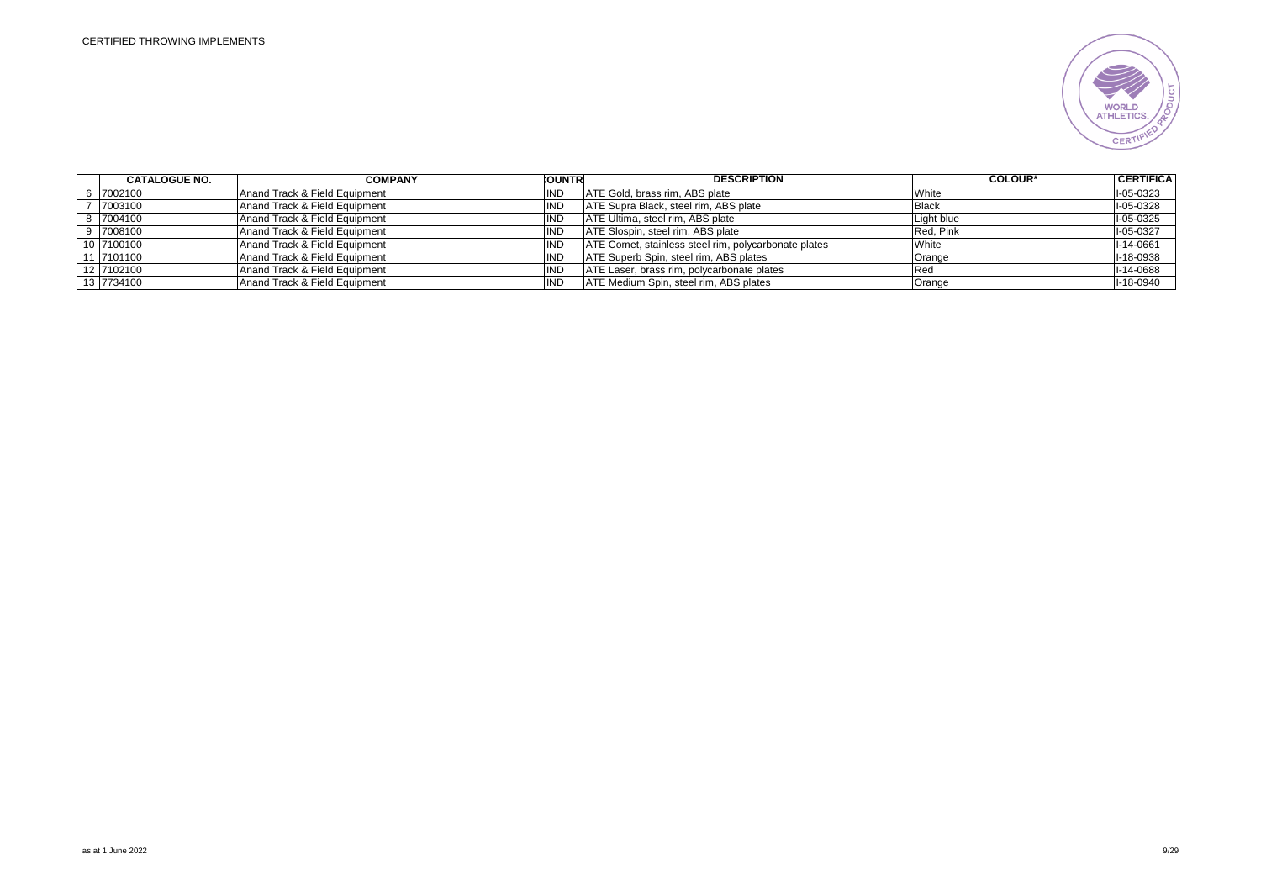

| <b>CATALOGUE NO.</b> | <b>COMPANY</b>                | <b>COUNTR</b> | <b>DESCRIPTION</b>                                   | <b>COLOUR*</b> | <b>CERTIFICA</b> |
|----------------------|-------------------------------|---------------|------------------------------------------------------|----------------|------------------|
| 6 7002100            | Anand Track & Field Equipment | ND            | ATE Gold, brass rim, ABS plate                       | White          | I-05-0323        |
| 7003100              | Anand Track & Field Equipment | 'ND           | ATE Supra Black, steel rim, ABS plate                | <b>Black</b>   | I-05-0328        |
| 8 7004100            | Anand Track & Field Equipment | ND            | ATE Ultima, steel rim, ABS plate                     | Light blue     | I-05-0325        |
| 9 7008100            | Anand Track & Field Equipment | ΝD            | ATE Slospin, steel rim, ABS plate                    | Red. Pink      | I-05-0327        |
| 10 7100100           | Anand Track & Field Equipment | ΝD            | ATE Comet, stainless steel rim, polycarbonate plates | White          | I-14-0661        |
| 11 7101100           | Anand Track & Field Equipment | ΝC            | ATE Superb Spin, steel rim, ABS plates               | Orange         | I-18-0938        |
| 12 7102100           | Anand Track & Field Equipment | ۱ND           | ATE Laser, brass rim, polycarbonate plates           | 'Rea           | I-14-0688        |
| 13 7734100           | Anand Track & Field Equipment | ND            | ATE Medium Spin, steel rim, ABS plates               | Orange         | I-18-0940        |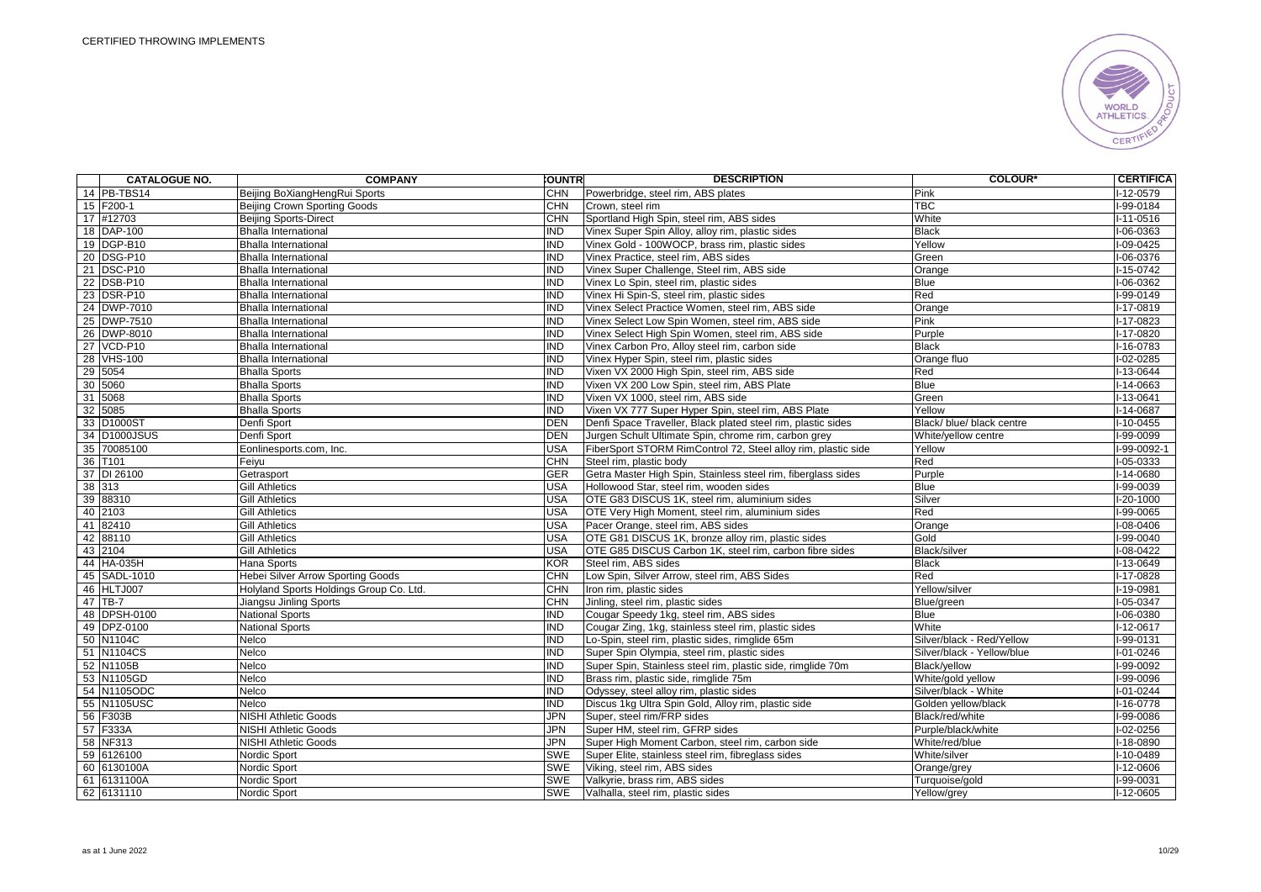

| <b>CATALOGUE NO.</b> | <b>COMPANY</b>                           | <b>OUNTR</b> | <b>DESCRIPTION</b>                                            | <b>COLOUR*</b>             | <b>CERTIFICA</b> |
|----------------------|------------------------------------------|--------------|---------------------------------------------------------------|----------------------------|------------------|
| 14 PB-TBS14          | Beijing BoXiangHengRui Sports            | <b>CHN</b>   | Powerbridge, steel rim, ABS plates                            | Pink                       | l-12-0579        |
| 15 F200-1            | Beijing Crown Sporting Goods             | <b>CHN</b>   | Crown, steel rim                                              | <b>TBC</b>                 | I-99-0184        |
| 17 #12703            | <b>Beijing Sports-Direct</b>             | <b>CHN</b>   | Sportland High Spin, steel rim, ABS sides                     | White                      | $I-11-0516$      |
| 18 DAP-100           | <b>Bhalla International</b>              | IND          | Vinex Super Spin Alloy, alloy rim, plastic sides              | <b>Black</b>               | $I-06-0363$      |
| 19 DGP-B10           | <b>Bhalla International</b>              | <b>IND</b>   | Vinex Gold - 100WOCP, brass rim, plastic sides                | Yellow                     | $I-09-0425$      |
| 20 DSG-P10           | <b>Bhalla International</b>              | <b>IND</b>   | Vinex Practice, steel rim, ABS sides                          | Green                      | I-06-0376        |
| 21 DSC-P10           | <b>Bhalla International</b>              | <b>IND</b>   | Vinex Super Challenge, Steel rim, ABS side                    | Orange                     | I-15-0742        |
| 22 DSB-P10           | <b>Bhalla International</b>              | IND          | Vinex Lo Spin, steel rim, plastic sides                       | Blue                       | $I-06-0362$      |
| 23 DSR-P10           | <b>Bhalla International</b>              | IND          | Vinex Hi Spin-S, steel rim, plastic sides                     | Red                        | I-99-0149        |
| 24 DWP-7010          | <b>Bhalla International</b>              | IND          | Vinex Select Practice Women, steel rim, ABS side              | Orange                     | $I-17-0819$      |
| 25 DWP-7510          | <b>Bhalla International</b>              | <b>IND</b>   | Vinex Select Low Spin Women, steel rim, ABS side              | Pink                       | I-17-0823        |
| 26 DWP-8010          | <b>Bhalla International</b>              | <b>IND</b>   | Vinex Select High Spin Women, steel rim, ABS side             | Purple                     | $I-17-0820$      |
| 27 VCD-P10           | <b>Bhalla International</b>              | <b>IND</b>   | Vinex Carbon Pro, Alloy steel rim, carbon side                | <b>Black</b>               | I-16-0783        |
| 28 VHS-100           | <b>Bhalla International</b>              | IND          | Vinex Hyper Spin, steel rim, plastic sides                    | Orange fluo                | $I-02-0285$      |
| 29 5054              | <b>Bhalla Sports</b>                     | <b>IND</b>   | Vixen VX 2000 High Spin, steel rim, ABS side                  | Red                        | $I-13-0644$      |
| 30 5060              | <b>Bhalla Sports</b>                     | <b>IND</b>   | Vixen VX 200 Low Spin, steel rim, ABS Plate                   | <b>Blue</b>                | $I-14-0663$      |
| 31 5068              | <b>Bhalla Sports</b>                     | <b>IND</b>   | Vixen VX 1000, steel rim, ABS side                            | Green                      | I-13-0641        |
| 32 5085              | <b>Bhalla Sports</b>                     | <b>IND</b>   | Vixen VX 777 Super Hyper Spin, steel rim, ABS Plate           | Yellow                     | $I-14-0687$      |
| 33 D1000ST           | Denfi Sport                              | <b>DEN</b>   | Denfi Space Traveller, Black plated steel rim, plastic sides  | Black/ blue/ black centre  | $I-10-0455$      |
| 34 D1000JSUS         | Denfi Sport                              | <b>DEN</b>   | Jurgen Schult Ultimate Spin, chrome rim, carbon grey          | White/yellow centre        | I-99-0099        |
| 35 70085100          | Eonlinesports.com, Inc.                  | <b>USA</b>   | FiberSport STORM RimControl 72, Steel alloy rim, plastic side | Yellow                     | I-99-0092-1      |
| 36 T101              | Feiyu                                    | <b>CHN</b>   | Steel rim, plastic body                                       | Red                        | $I-05-0333$      |
| 37 DI 26100          | Getrasport                               | <b>GER</b>   | Getra Master High Spin, Stainless steel rim, fiberglass sides | Purple                     | $I-14-0680$      |
| 38 313               | <b>Gill Athletics</b>                    | <b>USA</b>   | Hollowood Star, steel rim, wooden sides                       | <b>Blue</b>                | I-99-0039        |
| 39 88310             | <b>Gill Athletics</b>                    | USA          | OTE G83 DISCUS 1K, steel rim, aluminium sides                 | Silver                     | $I-20-1000$      |
| 40 2103              | <b>Gill Athletics</b>                    | <b>USA</b>   | OTE Very High Moment, steel rim, aluminium sides              | Red                        | I-99-0065        |
| 41 82410             | <b>Gill Athletics</b>                    | <b>USA</b>   | Pacer Orange, steel rim, ABS sides                            | Orange                     | I-08-0406        |
| 42 88110             | <b>Gill Athletics</b>                    | <b>USA</b>   | OTE G81 DISCUS 1K, bronze alloy rim, plastic sides            | Gold                       | $I-99-0040$      |
| 43 2104              | <b>Gill Athletics</b>                    | <b>USA</b>   | OTE G85 DISCUS Carbon 1K, steel rim, carbon fibre sides       | Black/silver               | $I-08-0422$      |
| 44 HA-035H           | Hana Sports                              | <b>KOR</b>   | Steel rim, ABS sides                                          | <b>Black</b>               | $I-13-0649$      |
| 45 SADL-1010         | <b>Hebei Silver Arrow Sporting Goods</b> | <b>CHN</b>   | Low Spin, Silver Arrow, steel rim, ABS Sides                  | Red                        | I-17-0828        |
| 46 HLTJ007           | Holyland Sports Holdings Group Co. Ltd.  | <b>CHN</b>   | Iron rim, plastic sides                                       | Yellow/silver              | I-19-0981        |
| $47$ TB-7            | Jiangsu Jinling Sports                   | <b>CHN</b>   | Jinling, steel rim, plastic sides                             | Blue/green                 | $I-05-0347$      |
| 48 DPSH-0100         | <b>National Sports</b>                   | IND          | Cougar Speedy 1kg, steel rim, ABS sides                       | <b>Blue</b>                | $I-06-0380$      |
| 49 DPZ-0100          | <b>National Sports</b>                   | <b>IND</b>   | Cougar Zing, 1kg, stainless steel rim, plastic sides          | White                      | I-12-0617        |
| 50 N1104C            | Nelco                                    | IND          | Lo-Spin, steel rim, plastic sides, rimglide 65m               | Silver/black - Red/Yellow  | $I-99-0131$      |
| 51 N1104CS           | Nelco                                    | <b>IND</b>   | Super Spin Olympia, steel rim, plastic sides                  | Silver/black - Yellow/blue | $I - 01 - 0246$  |
| 52 N1105B            | Nelco                                    | <b>IND</b>   | Super Spin, Stainless steel rim, plastic side, rimglide 70m   | Black/vellow               | I-99-0092        |
| 53 N1105GD           | Nelco                                    | <b>IND</b>   | Brass rim, plastic side, rimglide 75m                         | White/gold yellow          | I-99-0096        |
| 54 N1105ODC          | Nelco                                    | <b>IND</b>   | Odyssey, steel alloy rim, plastic sides                       | Silver/black - White       | $I - 01 - 0244$  |
| 55 N1105USC          | Nelco                                    | <b>IND</b>   | Discus 1kg Ultra Spin Gold, Alloy rim, plastic side           | Golden yellow/black        | $I-16-0778$      |
| 56 F303B             | <b>NISHI Athletic Goods</b>              | JPN          | Super, steel rim/FRP sides                                    | Black/red/white            | I-99-0086        |
| 57 F333A             | <b>NISHI Athletic Goods</b>              | JPN          | Super HM, steel rim, GFRP sides                               | Purple/black/white         | I-02-0256        |
| 58 NF313             | <b>NISHI Athletic Goods</b>              | JPN          | Super High Moment Carbon, steel rim, carbon side              | White/red/blue             | $I-18-0890$      |
| 59 6126100           | Nordic Sport                             | SWE          | Super Elite, stainless steel rim, fibreglass sides            | White/silver               | $I-10-0489$      |
| 60 6130100A          | Nordic Sport                             | <b>SWE</b>   | Viking, steel rim, ABS sides                                  | Orange/grey                | I-12-0606        |
| 61 6131100A          | Nordic Sport                             | SWE          | Valkyrie, brass rim, ABS sides                                | Turquoise/gold             | I-99-0031        |
| 62 6131110           | Nordic Sport                             | <b>SWE</b>   | Valhalla, steel rim, plastic sides                            | Yellow/grey                | $I-12-0605$      |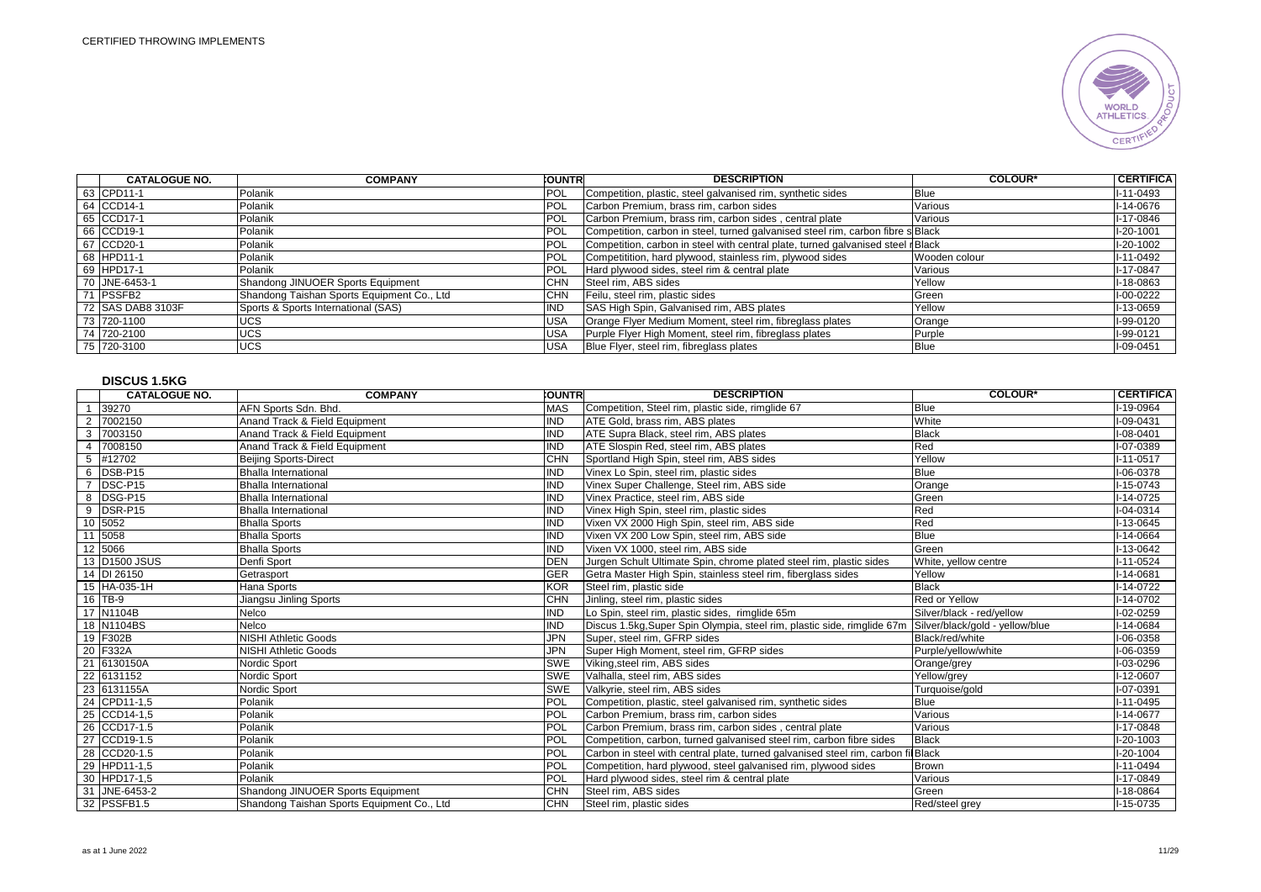

| <b>CATALOGUE NO.</b> | <b>COMPANY</b>                             | <b>CUNTRI</b> | <b>DESCRIPTION</b>                                                              | <b>COLOUR*</b> | I CERTIFICA I   |
|----------------------|--------------------------------------------|---------------|---------------------------------------------------------------------------------|----------------|-----------------|
| 63 CPD11-1           | Polanik                                    | <b>POL</b>    | Competition, plastic, steel galvanised rim, synthetic sides                     | Blue           | I-11-0493       |
| 64 CCD14-1           | Polanik                                    | POL           | Carbon Premium, brass rim, carbon sides                                         | Various        | I-14-0676       |
| 65 CCD17-1           | Polanik                                    | POL           | Carbon Premium, brass rim, carbon sides, central plate                          | Various        | I-17-0846       |
| 66 CCD19-1           | Polanik                                    | POL           | Competition, carbon in steel, turned galvanised steel rim, carbon fibre s Black |                | I-20-1001       |
| 67 CCD20-1           | Polanik                                    | <b>POL</b>    | Competition, carbon in steel with central plate, turned galvanised steel rBlack |                | $I-20-1002$     |
| 68 HPD11-1           | Polanik                                    | POL           | Competitition, hard plywood, stainless rim, plywood sides                       | Wooden colour  | $I - 11 - 0492$ |
| 69 HPD17-1           | Polanik                                    | <b>POL</b>    | Hard plywood sides, steel rim & central plate                                   | Various        | I-17-0847       |
| 70 JNE-6453-1        | Shandong JINUOER Sports Equipment          | <b>CHN</b>    | Steel rim, ABS sides                                                            | Yellow         | I-18-0863       |
| 71 PSSFB2            | Shandong Taishan Sports Equipment Co., Ltd | CHN           | Feilu, steel rim, plastic sides                                                 | Green          | $I-00-0222$     |
| 72 ISAS DAB8 3103F   | Sports & Sports International (SAS)        | <b>IND</b>    | SAS High Spin, Galvanised rim, ABS plates                                       | Yellow         | I-13-0659       |
| 73 720-1100          | <b>UCS</b>                                 | <b>USA</b>    | Orange Flyer Medium Moment, steel rim, fibreglass plates                        | Orange         | I-99-0120       |
| 74 720-2100          | <b>UCS</b>                                 | <b>USA</b>    | Purple Flyer High Moment, steel rim, fibreglass plates                          | Purple         | I-99-0121       |
| 75 720-3100          | <b>UCS</b>                                 | <b>USA</b>    | Blue Flyer, steel rim, fibreglass plates                                        | <b>Blue</b>    | I-09-0451       |

# **DISCUS 1.5KG**

|                 | <b>CATALOGUE NO.</b> | <b>COMPANY</b>                             | <b>COUNTR</b> | <b>DESCRIPTION</b>                                                                | <b>COLOUR*</b>                  | <b>CERTIFICA</b> |
|-----------------|----------------------|--------------------------------------------|---------------|-----------------------------------------------------------------------------------|---------------------------------|------------------|
| $\overline{1}$  | 39270                | AFN Sports Sdn. Bhd.                       | <b>MAS</b>    | Competition, Steel rim, plastic side, rimglide 67                                 | <b>Blue</b>                     | I-19-0964        |
|                 | 2 7002150            | Anand Track & Field Equipment              | <b>IND</b>    | ATE Gold, brass rim, ABS plates                                                   | White                           | I-09-0431        |
| 3               | 7003150              | Anand Track & Field Equipment              | <b>IND</b>    | ATE Supra Black, steel rim, ABS plates                                            | <b>Black</b>                    | I-08-0401        |
|                 | 4 7008150            | Anand Track & Field Equipment              | <b>IND</b>    | ATE Slospin Red, steel rim, ABS plates                                            | Red                             | I-07-0389        |
| $5\overline{5}$ | #12702               | <b>Beijing Sports-Direct</b>               | <b>CHN</b>    | Sportland High Spin, steel rim, ABS sides                                         | Yellow                          | $I-11-0517$      |
|                 | 6 DSB-P15            | <b>Bhalla International</b>                | <b>IND</b>    | Vinex Lo Spin, steel rim, plastic sides                                           | Blue                            | I-06-0378        |
|                 | 7 DSC-P15            | <b>Bhalla International</b>                | <b>IND</b>    | Vinex Super Challenge, Steel rim, ABS side                                        | Orange                          | I-15-0743        |
|                 | 8 DSG-P15            | <b>Bhalla International</b>                | <b>IND</b>    | Vinex Practice, steel rim, ABS side                                               | Green                           | $I-14-0725$      |
|                 | 9 DSR-P15            | <b>Bhalla International</b>                | <b>IND</b>    | Vinex High Spin, steel rim, plastic sides                                         | Red                             | I-04-0314        |
|                 | 10 5052              | <b>Bhalla Sports</b>                       | <b>IND</b>    | Vixen VX 2000 High Spin, steel rim, ABS side                                      | Red                             | I-13-0645        |
|                 | 11 5058              | <b>Bhalla Sports</b>                       | <b>IND</b>    | Vixen VX 200 Low Spin, steel rim, ABS side                                        | <b>Blue</b>                     | I-14-0664        |
|                 | 12 5066              | <b>Bhalla Sports</b>                       | <b>IND</b>    | Vixen VX 1000, steel rim, ABS side                                                | Green                           | I-13-0642        |
|                 | 13 D1500 JSUS        | Denfi Sport                                | <b>DEN</b>    | Jurgen Schult Ultimate Spin, chrome plated steel rim, plastic sides               | White, yellow centre            | I-11-0524        |
|                 | 14 DI 26150          | Getrasport                                 | GER           | Getra Master High Spin, stainless steel rim, fiberglass sides                     | Yellow                          | $I-14-0681$      |
|                 | 15 HA-035-1H         | Hana Sports                                | <b>KOR</b>    | Steel rim, plastic side                                                           | <b>Black</b>                    | I-14-0722        |
|                 | 16 TB-9              | Jiangsu Jinling Sports                     | <b>CHN</b>    | Jinling, steel rim, plastic sides                                                 | Red or Yellow                   | I-14-0702        |
|                 | 17 N1104B            | Nelco                                      | <b>IND</b>    | Lo Spin, steel rim, plastic sides, rimglide 65m                                   | Silver/black - red/yellow       | I-02-0259        |
|                 | 18 N1104BS           | Nelco                                      | <b>IND</b>    | Discus 1.5kg, Super Spin Olympia, steel rim, plastic side, rimglide 67m           | Silver/black/gold - yellow/blue | I-14-0684        |
|                 | 19 F302B             | NISHI Athletic Goods                       | <b>JPN</b>    | Super, steel rim. GFRP sides                                                      | Black/red/white                 | I-06-0358        |
|                 | 20 F332A             | NISHI Athletic Goods                       | <b>JPN</b>    | Super High Moment, steel rim, GFRP sides                                          | Purple/yellow/white             | I-06-0359        |
|                 | 21 6130150A          | Nordic Sport                               | <b>SWE</b>    | Viking, steel rim, ABS sides                                                      | Orange/grey                     | I-03-0296        |
|                 | 22 6131152           | Nordic Sport                               | <b>SWE</b>    | Valhalla, steel rim, ABS sides                                                    | Yellow/grey                     | I-12-0607        |
|                 | 23 6131155A          | Nordic Sport                               | SWE           | Valkyrie, steel rim, ABS sides                                                    | Turquoise/gold                  | I-07-0391        |
|                 | 24 CPD11-1,5         | Polanik                                    | POL           | Competition, plastic, steel galvanised rim, synthetic sides                       | Blue                            | $I-11-0495$      |
|                 | 25 CCD14-1,5         | Polanik                                    | POL           | Carbon Premium, brass rim, carbon sides                                           | Various                         | $I-14-0677$      |
|                 | 26 CCD17-1.5         | Polanik                                    | POL           | Carbon Premium, brass rim, carbon sides, central plate                            | Various                         | I-17-0848        |
|                 | 27 CCD19-1.5         | Polanik                                    | POL           | Competition, carbon, turned galvanised steel rim, carbon fibre sides              | <b>Black</b>                    | I-20-1003        |
|                 | 28 CCD20-1.5         | Polanik                                    | POL           | Carbon in steel with central plate, turned galvanised steel rim, carbon fil Black |                                 | $I-20-1004$      |
|                 | 29 HPD11-1,5         | Polanik                                    | POL           | Competition, hard plywood, steel galvanised rim, plywood sides                    | <b>Brown</b>                    | $I - 11 - 0494$  |
|                 | 30 HPD17-1,5         | Polanik                                    | POL           | Hard plywood sides, steel rim & central plate                                     | Various                         | I-17-0849        |
|                 | 31 JNE-6453-2        | Shandong JINUOER Sports Equipment          | <b>CHN</b>    | Steel rim, ABS sides                                                              | Green                           | I-18-0864        |
|                 | 32 PSSFB1.5          | Shandong Taishan Sports Equipment Co., Ltd | <b>CHN</b>    | Steel rim, plastic sides                                                          | Red/steel grey                  | $I-15-0735$      |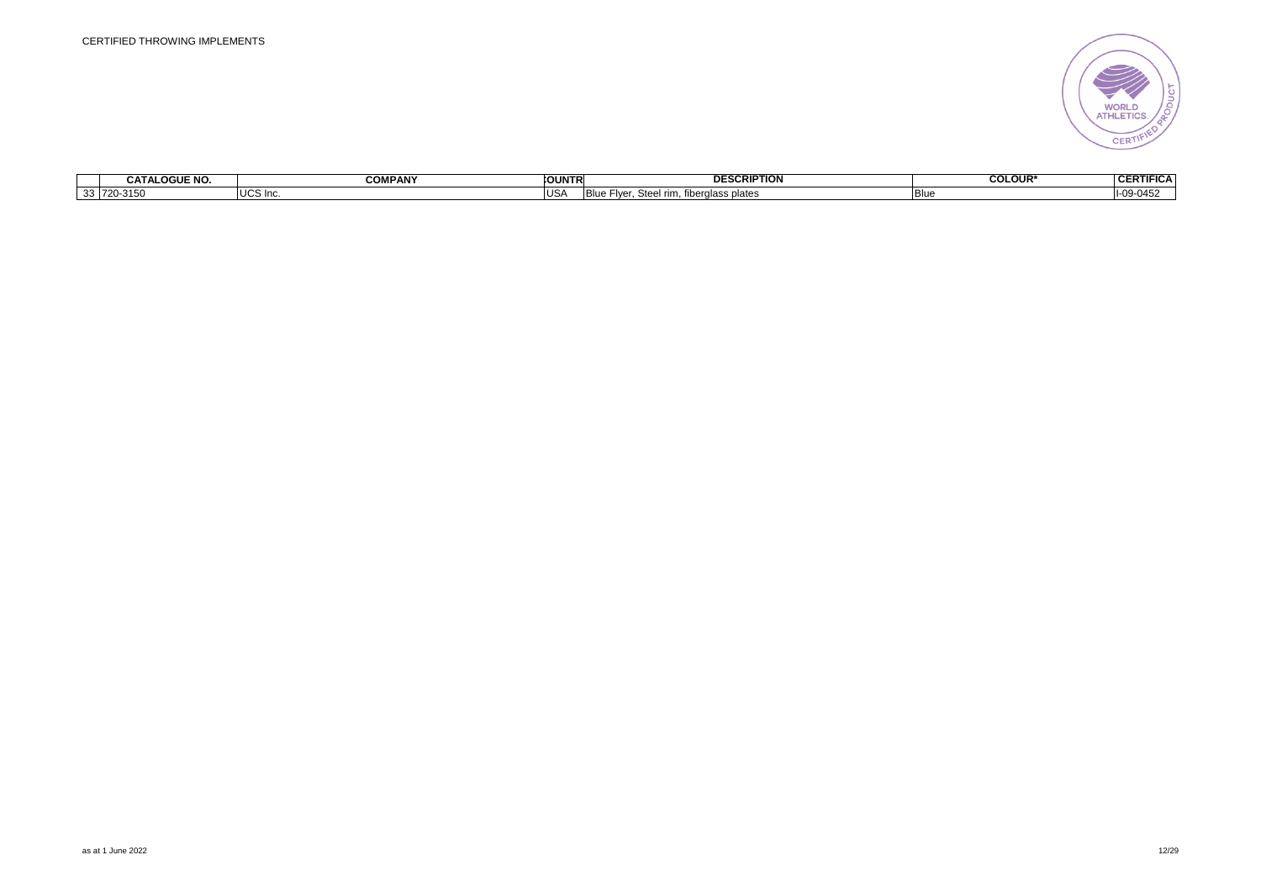

|          | <b>OGUE NO</b><br>--<br><b>GATA</b> | <b>COMPANY</b>                | <b>OUNTR</b> | ESCRIPTION<br>D⊢         | <b>COLOUR*</b> | $\overline{1}$<br>CEDTI<br>.<br>FIGA<br>VER |
|----------|-------------------------------------|-------------------------------|--------------|--------------------------|----------------|---------------------------------------------|
| ຸລລ<br>ം | 720-315                             | $\cdot$ $\sim$<br>S In∈<br>uu | US/          | `s plates<br><br>1 V V I | I Blu          | $\bigcap_{A} E$                             |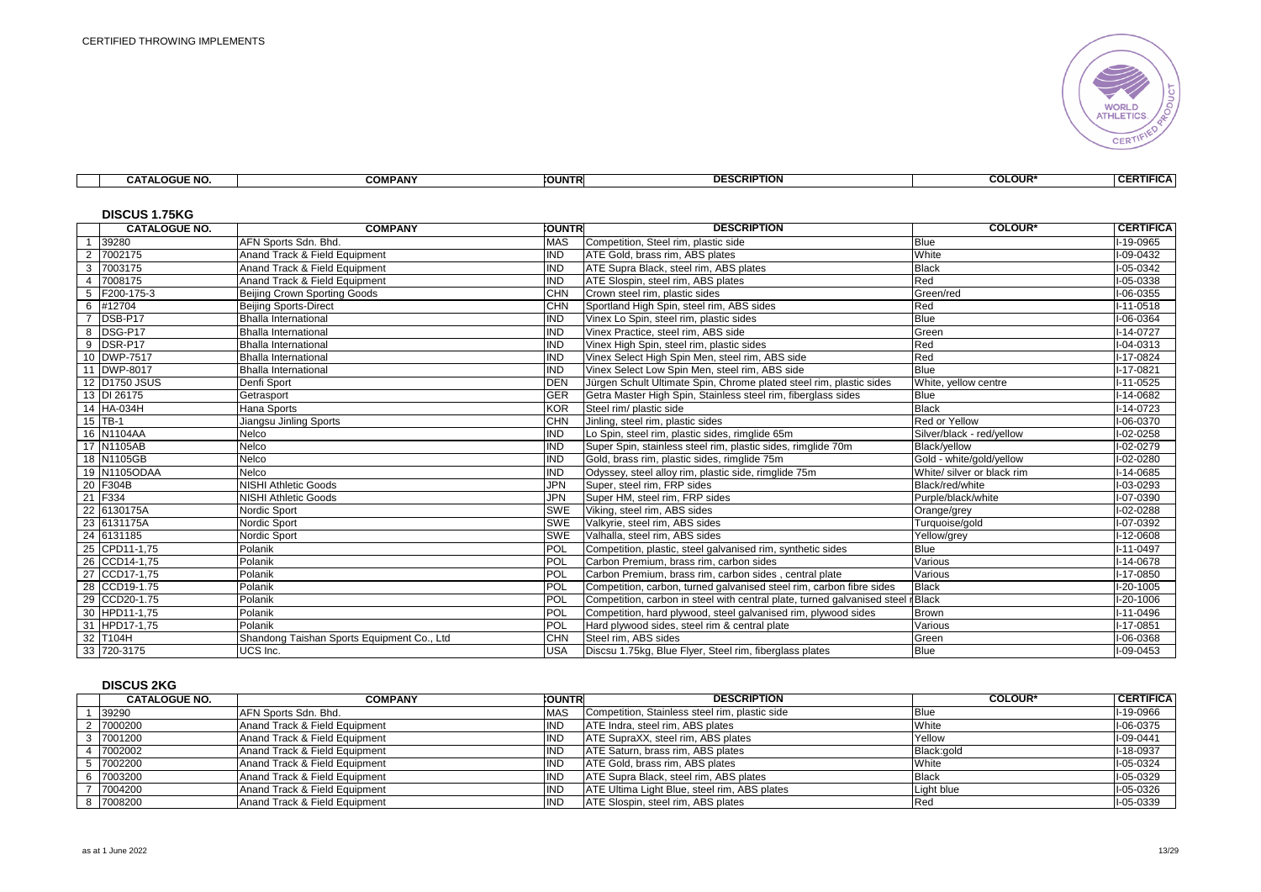

|  |  | $\overline{M}$<br>_OGUE<br>. | COMPANY<br>uum<br><u>ru</u> | <b>COUNTR</b> | <br>---<br>יושוו<br><b>ULJL</b> | <b>COLOUR*</b> | <b>RTIFIC/</b><br>$\sim$<br>. . |
|--|--|------------------------------|-----------------------------|---------------|---------------------------------|----------------|---------------------------------|
|--|--|------------------------------|-----------------------------|---------------|---------------------------------|----------------|---------------------------------|

# **DISCUS 1.75KG**

|                | טויט ווי טטטעוש<br><b>CATALOGUE NO.</b> | <b>COMPANY</b>                             | <b>CUNTRI</b> | <b>DESCRIPTION</b>                                                      | <b>COLOUR*</b>             | <b>CERTIFICA</b> |
|----------------|-----------------------------------------|--------------------------------------------|---------------|-------------------------------------------------------------------------|----------------------------|------------------|
|                | 39280                                   | AFN Sports Sdn. Bhd.                       | <b>MAS</b>    | Competition, Steel rim, plastic side                                    | <b>Blue</b>                | I-19-0965        |
| $\overline{2}$ | 7002175                                 | Anand Track & Field Equipment              | <b>IND</b>    | ATE Gold, brass rim, ABS plates                                         | White                      | I-09-0432        |
| 3              | 7003175                                 | Anand Track & Field Equipment              | <b>IND</b>    | ATE Supra Black, steel rim, ABS plates                                  | <b>Black</b>               | I-05-0342        |
| $\overline{4}$ | 7008175                                 | Anand Track & Field Equipment              | <b>IND</b>    | ATE Slospin, steel rim, ABS plates                                      | Red                        | I-05-0338        |
| 5              | F200-175-3                              | Beijing Crown Sporting Goods               | <b>CHN</b>    | Crown steel rim, plastic sides                                          | Green/red                  | I-06-0355        |
| 6              | #12704                                  | <b>Beijing Sports-Direct</b>               | <b>CHN</b>    | Sportland High Spin, steel rim, ABS sides                               | Red                        | $I-11-0518$      |
| $\overline{7}$ | DSB-P17                                 | <b>Bhalla International</b>                | <b>IND</b>    | Vinex Lo Spin, steel rim, plastic sides                                 | <b>Blue</b>                | I-06-0364        |
| -8             | DSG-P17                                 | <b>Bhalla International</b>                | IND           | Vinex Practice, steel rim, ABS side                                     | Green                      | $I-14-0727$      |
| 9              | DSR-P17                                 | <b>Bhalla International</b>                | IND           | Vinex High Spin, steel rim, plastic sides                               | Red                        | $I - 04 - 0313$  |
|                | 10 DWP-7517                             | <b>Bhalla International</b>                | <b>IND</b>    | Vinex Select High Spin Men, steel rim, ABS side                         | Red                        | I-17-0824        |
|                | 11 DWP-8017                             | <b>Bhalla International</b>                | <b>IND</b>    | Vinex Select Low Spin Men. steel rim. ABS side                          | <b>Blue</b>                | I-17-0821        |
|                | 12 D1750 JSUS                           | Denfi Sport                                | <b>DEN</b>    | Jürgen Schult Ultimate Spin, Chrome plated steel rim, plastic sides     | White, yellow centre       | $I-11-0525$      |
|                | 13 DI 26175                             | Getrasport                                 | <b>GER</b>    | Getra Master High Spin, Stainless steel rim, fiberglass sides           | <b>Blue</b>                | I-14-0682        |
|                | 14 HA-034H                              | <b>Hana Sports</b>                         | <b>KOR</b>    | Steel rim/ plastic side                                                 | <b>Black</b>               | I-14-0723        |
|                | 15 TB-1                                 | Jiangsu Jinling Sports                     | <b>CHN</b>    | Jinling, steel rim, plastic sides                                       | Red or Yellow              | I-06-0370        |
|                | 16 N1104AA                              | Nelco                                      | <b>IND</b>    | Lo Spin, steel rim, plastic sides, rimglide 65m                         | Silver/black - red/vellow  | I-02-0258        |
|                | 17 N1105AB                              | Nelco                                      | IND           | Super Spin, stainless steel rim, plastic sides, rimglide 70m            | Black/vellow               | I-02-0279        |
|                | 18 N1105GB                              | Nelco                                      | <b>IND</b>    | Gold, brass rim, plastic sides, rimglide 75m                            | Gold - white/gold/yellow   | I-02-0280        |
|                | 19 N1105ODAA                            | Nelco                                      | IND           | Odyssey, steel alloy rim, plastic side, rimglide 75m                    | White/ silver or black rim | I-14-0685        |
|                | 20 F304B                                | <b>NISHI Athletic Goods</b>                | JPN           | Super, steel rim, FRP sides                                             | Black/red/white            | I-03-0293        |
|                | 21 F334                                 | <b>NISHI Athletic Goods</b>                | <b>JPN</b>    | Super HM, steel rim, FRP sides                                          | Purple/black/white         | I-07-0390        |
|                | 22 6130175A                             | Nordic Sport                               | <b>SWE</b>    | Viking, steel rim, ABS sides                                            | Orange/grey                | I-02-0288        |
|                | 23 6131175A                             | Nordic Sport                               | <b>SWE</b>    | Valkyrie, steel rim, ABS sides                                          | Turquoise/gold             | I-07-0392        |
|                | 24 6131185                              | Nordic Sport                               | <b>SWE</b>    | Valhalla, steel rim, ABS sides                                          | Yellow/grey                | I-12-0608        |
|                | 25 CPD11-1,75                           | Polanik                                    | POL           | Competition, plastic, steel galvanised rim, synthetic sides             | <b>Blue</b>                | I-11-0497        |
|                | 26 CCD14-1.75                           | Polanik                                    | POL           | Carbon Premium, brass rim, carbon sides                                 | Various                    | I-14-0678        |
|                | 27 CCD17-1,75                           | Polanik                                    | <b>POL</b>    | Carbon Premium, brass rim, carbon sides, central plate                  | Various                    | I-17-0850        |
|                | 28 CCD19-1.75                           | Polanik                                    | <b>POL</b>    | Competition, carbon, turned galvanised steel rim, carbon fibre sides    | <b>Black</b>               | $I-20-1005$      |
|                | 29 CCD20-1.75                           | Polanik                                    | POL           | Competition, carbon in steel with central plate, turned galvanised stee | Black                      | I-20-1006        |
|                | 30 HPD11-1,75                           | Polanik                                    | POL           | Competition, hard plywood, steel galvanised rim, plywood sides          | Brown                      | I-11-0496        |
|                | 31 HPD17-1,75                           | Polanik                                    | POL           | Hard plywood sides, steel rim & central plate                           | Various                    | I-17-0851        |
|                | 32 T104H                                | Shandong Taishan Sports Equipment Co., Ltd | <b>CHN</b>    | Steel rim, ABS sides                                                    | Green                      | I-06-0368        |
|                | 33 720-3175                             | UCS Inc.                                   | <b>USA</b>    | Discsu 1.75kg, Blue Flyer, Steel rim, fiberglass plates                 | <b>Blue</b>                | I-09-0453        |

#### **DISCUS 2KG**

| <b>CATALOGUE NO.</b> | <b>COMPANY</b>                | <b>COUNTR</b> | <b>DESCRIPTION</b>                             | <b>COLOUR*</b> | <b>CERTIFICA</b> |
|----------------------|-------------------------------|---------------|------------------------------------------------|----------------|------------------|
| 39290                | AFN Sports Sdn. Bhd.          | <b>MAS</b>    | Competition, Stainless steel rim, plastic side | <b>Blue</b>    | I-19-0966        |
| 7000200              | Anand Track & Field Equipment | 'ND           | ATE Indra, steel rim, ABS plates               | White          | I-06-0375        |
| 3 7001200            | Anand Track & Field Equipment | 'ND           | ATE SupraXX, steel rim, ABS plates             | Yellow         | I-09-0441        |
| 7002002              | Anand Track & Field Equipment | <b>IND</b>    | ATE Saturn, brass rim, ABS plates              | Black:gold     | I-18-0937        |
| 7002200              | Anand Track & Field Equipment | <b>ND</b>     | ATE Gold, brass rim, ABS plates                | White          | I-05-0324        |
| 7003200              | Anand Track & Field Equipment | 'ND           | ATE Supra Black, steel rim, ABS plates         | <b>Black</b>   | I-05-0329        |
| 7004200              | Anand Track & Field Equipment | 'ND           | ATE Ultima Light Blue, steel rim, ABS plates   | Light blue     | I-05-0326        |
| 7008200              | Anand Track & Field Equipment | <b>IND</b>    | ATE Slospin, steel rim, ABS plates             | Red            | I-05-0339        |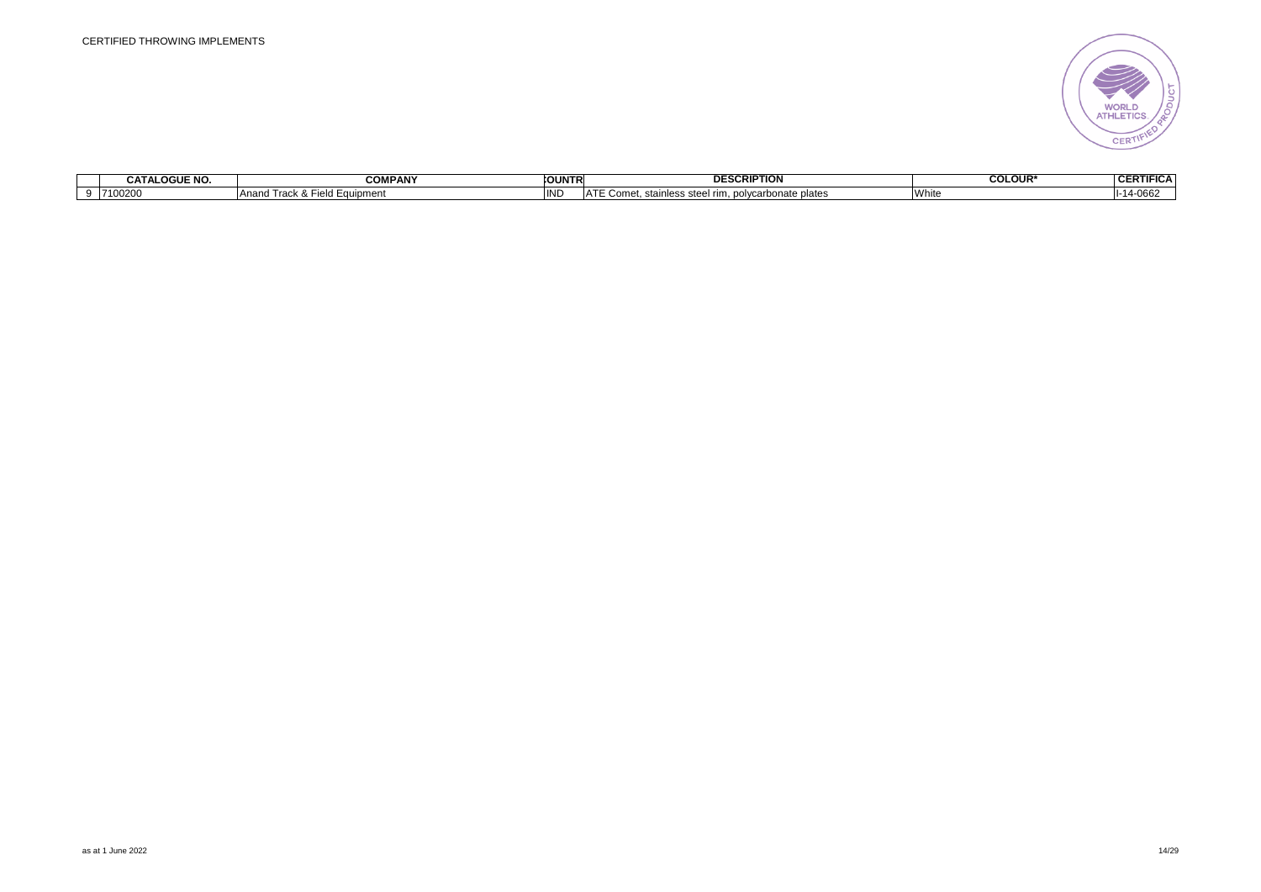

| <b>CATALOGUE NO</b> | COMPANY                         | <b>COUNTR</b> | <b>DESCRIPTION</b>                                                                              | <b>COLOUR</b> | $n_{\rm EDM}$<br>$\overline{\mathbf{r}}$<br>гн<br>IIFILA<br>VER. |
|---------------------|---------------------------------|---------------|-------------------------------------------------------------------------------------------------|---------------|------------------------------------------------------------------|
| 7100200             | Ana<br>$\sim$<br>jeld Equipment | INL           | ۱Δ<br>ate plates<br>$$ marhono <sup>+-</sup><br>stee<br>$\sim$<br>$\cdots$<br>$\sim$<br>$\cdot$ | l vv nit      | H-1<br>77.                                                       |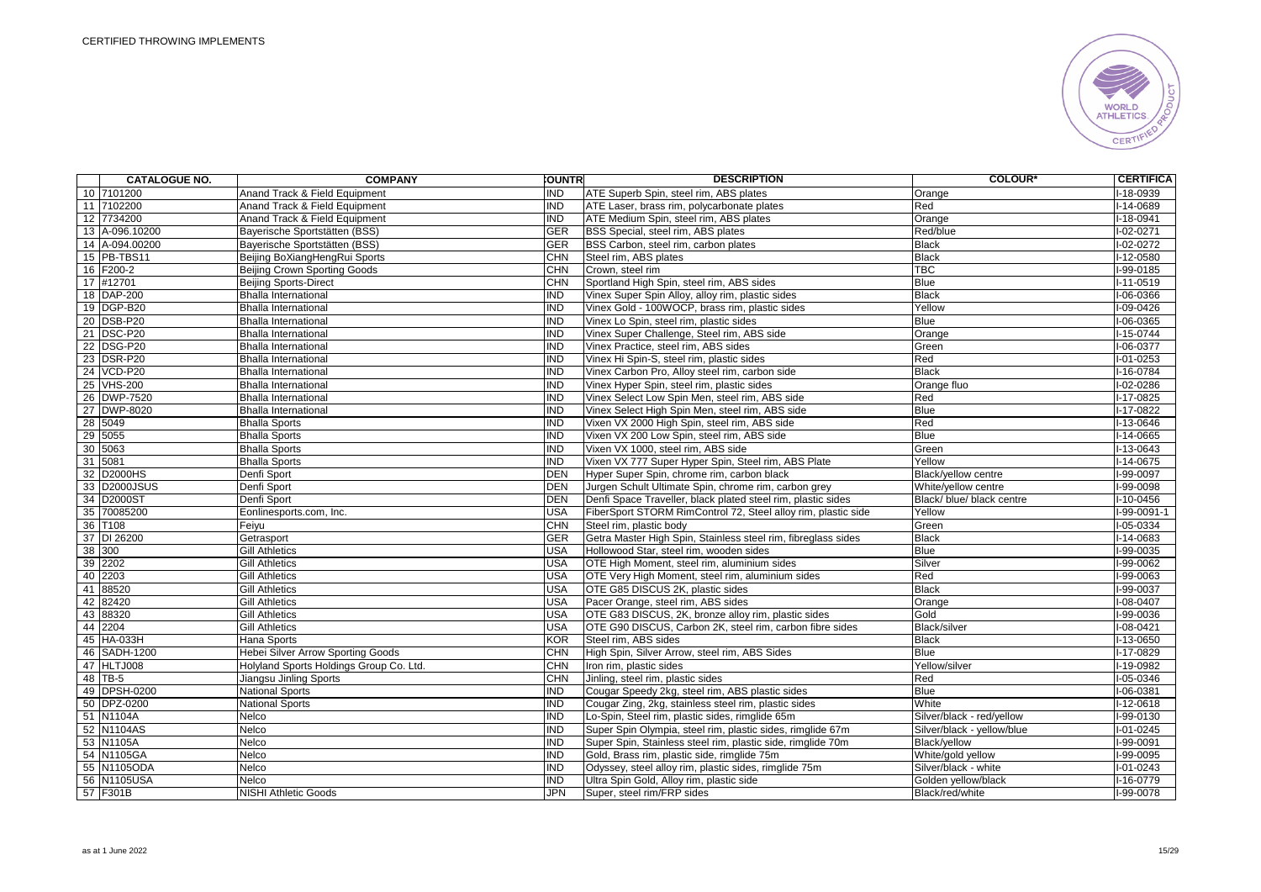

| <b>CATALOGUE NO.</b> | <b>COMPANY</b>                           | <b>COUNTR</b>           | <b>DESCRIPTION</b>                                            | <b>COLOUR*</b>             | <b>CERTIFICA</b> |
|----------------------|------------------------------------------|-------------------------|---------------------------------------------------------------|----------------------------|------------------|
| 10 7101200           | Anand Track & Field Equipment            | <b>IND</b>              | ATE Superb Spin, steel rim, ABS plates                        | Orange                     | I-18-0939        |
| 11 7102200           | Anand Track & Field Equipment            | IND                     | ATE Laser, brass rim, polycarbonate plates                    | Red                        | I-14-0689        |
| 12 7734200           | Anand Track & Field Equipment            | IND                     | ATE Medium Spin, steel rim, ABS plates                        | Orange                     | $I-18-0941$      |
| 13 A-096.10200       | Bayerische Sportstätten (BSS)            | <b>GER</b>              | BSS Special, steel rim, ABS plates                            | Red/blue                   | $I - 02 - 0271$  |
| 14 A-094.00200       | Bayerische Sportstätten (BSS)            | <b>GER</b>              | BSS Carbon, steel rim, carbon plates                          | <b>Black</b>               | I-02-0272        |
| 15 PB-TBS11          | Beiling BoXiangHengRui Sports            | <b>CHN</b>              | Steel rim. ABS plates                                         | <b>Black</b>               | I-12-0580        |
| 16 F200-2            | Beijing Crown Sporting Goods             | <b>CHN</b>              | Crown, steel rim                                              | <b>TBC</b>                 | I-99-0185        |
| 17 #12701            | <b>Beijing Sports-Direct</b>             | <b>CHN</b>              | Sportland High Spin, steel rim, ABS sides                     | <b>Blue</b>                | $I-11-0519$      |
| 18 DAP-200           | <b>Bhalla International</b>              | <b>IND</b>              | Vinex Super Spin Alloy, alloy rim, plastic sides              | <b>Black</b>               | I-06-0366        |
| 19 DGP-B20           | <b>Bhalla International</b>              | IND                     | Vinex Gold - 100WOCP, brass rim, plastic sides                | Yellow                     | I-09-0426        |
| 20 DSB-P20           | <b>Bhalla International</b>              | IND                     | Vinex Lo Spin, steel rim, plastic sides                       | Blue                       | $I-06-0365$      |
| 21 DSC-P20           | <b>Bhalla International</b>              | IND                     | Vinex Super Challenge, Steel rim, ABS side                    | Orange                     | $I-15-0744$      |
| 22 DSG-P20           | <b>Bhalla International</b>              | <b>IND</b>              | Vinex Practice, steel rim, ABS sides                          | Green                      | I-06-0377        |
| 23 DSR-P20           | <b>Bhalla International</b>              | <b>IND</b>              | Vinex Hi Spin-S, steel rim, plastic sides                     | Red                        | $I-01-0253$      |
| 24 VCD-P20           | <b>Bhalla International</b>              | <b>IND</b>              | Vinex Carbon Pro, Alloy steel rim, carbon side                | <b>Black</b>               | $I-16-0784$      |
| 25 VHS-200           | <b>Bhalla International</b>              | <b>IND</b>              | Vinex Hyper Spin, steel rim, plastic sides                    | Orange fluo                | I-02-0286        |
| 26 DWP-7520          | <b>Bhalla International</b>              | <b>IND</b>              | Vinex Select Low Spin Men, steel rim, ABS side                | Red                        | I-17-0825        |
| 27 DWP-8020          | <b>Bhalla International</b>              | IND                     | Vinex Select High Spin Men, steel rim, ABS side               | <b>Blue</b>                | $I-17-0822$      |
| 28 5049              | <b>Bhalla Sports</b>                     | IND                     | Vixen VX 2000 High Spin, steel rim, ABS side                  | Red                        | $I-13-0646$      |
| 29 5055              | <b>Bhalla Sports</b>                     | IND                     | Vixen VX 200 Low Spin, steel rim, ABS side                    | Blue                       | I-14-0665        |
| 30 5063              | <b>Bhalla Sports</b>                     | <b>IND</b>              | Vixen VX 1000, steel rim, ABS side                            | Green                      | I-13-0643        |
| 31 5081              | <b>Bhalla Sports</b>                     | <b>IND</b>              | Vixen VX 777 Super Hyper Spin, Steel rim, ABS Plate           | Yellow                     | I-14-0675        |
| 32 D2000HS           | Denfi Sport                              | <b>DEN</b>              | Hyper Super Spin, chrome rim, carbon black                    | Black/yellow centre        | I-99-0097        |
| 33 D2000JSUS         | Denfi Sport                              | <b>DEN</b>              | Jurgen Schult Ultimate Spin, chrome rim, carbon grey          | White/vellow centre        | I-99-0098        |
| 34 D2000ST           | Denfi Sport                              | <b>DEN</b>              | Denfi Space Traveller, black plated steel rim, plastic sides  | Black/ blue/ black centre  | $I-10-0456$      |
| 35 70085200          | Eonlinesports.com, Inc.                  | <b>USA</b>              | FiberSport STORM RimControl 72, Steel alloy rim, plastic side | Yellow                     | $I-99-0091-1$    |
| 36 T108              | Feiyu                                    | <b>CHN</b>              | Steel rim, plastic body                                       | Green                      | I-05-0334        |
| 37 DI 26200          | Getrasport                               | <b>GER</b>              | Getra Master High Spin, Stainless steel rim, fibreglass sides | <b>Black</b>               | I-14-0683        |
| 38 300               | <b>Gill Athletics</b>                    | <b>USA</b>              | Hollowood Star, steel rim, wooden sides                       | Blue                       | $I-99-0035$      |
| 39 2202              | <b>Gill Athletics</b>                    | <b>USA</b>              | OTE High Moment, steel rim, aluminium sides                   | Silver                     | I-99-0062        |
| 40 2203              | <b>Gill Athletics</b>                    | <b>USA</b>              | OTE Very High Moment, steel rim, aluminium sides              | Red                        | I-99-0063        |
| 41 88520             | <b>Gill Athletics</b>                    | <b>USA</b>              | OTE G85 DISCUS 2K, plastic sides                              | <b>Black</b>               | I-99-0037        |
| 42 82420             | <b>Gill Athletics</b>                    | USA                     | Pacer Orange, steel rim, ABS sides                            | Orange                     | $I-08-0407$      |
| 43 88320             | <b>Gill Athletics</b>                    | <b>USA</b>              | OTE G83 DISCUS, 2K, bronze alloy rim, plastic sides           | Gold                       | I-99-0036        |
| 44 2204              | <b>Gill Athletics</b>                    | <b>USA</b>              | OTE G90 DISCUS, Carbon 2K, steel rim, carbon fibre sides      | Black/silver               | I-08-0421        |
| 45 HA-033H           | Hana Sports                              | <b>KOR</b>              | Steel rim, ABS sides                                          | <b>Black</b>               | I-13-0650        |
| 46 SADH-1200         | <b>Hebei Silver Arrow Sporting Goods</b> | <b>CHN</b>              | High Spin, Silver Arrow, steel rim, ABS Sides                 | <b>Blue</b>                | I-17-0829        |
| 47 HLTJ008           | Holyland Sports Holdings Group Co. Ltd.  | <b>CHN</b>              | Iron rim, plastic sides                                       | Yellow/silver              | I-19-0982        |
| 48 TB-5              | Jiangsu Jinling Sports                   | <b>CHN</b>              | Jinling, steel rim, plastic sides                             | Red                        | I-05-0346        |
| 49 DPSH-0200         | <b>National Sports</b>                   | <b>IND</b>              | Cougar Speedy 2kg, steel rim, ABS plastic sides               | <b>Blue</b>                | I-06-0381        |
| 50 DPZ-0200          | National Sports                          | IND                     | Cougar Zing, 2kg, stainless steel rim, plastic sides          | White                      | $I-12-0618$      |
| 51 N1104A            | Nelco                                    | IND                     | Lo-Spin, Steel rim, plastic sides, rimglide 65m               | Silver/black - red/yellow  | I-99-0130        |
| 52 N1104AS           | Nelco                                    | $\overline{\text{IND}}$ | Super Spin Olympia, steel rim, plastic sides, rimglide 67m    | Silver/black - yellow/blue | $I-01-0245$      |
| 53 N1105A            | Nelco                                    | IND                     | Super Spin, Stainless steel rim, plastic side, rimglide 70m   | Black/yellow               | I-99-0091        |
| 54 N1105GA           | Nelco                                    | IND                     | Gold, Brass rim, plastic side, rimglide 75m                   | White/gold yellow          | $I-99-0095$      |
| 55 N1105ODA          | Nelco                                    | <b>IND</b>              | Odyssey, steel alloy rim, plastic sides, rimglide 75m         | Silver/black - white       | $I - 01 - 0243$  |
| 56 N1105USA          | Nelco                                    | <b>IND</b>              | Ultra Spin Gold, Alloy rim, plastic side                      | Golden yellow/black        | I-16-0779        |
| 57 F301B             | <b>NISHI Athletic Goods</b>              | <b>JPN</b>              | Super, steel rim/FRP sides                                    | Black/red/white            | I-99-0078        |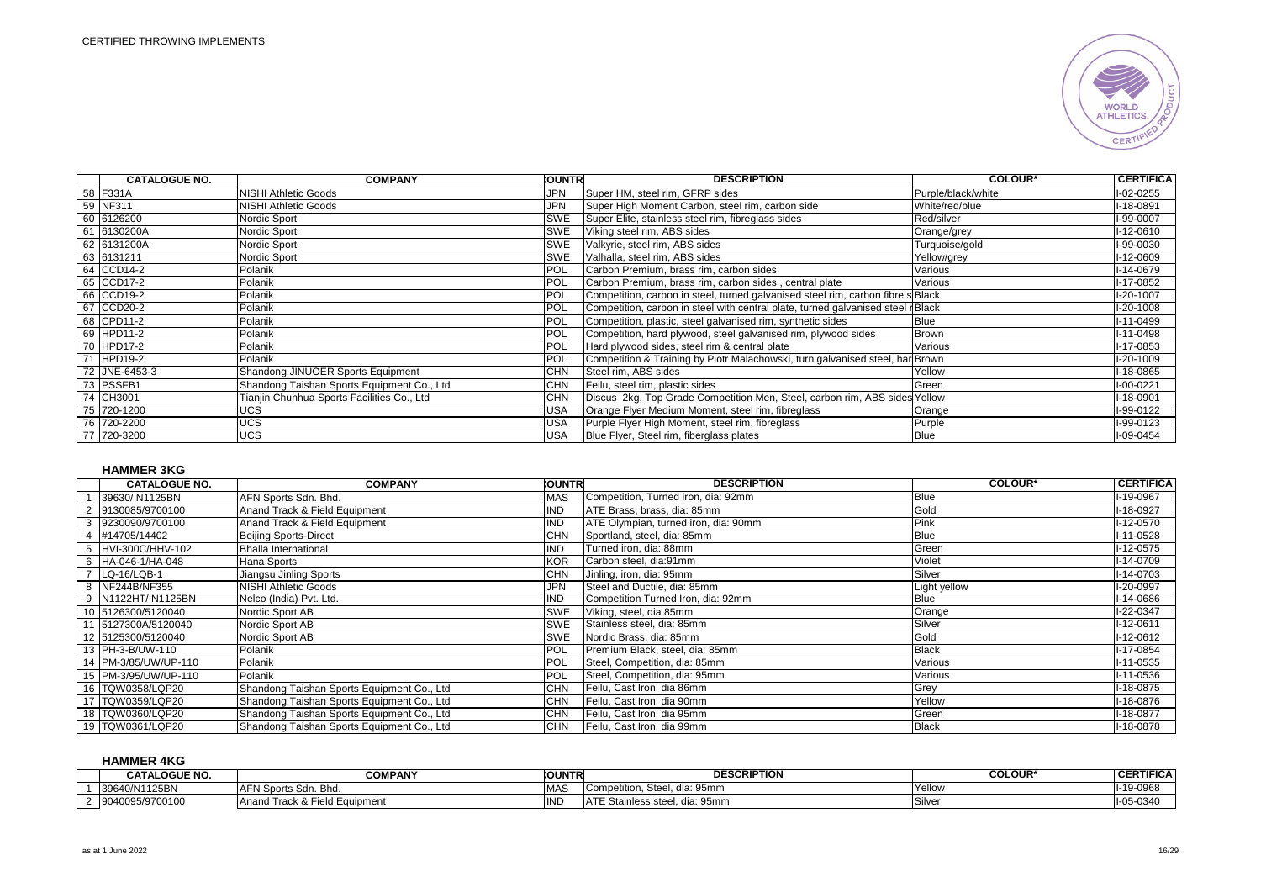

| <b>CATALOGUE NO.</b> | <b>COMPANY</b>                             | <b>CUNTRI</b> | <b>DESCRIPTION</b>                                                              | <b>COLOUR*</b>     | <b>CERTIFICA</b> |
|----------------------|--------------------------------------------|---------------|---------------------------------------------------------------------------------|--------------------|------------------|
| 58 F331A             | NISHI Athletic Goods                       | <b>JPN</b>    | Super HM, steel rim, GFRP sides                                                 | Purple/black/white | $I-02-0255$      |
| 59 NF311             | NISHI Athletic Goods                       | <b>JPN</b>    | Super High Moment Carbon, steel rim, carbon side                                | White/red/blue     | I-18-0891        |
| 60 6126200           | Nordic Sport                               | <b>SWE</b>    | Super Elite, stainless steel rim, fibreglass sides                              | Red/silver         | I-99-0007        |
| 61 6130200A          | Nordic Sport                               | <b>SWE</b>    | Viking steel rim, ABS sides                                                     | Orange/grey        | $I-12-0610$      |
| 62 6131200A          | Nordic Sport                               | <b>SWE</b>    | Valkyrie, steel rim, ABS sides                                                  | Turquoise/gold     | I-99-0030        |
| 63 6131211           | Nordic Sport                               | <b>SWE</b>    | Valhalla, steel rim, ABS sides                                                  | Yellow/grey        | I-12-0609        |
| 64 CCD14-2           | Polanik                                    | <b>POL</b>    | Carbon Premium, brass rim, carbon sides                                         | Various            | I-14-0679        |
| 65 CCD17-2           | Polanik                                    | <b>POL</b>    | Carbon Premium, brass rim, carbon sides, central plate                          | Various            | I-17-0852        |
| 66 CCD19-2           | Polanik                                    | <b>POL</b>    | Competition, carbon in steel, turned galvanised steel rim, carbon fibre s Black |                    | I-20-1007        |
| 67 CCD20-2           | Polanik                                    | POL           | Competition, carbon in steel with central plate, turned galvanised steel Black  |                    | I-20-1008        |
| 68 CPD11-2           | Polanik                                    | POL           | Competition, plastic, steel galvanised rim, synthetic sides                     | <b>Blue</b>        | $I-11-0499$      |
| 69 HPD11-2           | Polanik                                    | POL           | Competition, hard plywood, steel galvanised rim, plywood sides                  | <b>Brown</b>       | I-11-0498        |
| 70 HPD17-2           | Polanik                                    | POL           | Hard plywood sides, steel rim & central plate                                   | Various            | I-17-0853        |
| 71 HPD19-2           | Polanik                                    | <b>POL</b>    | Competition & Training by Piotr Malachowski, turn galvanised steel, har Brown   |                    | I-20-1009        |
| 72 JNE-6453-3        | Shandong JINUOER Sports Equipment          | <b>CHN</b>    | Steel rim, ABS sides                                                            | Yellow             | $I-18-0865$      |
| 73 PSSFB1            | Shandong Taishan Sports Equipment Co., Ltd | <b>CHN</b>    | Feilu, steel rim, plastic sides                                                 | Green              | I-00-0221        |
| 74 CH3001            | Tianjin Chunhua Sports Facilities Co., Ltd | CHN           | Discus 2kg, Top Grade Competition Men, Steel, carbon rim, ABS sides Yellow      |                    | $I-18-0901$      |
| 75 720-1200          | UCS                                        | <b>USA</b>    | Orange Flyer Medium Moment, steel rim, fibreglass                               | Orange             | I-99-0122        |
| 76 720-2200          | <b>UCS</b>                                 | <b>USA</b>    | Purple Flyer High Moment, steel rim, fibreglass                                 | Purple             | I-99-0123        |
| 77 720-3200          | <b>UCS</b>                                 | <b>USA</b>    | Blue Flyer, Steel rim, fiberglass plates                                        | <b>Blue</b>        | I-09-0454        |

#### **HAMMER 3KG**

| <b>CATALOGUE NO.</b>  | <b>COMPANY</b>                              | <b>:OUNTRI</b> | <b>DESCRIPTION</b>                   | <b>COLOUR*</b> | <b>CERTIFICA</b> |
|-----------------------|---------------------------------------------|----------------|--------------------------------------|----------------|------------------|
| 39630/N1125BN         | AFN Sports Sdn. Bhd.                        | <b>MAS</b>     | Competition, Turned iron, dia: 92mm  | <b>Blue</b>    | I-19-0967        |
| 2 9130085/9700100     | Anand Track & Field Equipment               | <b>IND</b>     | ATE Brass, brass, dia: 85mm          | Gold           | I-18-0927        |
| 3 9230090/9700100     | Anand Track & Field Equipment               | <b>IND</b>     | ATE Olympian, turned iron, dia: 90mm | Pink           | I-12-0570        |
| 4 #14705/14402        | <b>Beijing Sports-Direct</b>                | CHN            | Sportland, steel, dia: 85mm          | <b>Blue</b>    | $I-11-0528$      |
| 5 HVI-300C/HHV-102    | <b>Bhalla International</b>                 | <b>IND</b>     | Turned iron, dia: 88mm               | Green          | I-12-0575        |
| 6 HA-046-1/HA-048     | Hana Sports                                 | <b>KOR</b>     | Carbon steel, dia:91mm               | Violet         | I-14-0709        |
| 7 ILQ-16/LQB-1        | Jiangsu Jinling Sports                      | CHN            | Jinling, iron, dia: 95mm             | Silver         | I-14-0703        |
| 8 NF244B/NF355        | <b>NISHI Athletic Goods</b>                 | <b>JPN</b>     | Steel and Ductile, dia: 85mm         | Light yellow   | I-20-0997        |
| 9 N1122HT/N1125BN     | Nelco (India) Pvt. Ltd.                     | <b>IND</b>     | Competition Turned Iron, dia: 92mm   | <b>Blue</b>    | $I-14-0686$      |
| 10 5126300/5120040    | Nordic Sport AB                             | <b>SWE</b>     | Viking, steel, dia 85mm              | Orange         | I-22-0347        |
| 11 5127300A/5120040   | Nordic Sport AB                             | SWE            | Stainless steel, dia: 85mm           | Silver         | I-12-0611        |
| 12 5125300/5120040    | Nordic Sport AB                             | SWE            | Nordic Brass, dia: 85mm              | Gold           | $I-12-0612$      |
| 13   PH-3-B/UW-110    | Polanik                                     | <b>POL</b>     | Premium Black, steel, dia: 85mm      | <b>Black</b>   | I-17-0854        |
| 14  PM-3/85/UW/UP-110 | Polanik                                     | POL            | Steel, Competition, dia: 85mm        | Various        | $I-11-0535$      |
| 15 PM-3/95/UW/UP-110  | Polanik                                     | POL            | Steel, Competition, dia: 95mm        | Various        | I-11-0536        |
| 16 TQW0358/LQP20      | Shandong Taishan Sports Equipment Co., Ltd  | CHN            | Feilu, Cast Iron, dia 86mm           | Grey           | $I-18-0875$      |
| 17 TQW0359/LQP20      | Shandong Taishan Sports Equipment Co., Ltd  | <b>CHN</b>     | Feilu, Cast Iron, dia 90mm           | Yellow         | I-18-0876        |
| 18 TQW0360/LQP20      | Shandong Taishan Sports Equipment Co., Ltd  | CHN            | Feilu, Cast Iron, dia 95mm           | Green          | I-18-0877        |
| 19 TQW0361/LQP20      | Shandong Taishan Sports Equipment Co., Ltd. | <b>CHN</b>     | Feilu, Cast Iron, dia 99mm           | <b>Black</b>   | I-18-0878        |

#### **HAMMER 4KG**

| <b>CATALOGUE NO.</b><br>$\sim$ $\sim$ $\sim$ | COMPANY                                           | <b>COUNTR</b> | <b>DESCRIPTION</b>                        | <b>COLOUR*</b> | <b>CERTIFICA</b> |
|----------------------------------------------|---------------------------------------------------|---------------|-------------------------------------------|----------------|------------------|
| 39640/N1125BN                                | s Sdn. Bhd<br><b>AFN Sport</b>                    | <b>MAS</b>    | . dia: 95mm<br>Competition, Steel,        | Yellow         | $-19 - 096$      |
| /9700100<br>40095/97                         | ' Anar<br>. Track<br>Equipmen<br>Field,<br>.к. сх | 'inl          | $\cdot$ 95mm<br>. dia<br>Stainless steel. | Silver         | $-05 - 0340$     |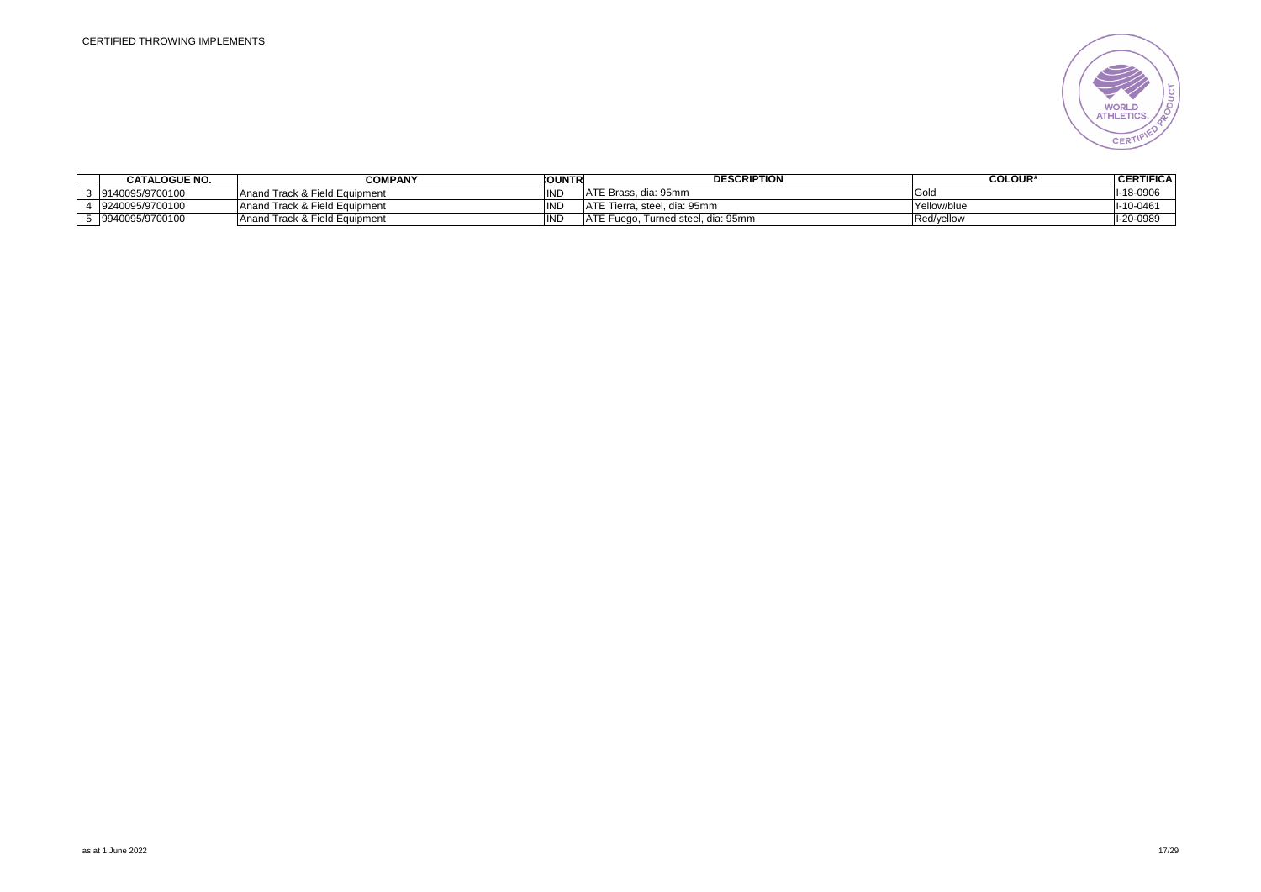

| <b>CATALOGUE NO.</b> | <b>COMPANY</b>                | <b>COUNTRI</b> | <b>DESCRIPTION</b>                      | <b>COLOUR*</b> | <b>CERTIFICA</b> |
|----------------------|-------------------------------|----------------|-----------------------------------------|----------------|------------------|
| 9140095/9700100      | Anand Track & Field Equipment | IND            | ATE Brass. dia: 95mm                    | ಂಟ             | $-18 - 0906$     |
| 9240095/9700100      | Anand Track & Field Equipment | <b>IND</b>     | ATE Tierra, steel, dia: 95mm            | Yellow/blue    | $-10 - 0461$     |
| 9940095/9700100      | Anand Track & Field Equipment | IND            | ATE Fuego.<br>. Turned steel. dia: 95mm | Red/yellow     | 1-20-0989        |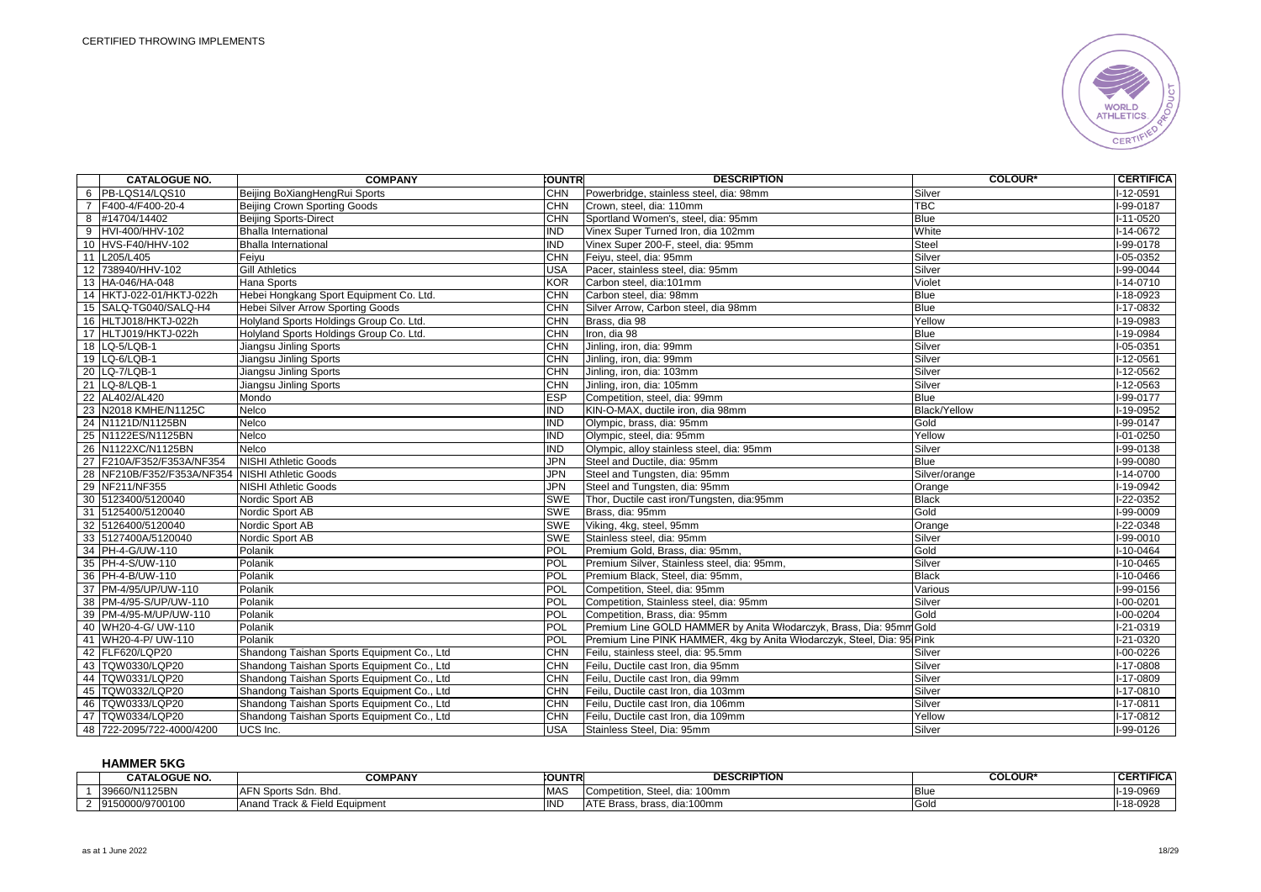

| <b>CATALOGUE NO.</b>                            | <b>COMPANY</b>                             | <b>COUNTR</b> | <b>DESCRIPTION</b>                                                     | <b>COLOUR*</b>      | <b>CERTIFICA</b> |
|-------------------------------------------------|--------------------------------------------|---------------|------------------------------------------------------------------------|---------------------|------------------|
| 6 PB-LQS14/LQS10                                | Beijing BoXiangHengRui Sports              | <b>CHN</b>    | Powerbridge, stainless steel, dia: 98mm                                | Silver              | I-12-0591        |
| 7 F400-4/F400-20-4                              | Beijing Crown Sporting Goods               | <b>CHN</b>    | Crown, steel, dia: 110mm                                               | <b>TBC</b>          | I-99-0187        |
| 8 #14704/14402                                  | <b>Beijing Sports-Direct</b>               | CHN           | Sportland Women's, steel, dia: 95mm                                    | <b>Blue</b>         | $I-11-0520$      |
| 9 HVI-400/HHV-102                               | <b>Bhalla International</b>                | IND           | Vinex Super Turned Iron, dia 102mm                                     | White               | $I-14-0672$      |
| 10 HVS-F40/HHV-102                              | <b>Bhalla International</b>                | <b>IND</b>    | Vinex Super 200-F, steel, dia: 95mm                                    | <b>Steel</b>        | I-99-0178        |
| 11 L205/L405                                    | Feiyu                                      | CHN           | Feiyu, steel, dia: 95mm                                                | Silver              | I-05-0352        |
| 12 738940/HHV-102                               | <b>Gill Athletics</b>                      | <b>USA</b>    | Pacer, stainless steel, dia: 95mm                                      | Silver              | $I-99-0044$      |
| 13 HA-046/HA-048                                | <b>Hana Sports</b>                         | KOR           | Carbon steel, dia:101mm                                                | Violet              | $I-14-0710$      |
| 14 HKTJ-022-01/HKTJ-022h                        | Hebei Hongkang Sport Equipment Co. Ltd.    | <b>CHN</b>    | Carbon steel, dia: 98mm                                                | <b>Blue</b>         | I-18-0923        |
| 15 SALQ-TG040/SALQ-H4                           | Hebei Silver Arrow Sporting Goods          | <b>CHN</b>    | Silver Arrow, Carbon steel, dia 98mm                                   | <b>Blue</b>         | I-17-0832        |
| 16 HLTJ018/HKTJ-022h                            | Holyland Sports Holdings Group Co. Ltd.    | <b>CHN</b>    | Brass, dia 98                                                          | Yellow              | $I-19-0983$      |
| 17 HLTJ019/HKTJ-022h                            | Holyland Sports Holdings Group Co. Ltd.    | <b>CHN</b>    | Iron, dia 98                                                           | <b>Blue</b>         | I-19-0984        |
| 18 LQ-5/LQB-1                                   | Jiangsu Jinling Sports                     | <b>CHN</b>    | Jinling, iron, dia: 99mm                                               | Silver              | I-05-0351        |
| 19 LQ-6/LQB-1                                   | Jiangsu Jinling Sports                     | <b>CHN</b>    | Jinling, iron, dia: 99mm                                               | Silver              | $I-12-0561$      |
| 20 LQ-7/LQB-1                                   | Jiangsu Jinling Sports                     | <b>CHN</b>    | Jinling, iron, dia: 103mm                                              | Silver              | $I-12-0562$      |
| 21 LQ-8/LQB-1                                   | Jiangsu Jinling Sports                     | <b>CHN</b>    | Jinling, iron, dia: 105mm                                              | Silver              | I-12-0563        |
| 22 AL402/AL420                                  | Mondo                                      | <b>ESP</b>    | Competition, steel, dia: 99mm                                          | <b>Blue</b>         | I-99-0177        |
| 23 N2018 KMHE/N1125C                            | Nelco                                      | <b>IND</b>    | KIN-O-MAX, ductile iron, dia 98mm                                      | <b>Black/Yellow</b> | I-19-0952        |
| 24 N1121D/N1125BN                               | Nelco                                      | IND           | Olympic, brass, dia: 95mm                                              | Gold                | I-99-0147        |
| 25 N1122ES/N1125BN                              | Nelco                                      | <b>IND</b>    | Olympic, steel, dia: 95mm                                              | Yellow              | I-01-0250        |
| 26 N1122XC/N1125BN                              | Nelco                                      | IND           | Olympic, alloy stainless steel, dia: 95mm                              | Silver              | $I-99-0138$      |
| 27 F210A/F352/F353A/NF354                       | <b>NISHI Athletic Goods</b>                | <b>JPN</b>    | Steel and Ductile, dia: 95mm                                           | <b>Blue</b>         | I-99-0080        |
| 28 NF210B/F352/F353A/NF354 NISHI Athletic Goods |                                            | <b>JPN</b>    | Steel and Tungsten, dia: 95mm                                          | Silver/orange       | $I-14-0700$      |
| 29 NF211/NF355                                  | <b>NISHI Athletic Goods</b>                | <b>JPN</b>    | Steel and Tungsten, dia: 95mm                                          | Orange              | $1-19-0942$      |
| 30 5123400/5120040                              | Nordic Sport AB                            | <b>SWE</b>    | Thor, Ductile cast iron/Tungsten, dia:95mm                             | <b>Black</b>        | $1-22-0352$      |
| 31 5125400/5120040                              | Nordic Sport AB                            | <b>SWE</b>    | Brass, dia: 95mm                                                       | Gold                | $1-99-0009$      |
| 32 5126400/5120040                              | Nordic Sport AB                            | <b>SWE</b>    | Viking, 4kg, steel, 95mm                                               | Orange              | $1-22-0348$      |
| 33 5127400A/5120040                             | Nordic Sport AB                            | <b>SWE</b>    | Stainless steel, dia: 95mm                                             | Silver              | I-99-0010        |
| 34 PH-4-G/UW-110                                | Polanik                                    | POL           | Premium Gold, Brass, dia: 95mm,                                        | Gold                | $I-10-0464$      |
| 35 PH-4-S/UW-110                                | Polanik                                    | POL           | Premium Silver, Stainless steel, dia: 95mm,                            | Silver              | $I-10-0465$      |
| 36 PH-4-B/UW-110                                | Polanik                                    | POL           | Premium Black, Steel, dia: 95mm,                                       | <b>Black</b>        | I-10-0466        |
| 37 PM-4/95/UP/UW-110                            | Polanik                                    | <b>POL</b>    | Competition, Steel, dia: 95mm                                          | Various             | I-99-0156        |
| 38 PM-4/95-S/UP/UW-110                          | Polanik                                    | POL           | Competition, Stainless steel, dia: 95mm                                | Silver              | $I-00-0201$      |
| 39 PM-4/95-M/UP/UW-110                          | Polanik                                    | <b>POL</b>    | Competition, Brass, dia: 95mm                                          | Gold                | I-00-0204        |
| 40 WH20-4-G/ UW-110                             | Polanik                                    | POL           | Premium Line GOLD HAMMER by Anita Włodarczyk, Brass, Dia: 95mm Gold    |                     | I-21-0319        |
| 41 WH20-4-P/ UW-110                             | Polanik                                    | POL           | Premium Line PINK HAMMER, 4kg by Anita Włodarczyk, Steel, Dia: 95 Pink |                     | $1-21-0320$      |
| 42 FLF620/LQP20                                 | Shandong Taishan Sports Equipment Co., Ltd | <b>CHN</b>    | Feilu, stainless steel, dia: 95.5mm                                    | Silver              | $I-00-0226$      |
| 43 TQW0330/LQP20                                | Shandong Taishan Sports Equipment Co., Ltd | <b>CHN</b>    | Feilu, Ductile cast Iron, dia 95mm                                     | Silver              | I-17-0808        |
| 44 TQW0331/LQP20                                | Shandong Taishan Sports Equipment Co., Ltd | <b>CHN</b>    | Feilu, Ductile cast Iron, dia 99mm                                     | Silver              | I-17-0809        |
| 45 TQW0332/LQP20                                | Shandong Taishan Sports Equipment Co., Ltd | <b>CHN</b>    | Feilu, Ductile cast Iron, dia 103mm                                    | Silver              | $I-17-0810$      |
| 46 TQW0333/LQP20                                | Shandong Taishan Sports Equipment Co., Ltd | CHN           | Feilu, Ductile cast Iron, dia 106mm                                    | Silver              | $I-17-0811$      |
| 47 TQW0334/LQP20                                | Shandong Taishan Sports Equipment Co., Ltd | <b>CHN</b>    | Feilu. Ductile cast Iron, dia 109mm                                    | Yellow              | I-17-0812        |
| 48 722-2095/722-4000/4200                       | UCS Inc.                                   | <b>USA</b>    | Stainless Steel, Dia: 95mm                                             | Silver              | I-99-0126        |

#### **HAMMER 5KG**

| <b>CATALOGUE NO.</b> | <b>COMPANY</b>                          | <b>COUNTR</b> | <b>DESCRIPTION</b>                                              | <b>COLOUR'</b> | <b>CERTIFICA</b> |
|----------------------|-----------------------------------------|---------------|-----------------------------------------------------------------|----------------|------------------|
| 39660/N1125BN        | <b>AFNS</b><br>.-N Sports Sdn<br>Bhd.   | <b>MAS</b>    | $\sim$ $\sim$ $\sim$<br>Steel. dia:<br>dia: 100mm<br>ompetition | <b>Blue</b>    | I-19-0969        |
| 9150000/9700100      | & Field Equipment<br>⊤rack & ∟<br>Anano | .<br>שו       | dia:100mm<br>ATF P<br>. Brass<br>rass, brass.                   | Gold           | $-18 - 0928$     |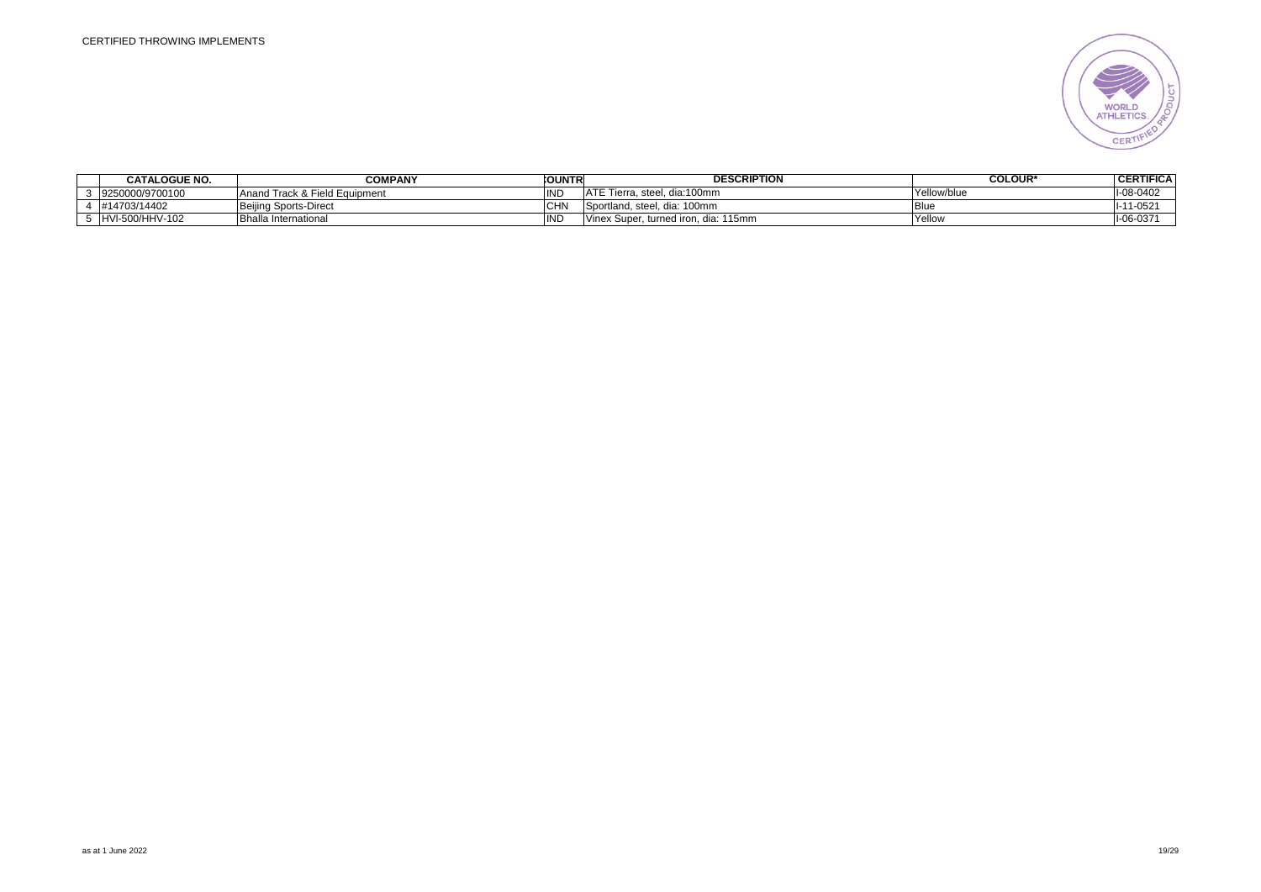

| <b>CATALOGUE NO.</b> | <b>COMPANY</b>                | <b>COUNTRI</b> | <b>DESCRIPTION</b>                   | <b>COLOUR*</b> | <b>CERTIFICA</b> |
|----------------------|-------------------------------|----------------|--------------------------------------|----------------|------------------|
| 9250000/9700100      | Anand Track & Field Equipment | INL            | ATE Tierra, steel, dia:100mm         | Yellow/blue    | 1-08-0402        |
| #14703/14402         | Beijing Sports-Direct         | <b>CHN</b>     | Sportland, steel, dia: 100mm         | <b>Blue</b>    | $-11 - 0521$     |
| HVI-500/HHV-102      | IBhalla International         | IND            | Vinex Super, turned iron, dia: 115mm | Yellow         | $1-06-037'$      |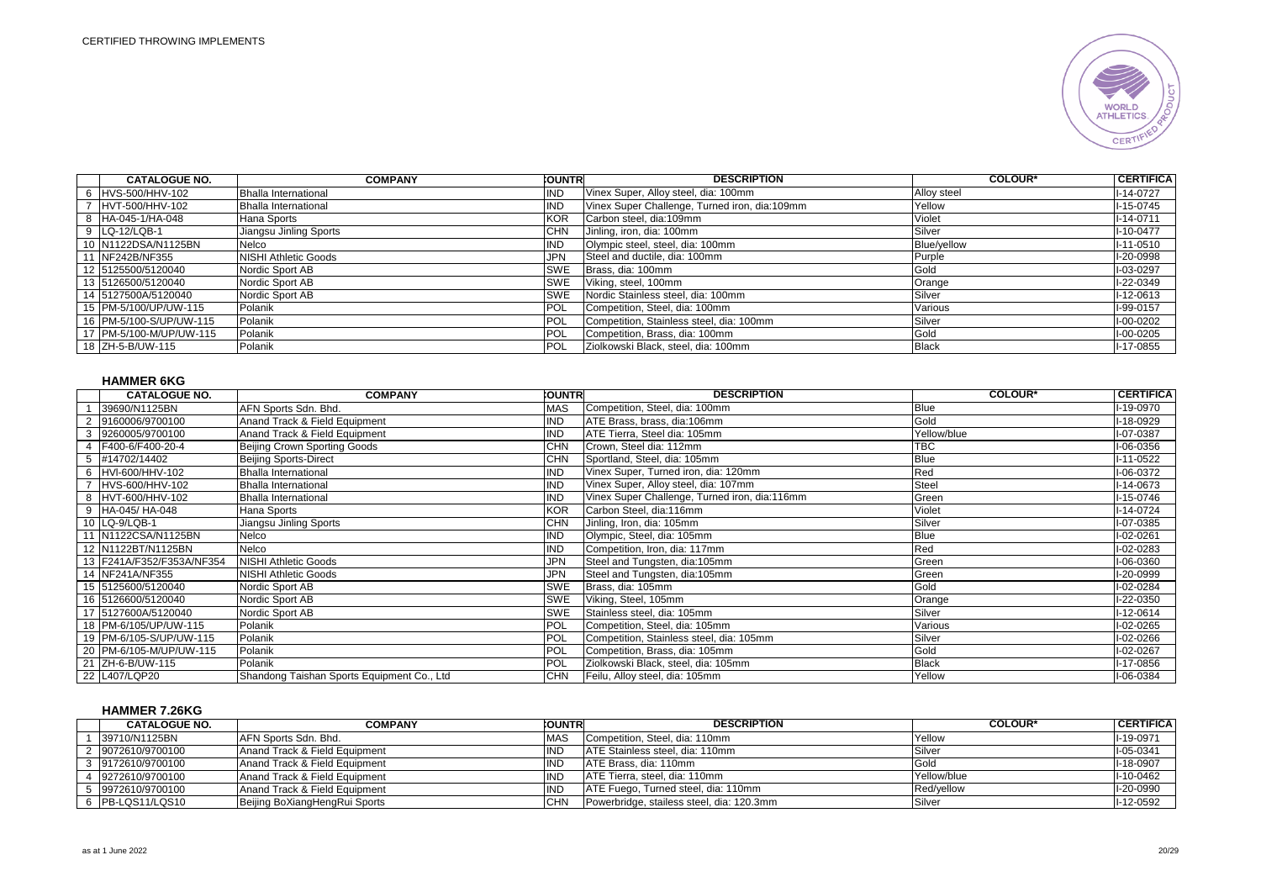

| <b>CATALOGUE NO.</b>      | <b>COMPANY</b>              | <b>COUNTR</b> | <b>DESCRIPTION</b>                            | <b>COLOUR*</b> | <b>CERTIFICA</b> |
|---------------------------|-----------------------------|---------------|-----------------------------------------------|----------------|------------------|
| 6 HVS-500/HHV-102         | Bhalla International        | <b>IND</b>    | Vinex Super, Alloy steel, dia: 100mm          | Alloy steel    | $I-14-0727$      |
| 7 HVT-500/HHV-102         | <b>Bhalla International</b> | <b>IND</b>    | Vinex Super Challenge, Turned iron, dia:109mm | Yellow         | I-15-0745        |
| 8 HA-045-1/HA-048         | Hana Sports                 | <b>KOR</b>    | Carbon steel, dia:109mm                       | Violet         | $I - 14 - 0711$  |
| 9 LQ-12/LQB-1             | Jiangsu Jinling Sports      | <b>CHN</b>    | Jinling, iron, dia: 100mm                     | Silver         | $I - 10 - 0477$  |
| 10 N1122DSA/N1125BN       | Nelco                       | <b>IND</b>    | Olympic steel, steel, dia: 100mm              | Blue/yellow    | I-11-0510        |
| 11 NF242B/NF355           | <b>NISHI Athletic Goods</b> | <b>JPN</b>    | Steel and ductile, dia: 100mm                 | Purple         | I-20-0998        |
| 12 5125500/5120040        | Nordic Sport AB             | <b>SWE</b>    | Brass, dia: 100mm                             | Gold           | I-03-0297        |
| 13 5126500/5120040        | Nordic Sport AB             | <b>SWE</b>    | Viking, steel, 100mm                          | Orange         | I-22-0349        |
| 14 5127500A/5120040       | Nordic Sport AB             | <b>SWE</b>    | Nordic Stainless steel, dia: 100mm            | Silver         | $I-12-0613$      |
| 15 PM-5/100/UP/UW-115     | Polanik                     | POL           | Competition, Steel, dia: 100mm                | Various        | I-99-0157        |
| 16   PM-5/100-S/UP/UW-115 | Polanik                     | POL           | Competition, Stainless steel, dia: 100mm      | Silver         | I-00-0202        |
| 17   PM-5/100-M/UP/UW-115 | Polanik                     | <b>POL</b>    | Competition, Brass, dia: 100mm                | Gold           | I-00-0205        |
| 18 ZH-5-B/UW-115          | Polanik                     | <b>POL</b>    | Ziolkowski Black, steel, dia: 100mm           | <b>Black</b>   | I-17-0855        |

## **HAMMER 6KG**

|   | <b>CATALOGUE NO.</b>      | <b>COMPANY</b>                             | <b>OUNTRI</b> | <b>DESCRIPTION</b>                            | <b>COLOUR*</b> | <b>CERTIFICA</b> |
|---|---------------------------|--------------------------------------------|---------------|-----------------------------------------------|----------------|------------------|
|   | 39690/N1125BN             | AFN Sports Sdn. Bhd.                       | <b>MAS</b>    | Competition, Steel, dia: 100mm                | <b>Blue</b>    | I-19-0970        |
|   | 2 9160006/9700100         | Anand Track & Field Equipment              | <b>IND</b>    | ATE Brass, brass, dia:106mm                   | Gold           | I-18-0929        |
|   | 3 9260005/9700100         | Anand Track & Field Equipment              | <b>IND</b>    | ATE Tierra, Steel dia: 105mm                  | Yellow/blue    | I-07-0387        |
| 4 | F400-6/F400-20-4          | Beijing Crown Sporting Goods               | <b>CHN</b>    | Crown, Steel dia: 112mm                       | TBC            | I-06-0356        |
|   | 5 #14702/14402            | <b>Beijing Sports-Direct</b>               | <b>CHN</b>    | Sportland, Steel, dia: 105mm                  | Blue           | $I-11-0522$      |
|   | 6 HVI-600/HHV-102         | <b>Bhalla International</b>                | <b>IND</b>    | Vinex Super, Turned iron, dia: 120mm          | Red            | I-06-0372        |
|   | HVS-600/HHV-102           | <b>Bhalla International</b>                | <b>IND</b>    | Vinex Super, Alloy steel, dia: 107mm          | <b>Steel</b>   | $I-14-0673$      |
|   | 8 HVT-600/HHV-102         | <b>Bhalla International</b>                | <b>IND</b>    | Vinex Super Challenge, Turned iron, dia:116mm | Green          | $I-15-0746$      |
|   | 9 HA-045/ HA-048          | Hana Sports                                | <b>KOR</b>    | Carbon Steel, dia:116mm                       | Violet         | $I-14-0724$      |
|   | 10 LQ-9/LQB-1             | Jiangsu Jinling Sports                     | <b>CHN</b>    | Jinling, Iron, dia: 105mm                     | Silver         | I-07-0385        |
|   | 11 N1122CSA/N1125BN       | Nelco                                      | <b>IND</b>    | Olympic, Steel, dia: 105mm                    | <b>Blue</b>    | I-02-0261        |
|   | 12 N1122BT/N1125BN        | Nelco                                      | <b>IND</b>    | Competition, Iron, dia: 117mm                 | Red            | I-02-0283        |
|   | 13 F241A/F352/F353A/NF354 | <b>NISHI Athletic Goods</b>                | <b>JPN</b>    | Steel and Tungsten, dia:105mm                 | Green          | I-06-0360        |
|   | 14 NF241A/NF355           | <b>NISHI Athletic Goods</b>                | <b>JPN</b>    | Steel and Tungsten, dia:105mm                 | Green          | I-20-0999        |
|   | 15 5125600/5120040        | Nordic Sport AB                            | <b>SWE</b>    | Brass, dia: 105mm                             | Gold           | I-02-0284        |
|   | 16 5126600/5120040        | Nordic Sport AB                            | <b>SWE</b>    | Viking, Steel, 105mm                          | Orange         | I-22-0350        |
|   | 17 5127600A/5120040       | Nordic Sport AB                            | SWE           | Stainless steel, dia: 105mm                   | Silver         | $I-12-0614$      |
|   | 18 PM-6/105/UP/UW-115     | Polanik                                    | POL           | Competition, Steel, dia: 105mm                | Various        | $I-02-0265$      |
|   | 19 PM-6/105-S/UP/UW-115   | Polanik                                    | POL           | Competition, Stainless steel, dia: 105mm      | Silver         | I-02-0266        |
|   | 20 PM-6/105-M/UP/UW-115   | Polanik                                    | <b>POL</b>    | Competition, Brass, dia: 105mm                | Gold           | I-02-0267        |
|   | 21 ZH-6-B/UW-115          | Polanik                                    | <b>POL</b>    | Ziolkowski Black, steel, dia: 105mm           | <b>Black</b>   | I-17-0856        |
|   | 22 L407/LQP20             | Shandong Taishan Sports Equipment Co., Ltd | <b>CHN</b>    | Feilu, Alloy steel, dia: 105mm                | Yellow         | I-06-0384        |

# **HAMMER 7.26KG**

| <b>CATALOGUE NO.</b> | <b>COMPANY</b>                | <b>COUNTR</b> | <b>DESCRIPTION</b>                        | <b>COLOUR*</b> | <b>CERTIFICA</b> |
|----------------------|-------------------------------|---------------|-------------------------------------------|----------------|------------------|
| 39710/N1125BN        | <b>JAFN Sports Sdn. Bhd.</b>  | <b>MAS</b>    | ICompetition. Steel. dia: 110mm           | Yellow         | I-19-0971        |
| 2 9072610/9700100    | Anand Track & Field Equipment | IND           | ATE Stainless steel, dia: 110mm           | Silver         | $I-05-0341$      |
| 3 9172610/9700100    | Anand Track & Field Equipment | <b>IND</b>    | ATE Brass, dia: 110mm                     | Gold           | I-18-0907        |
| 9272610/9700100      | Anand Track & Field Equipment | IND           | IATE Tierra, steel, dia: 110mm            | Yellow/blue    | I-10-0462        |
| 9972610/9700100      | Anand Track & Field Equipment | <b>IND</b>    | ATE Fuego, Turned steel, dia: 110mm       | Red/vellow     | I-20-0990        |
| 6 PB-LQS11/LQS10     | Beijing BoXiangHengRui Sports | <b>CHN</b>    | Powerbridge, stailess steel, dia: 120.3mm | Silver         | I-12-0592        |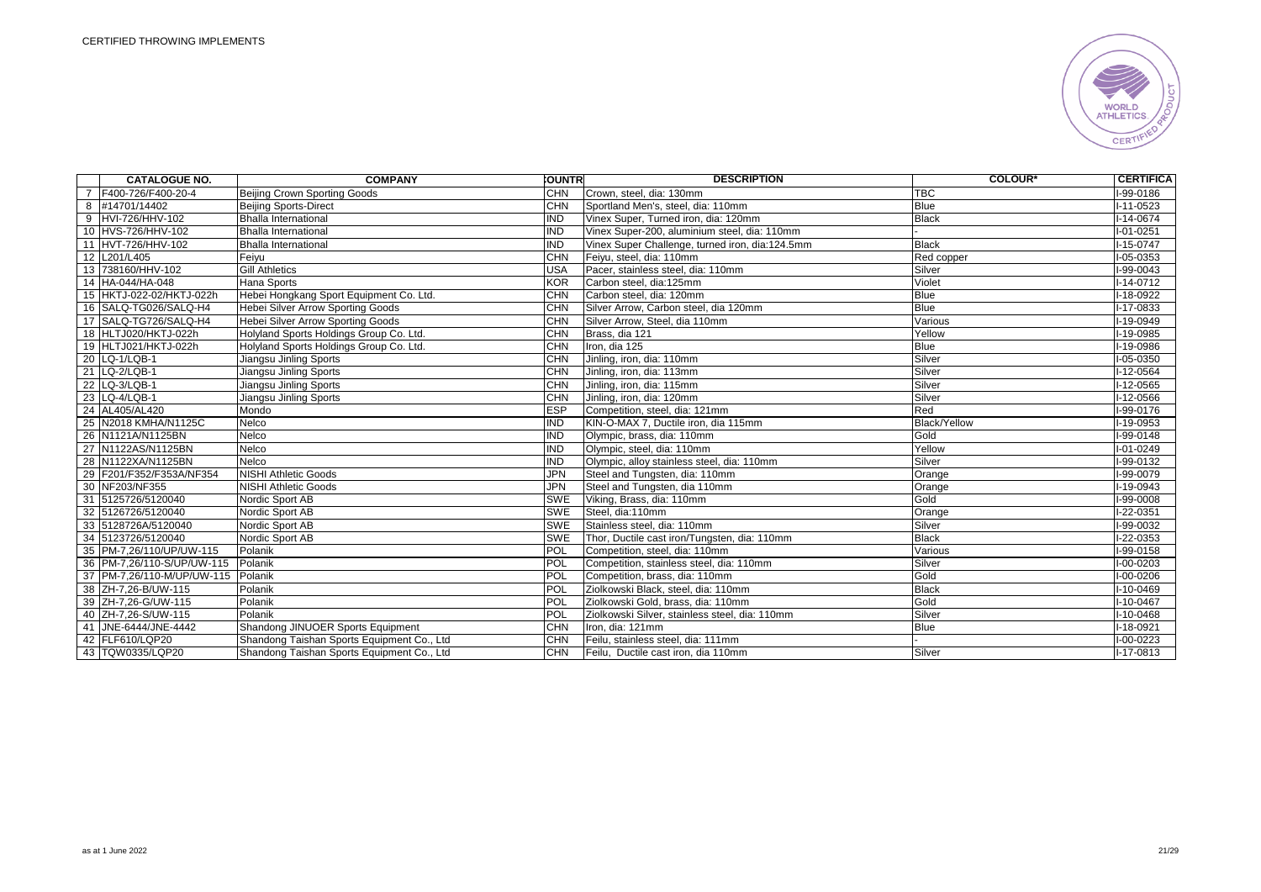

|                | <b>CATALOGUE NO.</b>       | <b>COMPANY</b>                             | <b>COUNTRI</b> | <b>DESCRIPTION</b>                              | <b>COLOUR*</b>      | <b>CERTIFICA</b> |
|----------------|----------------------------|--------------------------------------------|----------------|-------------------------------------------------|---------------------|------------------|
| $\overline{7}$ | F400-726/F400-20-4         | <b>Beijing Crown Sporting Goods</b>        | <b>CHN</b>     | Crown, steel, dia: 130mm                        | <b>TBC</b>          | I-99-0186        |
|                | 8 #14701/14402             | <b>Beijing Sports-Direct</b>               | <b>CHN</b>     | Sportland Men's, steel, dia: 110mm              | <b>Blue</b>         | $I - 11 - 0523$  |
|                | 9 HVI-726/HHV-102          | <b>Bhalla International</b>                | <b>IND</b>     | Vinex Super, Turned iron, dia: 120mm            | <b>Black</b>        | $I-14-0674$      |
|                | 10 HVS-726/HHV-102         | <b>Bhalla International</b>                | <b>IND</b>     | Vinex Super-200, aluminium steel, dia: 110mm    |                     | $I - 01 - 0251$  |
|                | 11 HVT-726/HHV-102         | <b>Bhalla International</b>                | <b>IND</b>     | Vinex Super Challenge, turned iron, dia:124.5mm | <b>Black</b>        | I-15-0747        |
|                | 12 L201/L405               | Feiyu                                      | <b>CHN</b>     | Feiyu, steel, dia: 110mm                        | Red copper          | I-05-0353        |
|                | 13 738160/HHV-102          | <b>Gill Athletics</b>                      | <b>USA</b>     | Pacer, stainless steel, dia: 110mm              | Silver              | I-99-0043        |
|                | 14 HA-044/HA-048           | Hana Sports                                | KOR            | Carbon steel, dia:125mm                         | Violet              | I-14-0712        |
|                | 15 HKTJ-022-02/HKTJ-022h   | Hebei Hongkang Sport Equipment Co. Ltd.    | <b>CHN</b>     | Carbon steel, dia: 120mm                        | <b>Blue</b>         | I-18-0922        |
|                | 16 SALQ-TG026/SALQ-H4      | Hebei Silver Arrow Sporting Goods          | <b>CHN</b>     | Silver Arrow, Carbon steel, dia 120mm           | <b>Blue</b>         | I-17-0833        |
|                | 17 SALQ-TG726/SALQ-H4      | Hebei Silver Arrow Sporting Goods          | <b>CHN</b>     | Silver Arrow, Steel, dia 110mm                  | Various             | I-19-0949        |
|                | 18 HLTJ020/HKTJ-022h       | Holyland Sports Holdings Group Co. Ltd.    | <b>CHN</b>     | Brass, dia 121                                  | Yellow              | $I-19-0985$      |
|                | 19 HLTJ021/HKTJ-022h       | Holyland Sports Holdings Group Co. Ltd.    | <b>CHN</b>     | Iron, dia 125                                   | <b>Blue</b>         | I-19-0986        |
|                | 20 LQ-1/LQB-1              | Jiangsu Jinling Sports                     | <b>CHN</b>     | Jinling, iron, dia: 110mm                       | Silver              | $I-05-0350$      |
|                | 21 LQ-2/LQB-1              | Jiangsu Jinling Sports                     | <b>CHN</b>     | Jinling, iron, dia: 113mm                       | Silver              | I-12-0564        |
|                | 22 LQ-3/LQB-1              | Jiangsu Jinling Sports                     | <b>CHN</b>     | Jinling, iron, dia: 115mm                       | Silver              | $-12 - 0565$     |
|                | 23 LQ-4/LQB-1              | Jiangsu Jinling Sports                     | <b>CHN</b>     | Jinling, iron, dia: 120mm                       | Silver              | $-12 - 0566$     |
|                | 24 AL405/AL420             | Mondo                                      | <b>IESP</b>    | Competition, steel, dia: 121mm                  | Red                 | $1-99-0176$      |
|                | 25 N2018 KMHA/N1125C       | Nelco                                      | <b>IND</b>     | KIN-O-MAX 7. Ductile iron, dia 115mm            | <b>Black/Yellow</b> | I-19-0953        |
|                | 26 N1121A/N1125BN          | Nelco                                      | <b>IND</b>     | Olympic, brass, dia: 110mm                      | Gold                | I-99-0148        |
|                | 27 N1122AS/N1125BN         | Nelco                                      | IND            | Olympic, steel, dia: 110mm                      | Yellow              | I-01-0249        |
|                | 28 N1122XA/N1125BN         | Nelco                                      | IND            | Olympic, alloy stainless steel, dia: 110mm      | Silver              | I-99-0132        |
|                | 29 F201/F352/F353A/NF354   | <b>NISHI Athletic Goods</b>                | JPN            | Steel and Tungsten, dia: 110mm                  | Orange              | I-99-0079        |
|                | 30 NF203/NF355             | <b>NISHI Athletic Goods</b>                | <b>JPN</b>     | Steel and Tungsten, dia 110mm                   | Orange              | $-19 - 0943$     |
|                | 31 5125726/5120040         | Nordic Sport AB                            | <b>SWE</b>     | Viking, Brass, dia: 110mm                       | Gold                | I-99-0008        |
|                | 32 5126726/5120040         | Nordic Sport AB                            | <b>SWE</b>     | Steel, dia:110mm                                | Orange              | $-22 - 0351$     |
|                | 33 5128726A/5120040        | Nordic Sport AB                            | <b>SWE</b>     | Stainless steel. dia: 110mm                     | Silver              | I-99-0032        |
|                | 34 5123726/5120040         | Nordic Sport AB                            | <b>SWE</b>     | Thor, Ductile cast iron/Tungsten, dia: 110mm    | <b>Black</b>        | -22-0353         |
|                | 35 PM-7,26/110/UP/UW-115   | Polanik                                    | POL            | Competition, steel, dia: 110mm                  | Various             | I-99-0158        |
|                | 36 PM-7,26/110-S/UP/UW-115 | Polanik                                    | POL            | Competition, stainless steel, dia: 110mm        | Silver              | $I-00-0203$      |
|                | 37 PM-7,26/110-M/UP/UW-115 | Polanik                                    | <b>POL</b>     | Competition, brass, dia: 110mm                  | Gold                | I-00-0206        |
|                | 38 ZH-7,26-B/UW-115        | Polanik                                    | <b>POL</b>     | Ziolkowski Black, steel, dia: 110mm             | <b>Black</b>        | I-10-0469        |
|                | 39 ZH-7,26-G/UW-115        | Polanik                                    | <b>POL</b>     | Ziolkowski Gold, brass, dia: 110mm              | Gold                | $1 - 10 - 0467$  |
|                | 40 ZH-7,26-S/UW-115        | Polanik                                    | POL            | Ziolkowski Silver, stainless steel, dia: 110mm  | Silver              | $-10 - 0468$     |
|                | 41 JNE-6444/JNE-4442       | Shandong JINUOER Sports Equipment          | <b>CHN</b>     | Iron, dia: 121mm                                | <b>Blue</b>         | I-18-0921        |
|                | 42 FLF610/LQP20            | Shandong Taishan Sports Equipment Co., Ltd | <b>CHN</b>     | Feilu, stainless steel, dia: 111mm              |                     | I-00-0223        |
|                | 43 TQW0335/LQP20           | Shandong Taishan Sports Equipment Co., Ltd | <b>CHN</b>     | Feilu, Ductile cast iron, dia 110mm             | Silver              | I-17-0813        |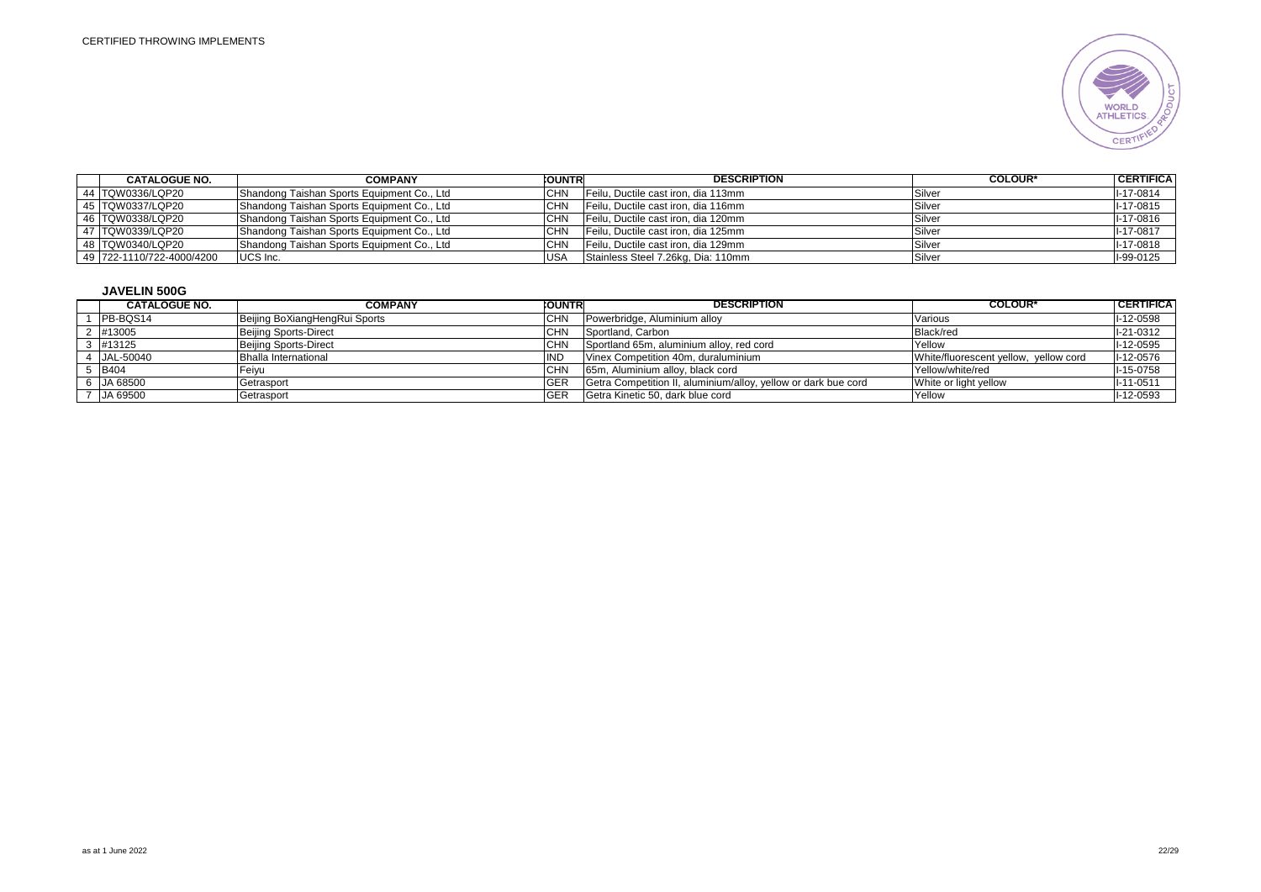

| <b>CATALOGUE NO.</b>      | <b>COMPANY</b>                             | <b>COUNTR</b> | <b>DESCRIPTION</b>                  | <b>COLOUR*</b> | <b>CERTIFICA</b> |
|---------------------------|--------------------------------------------|---------------|-------------------------------------|----------------|------------------|
| 44 TQW0336/LQP20          | Shandong Taishan Sports Equipment Co., Ltd | CHN           | Feilu. Ductile cast iron, dia 113mm | Silver         | $I-17-0814$      |
| 45 TQW0337/LQP20          | Shandong Taishan Sports Equipment Co., Ltd | CHN           | Feilu. Ductile cast iron, dia 116mm | Silver         | I-17-0815        |
| 46 TQW0338/LQP20          | Shandong Taishan Sports Equipment Co., Ltd | <b>CHN</b>    | Feilu, Ductile cast iron, dia 120mm | Silver         | I-17-0816        |
| 47 TQW0339/LQP20          | Shandong Taishan Sports Equipment Co., Ltd | <b>CHN</b>    | Feilu, Ductile cast iron, dia 125mm | Silver         | $II - 17 - 0817$ |
| 48 TQW0340/LQP20          | Shandong Taishan Sports Equipment Co., Ltd | СHМ           | Feilu, Ductile cast iron, dia 129mm | Silver         | I-17-0818        |
| 49 722-1110/722-4000/4200 | UCS Inc.                                   | <b>USA</b>    | Stainless Steel 7.26kg, Dia: 110mm  | Silver         | I-99-0125        |

# **JAVELIN 500G**

| <b>CATALOGUE NO.</b> | <b>COMPANY</b>                | <b>COUNTR</b> | <b>DESCRIPTION</b>                                             | <b>COLOUR*</b>                        | I CERTIFICA I |
|----------------------|-------------------------------|---------------|----------------------------------------------------------------|---------------------------------------|---------------|
| IPB-BQS14            | Beijing BoXiangHengRui Sports | CHN           | Powerbridge, Aluminium alloy                                   | Various                               | I-12-0598     |
| ! #13005             | <b>Beijing Sports-Direct</b>  | <b>CHN</b>    | Sportland, Carbon                                              | Black/red                             | $I-21-0312$   |
| #13125               | <b>Beijing Sports-Direct</b>  | СHМ           | Sportland 65m, aluminium alloy, red cord                       | Yellow                                | I-12-0595     |
| JAL-50040            | <b>Bhalla International</b>   | ND            | Vinex Competition 40m, duraluminium                            | White/fluorescent yellow, yellow cord | $I-12-0576$   |
| <b>B404</b>          | Feivu                         | СНՒ           | 65m, Aluminium alloy, black cord                               | Yellow/white/red                      | $I-15-0758$   |
| JA 68500             | Getrasport                    | <b>GEF</b>    | Getra Competition II, aluminium/alloy, yellow or dark bue cord | White or light yellow                 | $I-11-0511$   |
| JA 69500             | Getrasport                    | <b>GER</b>    | Getra Kinetic 50, dark blue cord                               | Yellow                                | I-12-0593     |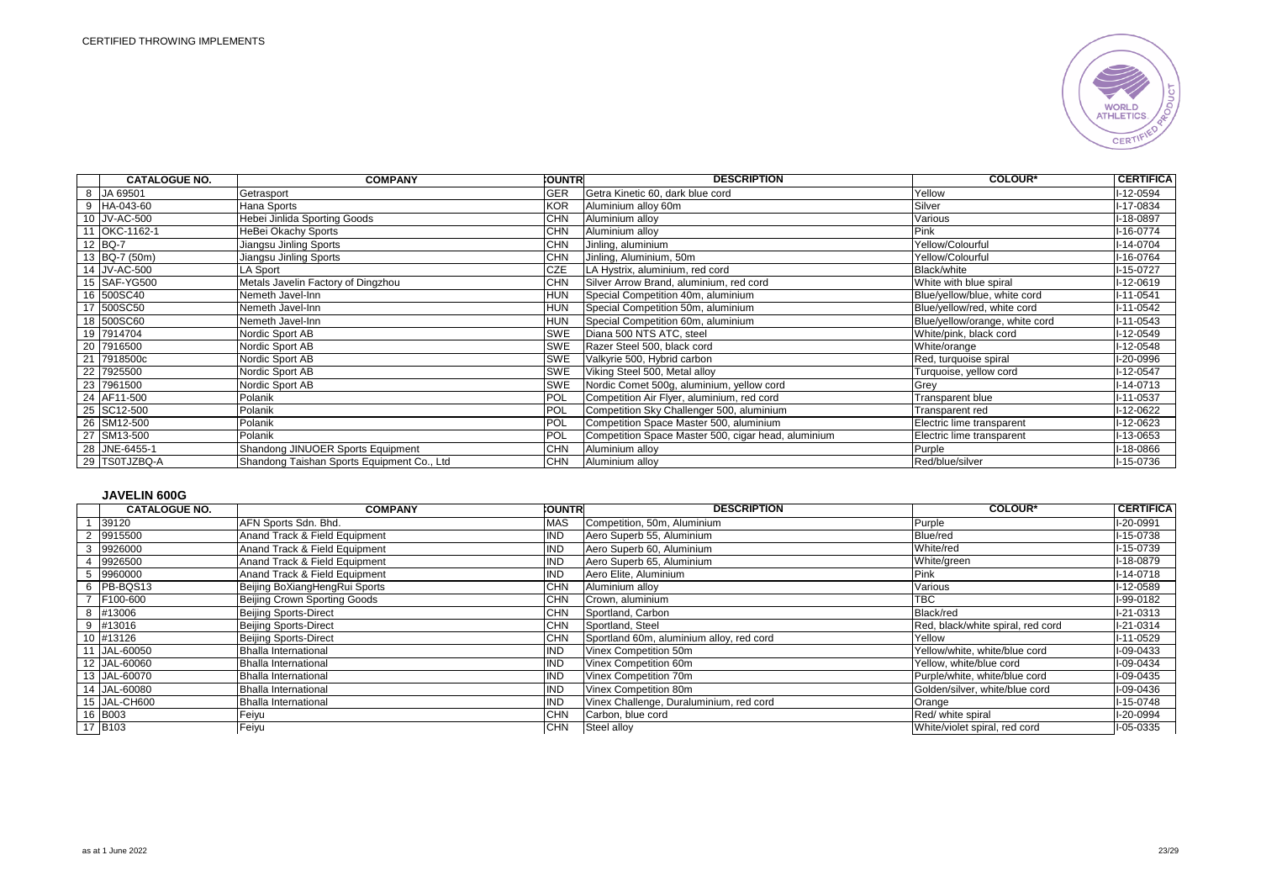

| <b>CATALOGUE NO.</b> | <b>COMPANY</b>                             | <b>CUNTRI</b> | <b>DESCRIPTION</b>                                  | <b>COLOUR*</b>                 | <b>CERTIFICA</b> |
|----------------------|--------------------------------------------|---------------|-----------------------------------------------------|--------------------------------|------------------|
| 8 JA 69501           | Getrasport                                 | <b>GER</b>    | Getra Kinetic 60, dark blue cord                    | Yellow                         | -12-0594         |
| 9 HA-043-60          | Hana Sports                                | <b>KOR</b>    | Aluminium alloy 60m                                 | Silver                         | I-17-0834        |
| 10 JV-AC-500         | Hebei Jinlida Sporting Goods               | <b>CHN</b>    | Aluminium alloy                                     | Various                        | I-18-0897        |
| 11 OKC-1162-1        | HeBei Okachy Sports                        | <b>CHN</b>    | Aluminium alloy                                     | Pink                           | $I-16-0774$      |
| 12 BQ-7              | Jiangsu Jinling Sports                     | <b>CHN</b>    | Jinling, aluminium                                  | Yellow/Colourful               | $I - 14 - 0704$  |
| 13 BQ-7 (50m)        | Jiangsu Jinling Sports                     | <b>CHN</b>    | Jinling, Aluminium, 50m                             | Yellow/Colourful               | I-16-0764        |
| 14 JV-AC-500         | LA Sport                                   | <b>CZE</b>    | LA Hystrix, aluminium, red cord                     | Black/white                    | I-15-0727        |
| 15 SAF-YG500         | Metals Javelin Factory of Dingzhou         | <b>CHN</b>    | Silver Arrow Brand, aluminium, red cord             | White with blue spiral         | I-12-0619        |
| 16 500SC40           | Nemeth Javel-Inn                           | <b>HUN</b>    | Special Competition 40m, aluminium                  | Blue/yellow/blue, white cord   | $I - 11 - 0541$  |
| 17 500SC50           | Nemeth Javel-Inn                           | <b>HUN</b>    | Special Competition 50m, aluminium                  | Blue/yellow/red, white cord    | I-11-0542        |
| 18 500SC60           | Nemeth Javel-Inn                           | <b>HUN</b>    | Special Competition 60m, aluminium                  | Blue/yellow/orange, white cord | I-11-0543        |
| 19 7914704           | Nordic Sport AB                            | <b>SWE</b>    | Diana 500 NTS ATC, steel                            | White/pink, black cord         | I-12-0549        |
| 20 7916500           | Nordic Sport AB                            | <b>SWE</b>    | Razer Steel 500, black cord                         | White/orange                   | $I-12-0548$      |
| 21 7918500c          | Nordic Sport AB                            | <b>SWE</b>    | Valkyrie 500, Hybrid carbon                         | Red, turquoise spiral          | I-20-0996        |
| 22 7925500           | Nordic Sport AB                            | <b>SWE</b>    | Viking Steel 500, Metal alloy                       | Turquoise, yellow cord         | I-12-0547        |
| 23 7961500           | Nordic Sport AB                            | <b>SWE</b>    | Nordic Comet 500g, aluminium, yellow cord           | Grey                           | $I - 14 - 0713$  |
| 24 AF11-500          | Polanik                                    | POL           | Competition Air Flyer, aluminium, red cord          | Transparent blue               | $I-11-0537$      |
| 25 SC12-500          | Polanik                                    | POL           | Competition Sky Challenger 500, aluminium           | Transparent red                | I-12-0622        |
| 26 SM12-500          | Polanik                                    | POL           | Competition Space Master 500, aluminium             | Electric lime transparent      | I-12-0623        |
| 27 SM13-500          | Polanik                                    | POL           | Competition Space Master 500, cigar head, aluminium | Electric lime transparent      | I-13-0653        |
| 28 JNE-6455-1        | Shandong JINUOER Sports Equipment          | <b>CHN</b>    | Aluminium alloy                                     | Purple                         | l-18-0866        |
| 29 TS0TJZBQ-A        | Shandong Taishan Sports Equipment Co., Ltd | <b>CHN</b>    | Aluminium alloy                                     | Red/blue/silver                | I-15-0736        |

# **JAVELIN 600G**

| <b>CATALOGUE NO.</b> | <b>COMPANY</b>                | <b>COUNTR</b> | <b>DESCRIPTION</b>                       | <b>COLOUR*</b>                    | <b>CERTIFICA</b> |
|----------------------|-------------------------------|---------------|------------------------------------------|-----------------------------------|------------------|
| 39120                | AFN Sports Sdn. Bhd.          | MAS           | Competition, 50m, Aluminium              | Purple                            | I-20-0991        |
| 2 9915500            | Anand Track & Field Equipment | ND            | Aero Superb 55, Aluminium                | <b>Blue/red</b>                   | $I-15-0738$      |
| 3 9926000            | Anand Track & Field Equipment | ΝC            | Aero Superb 60, Aluminium                | White/red                         | I-15-0739        |
| 9926500              | Anand Track & Field Equipment | NC            | Aero Superb 65, Aluminium                | White/green                       | I-18-0879        |
| 9960000              | Anand Track & Field Equipment | ΝC            | Aero Elite, Aluminium                    | Pink                              | $I-14-0718$      |
| 6 PB-BQS13           | Beijing BoXiangHengRui Sports | <b>CHN</b>    | Aluminium alloy                          | Various                           | I-12-0589        |
| F100-600             | Beijing Crown Sporting Goods  | <b>CHN</b>    | Crown, aluminium                         | <b>TBC</b>                        | I-99-0182        |
| 8 #13006             | <b>Beijing Sports-Direct</b>  | <b>CHN</b>    | Sportland, Carbon                        | Black/red                         | $I-21-0313$      |
| 9 #13016             | <b>Beijing Sports-Direct</b>  | <b>CHN</b>    | Sportland, Steel                         | Red, black/white spiral, red cord | $I-21-0314$      |
| 10 #13126            | <b>Beijing Sports-Direct</b>  | <b>CHN</b>    | Sportland 60m, aluminium alloy, red cord | Yellow                            | $I-11-0529$      |
| 11 JAL-60050         | <b>Bhalla International</b>   | ND            | Vinex Competition 50m                    | Yellow/white, white/blue cord     | I-09-0433        |
| 12 JAL-60060         | <b>Bhalla International</b>   | ND            | Vinex Competition 60m                    | Yellow, white/blue cord           | I-09-0434        |
| 13 JAL-60070         | Bhalla International          | ND            | Vinex Competition 70m                    | Purple/white, white/blue cord     | I-09-0435        |
| 14 JAL-60080         | <b>Bhalla International</b>   | <b>ND</b>     | Vinex Competition 80m                    | Golden/silver, white/blue cord    | I-09-0436        |
| 15 JAL-CH600         | <b>Bhalla International</b>   | ND            | Vinex Challenge, Duraluminium, red cord  | Orange                            | $I-15-0748$      |
| 16 B003              | Feiyu                         | <b>CHN</b>    | Carbon, blue cord                        | Red/ white spiral                 | I-20-0994        |
| 17 B103              | Feiyu                         | <b>CHN</b>    | Steel alloy                              | White/violet spiral, red cord     | I-05-0335        |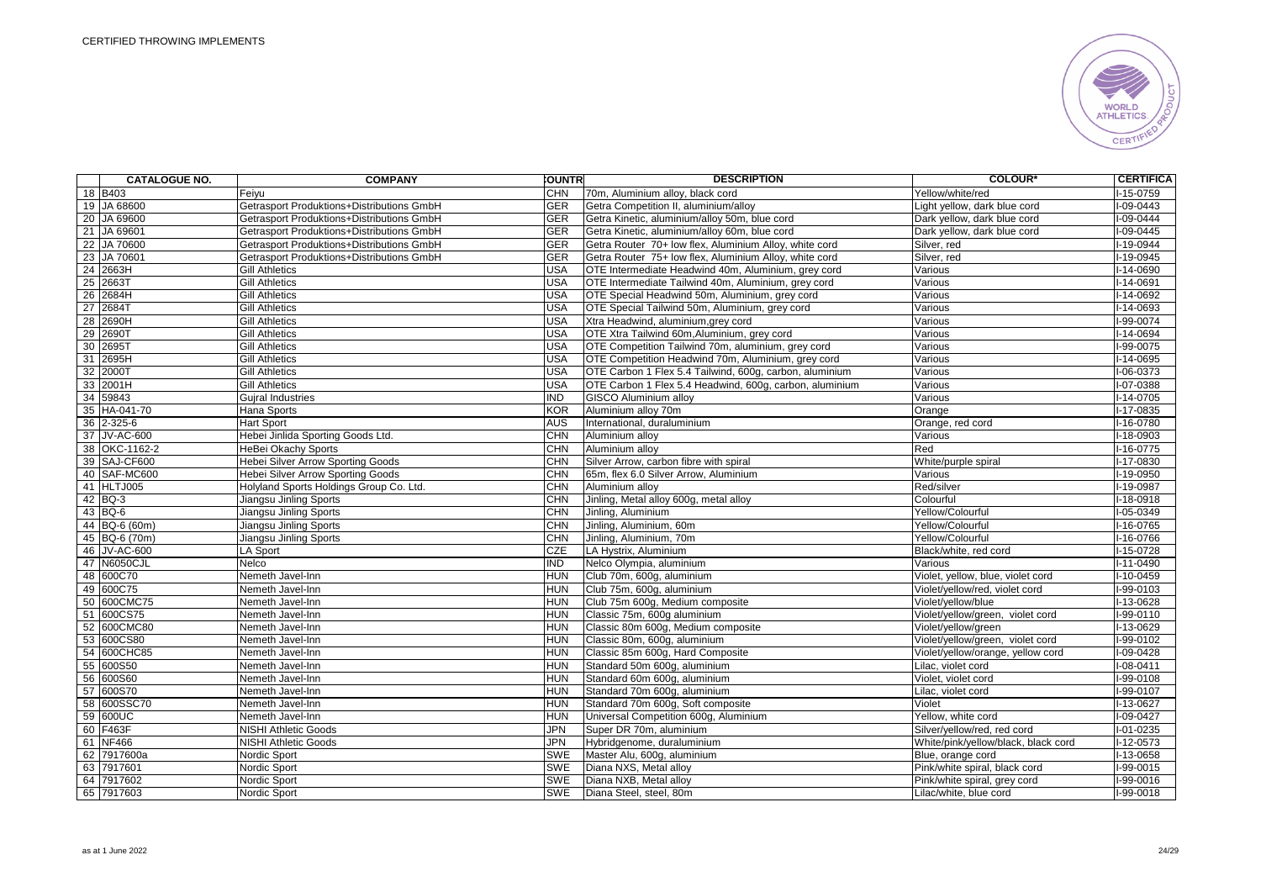

| <b>CATALOGUE NO.</b> | <b>COMPANY</b>                            | <b>OUNTR</b> | <b>DESCRIPTION</b>                                      | <b>COLOUR*</b>                      | <b>CERTIFICA</b> |
|----------------------|-------------------------------------------|--------------|---------------------------------------------------------|-------------------------------------|------------------|
| 18 B403              | Feiyu                                     | <b>CHN</b>   | 70m, Aluminium alloy, black cord                        | Yellow/white/red                    | I-15-0759        |
| 19 JA 68600          | Getrasport Produktions+Distributions GmbH | <b>GER</b>   | Getra Competition II, aluminium/alloy                   | Light yellow, dark blue cord        | -09-0443         |
| 20 JA 69600          | Getrasport Produktions+Distributions GmbH | <b>GER</b>   | Getra Kinetic, aluminium/alloy 50m, blue cord           | Dark yellow, dark blue cord         | $1 - 09 - 0444$  |
| 21 JA 69601          | Getrasport Produktions+Distributions GmbH | <b>GER</b>   | Getra Kinetic, aluminium/alloy 60m, blue cord           | Dark yellow, dark blue cord         | $I-09-0445$      |
| 22 JA 70600          | Getrasport Produktions+Distributions GmbH | <b>GER</b>   | Getra Router 70+ low flex. Aluminium Alloy, white cord  | Silver, red                         | I-19-0944        |
| 23 JA 70601          | Getrasport Produktions+Distributions GmbH | <b>GER</b>   | Getra Router 75+ low flex, Aluminium Alloy, white cord  | Silver, red                         | I-19-0945        |
| 24 2663H             | <b>Gill Athletics</b>                     | <b>USA</b>   | OTE Intermediate Headwind 40m, Aluminium, grey cord     | Various                             | -14-0690         |
| 25 2663T             | <b>Gill Athletics</b>                     | <b>USA</b>   | OTE Intermediate Tailwind 40m, Aluminium, grey cord     | Various                             | I-14-0691        |
| 26 2684H             | <b>Gill Athletics</b>                     | <b>USA</b>   | OTE Special Headwind 50m, Aluminium, grey cord          | Various                             | I-14-0692        |
| 27 2684T             | <b>Gill Athletics</b>                     | USA          | OTE Special Tailwind 50m, Aluminium, grey cord          | Various                             | $I-14-0693$      |
| 28 2690H             | <b>Gill Athletics</b>                     | <b>USA</b>   | Xtra Headwind, aluminium, grey cord                     | Various                             | I-99-0074        |
| 29 2690T             | <b>Gill Athletics</b>                     | <b>USA</b>   | OTE Xtra Tailwind 60m, Aluminium, grey cord             | Various                             | I-14-0694        |
| 30 2695T             | <b>Gill Athletics</b>                     | <b>USA</b>   | OTE Competition Tailwind 70m, aluminium, grey cord      | Various                             | I-99-0075        |
| 31 2695H             | <b>Gill Athletics</b>                     | <b>USA</b>   | OTE Competition Headwind 70m, Aluminium, grey cord      | Various                             | $I-14-0695$      |
| 32 2000T             | <b>Gill Athletics</b>                     | <b>USA</b>   | OTE Carbon 1 Flex 5.4 Tailwind, 600g, carbon, aluminium | Various                             | $I-06-0373$      |
| 33 2001H             | <b>Gill Athletics</b>                     | USA          | OTE Carbon 1 Flex 5.4 Headwind, 600g, carbon, aluminium | Various                             | I-07-0388        |
| 34 59843             | <b>Gujral Industries</b>                  | IND          | <b>GISCO Aluminium alloy</b>                            | Various                             | I-14-0705        |
| 35 HA-041-70         | Hana Sports                               | KOR          | Aluminium alloy 70m                                     | Orange                              | $I-17-0835$      |
| 36 2-325-6           | <b>Hart Sport</b>                         | <b>AUS</b>   | International, duraluminium                             | Orange, red cord                    | $I-16-0780$      |
| 37 JV-AC-600         | Hebei Jinlida Sporting Goods Ltd.         | <b>CHN</b>   | Aluminium alloy                                         | Various                             | -18-0903         |
| 38 OKC-1162-2        | HeBei Okachy Sports                       | <b>CHN</b>   | Aluminium alloy                                         | Red                                 | $I-16-0775$      |
| 39 SAJ-CF600         | <b>Hebei Silver Arrow Sporting Goods</b>  | <b>CHN</b>   | Silver Arrow, carbon fibre with spiral                  | White/purple spiral                 | I-17-0830        |
| 40 SAF-MC600         | <b>Hebei Silver Arrow Sporting Goods</b>  | <b>CHN</b>   | 65m, flex 6.0 Silver Arrow, Aluminium                   | Various                             | $1 - 19 - 0950$  |
| 41 HLTJ005           | Holyland Sports Holdings Group Co. Ltd.   | <b>CHN</b>   | Aluminium alloy                                         | Red/silver                          | $1-19-0987$      |
| 42 BQ-3              | Jiangsu Jinling Sports                    | <b>CHN</b>   | Jinling, Metal alloy 600g, metal alloy                  | Colourful                           | $1 - 18 - 0918$  |
| 43 BQ-6              | Jiangsu Jinling Sports                    | <b>CHN</b>   | Jinling, Aluminium                                      | Yellow/Colourful                    | $1 - 05 - 0349$  |
| 44 BQ-6 (60m)        | Jiangsu Jinling Sports                    | CHN          | Jinling, Aluminium, 60m                                 | Yellow/Colourful                    | $-16 - 0765$     |
| 45 BQ-6 (70m)        | Jiangsu Jinling Sports                    | <b>CHN</b>   | Jinling, Aluminium, 70m                                 | Yellow/Colourful                    | $-16 - 0766$     |
| 46 JV-AC-600         | LA Sport                                  | <b>CZE</b>   | LA Hystrix, Aluminium                                   | Black/white, red cord               | $I-15-0728$      |
| 47 N6050CJL          | Nelco                                     | <b>IND</b>   | Nelco Olympia, aluminium                                | Various                             | $I-11-0490$      |
| 48 600C70            | Nemeth Javel-Inn                          | <b>HUN</b>   | Club 70m, 600g, aluminium                               | Violet, yellow, blue, violet cord   | I-10-0459        |
| 49 600C75            | Nemeth Javel-Inn                          | <b>HUN</b>   | Club 75m, 600g, aluminium                               | Violet/yellow/red, violet cord      | I-99-0103        |
| 50 600CMC75          | Nemeth Javel-Inn                          | <b>HUN</b>   | Club 75m 600g, Medium composite                         | Violet/yellow/blue                  | I-13-0628        |
| 51 600CS75           | Nemeth Javel-Inn                          | <b>HUN</b>   | Classic 75m, 600g aluminium                             | Violet/yellow/green, violet cord    | $1-99-0110$      |
| 52 600CMC80          | Nemeth Javel-Inn                          | <b>HUN</b>   | Classic 80m 600g, Medium composite                      | Violet/yellow/green                 | I-13-0629        |
| 53 600CS80           | Nemeth Javel-Inn                          | <b>HUN</b>   | Classic 80m, 600g, aluminium                            | Violet/yellow/green, violet cord    | $1-99-0102$      |
| 54 600CHC85          | Nemeth Javel-Inn                          | <b>HUN</b>   | Classic 85m 600g, Hard Composite                        | Violet/yellow/orange, yellow cord   | $1 - 09 - 0428$  |
| 55 600S50            | Nemeth Javel-Inn                          | <b>HUN</b>   | Standard 50m 600g, aluminium                            | Lilac, violet cord                  | $1 - 08 - 0411$  |
| 56 600S60            | Nemeth Javel-Inn                          | <b>HUN</b>   | Standard 60m 600g, aluminium                            | Violet, violet cord                 | -99-0108         |
| 57 600S70            | Nemeth Javel-Inn                          | <b>HUN</b>   | Standard 70m 600g, aluminium                            | Lilac, violet cord                  | $I-99-0107$      |
| 58 600SSC70          | Nemeth Javel-Inn                          | <b>HUN</b>   | Standard 70m 600g, Soft composite                       | Violet                              | I-13-0627        |
| 59 600UC             | Nemeth Javel-Inn                          | <b>HUN</b>   | Universal Competition 600g, Aluminium                   | Yellow, white cord                  | I-09-0427        |
| 60 F463F             | <b>NISHI Athletic Goods</b>               | <b>JPN</b>   | Super DR 70m, aluminium                                 | Silver/yellow/red, red cord         | I-01-0235        |
| 61 NF466             | <b>NISHI Athletic Goods</b>               | <b>JPN</b>   | Hybridgenome, duraluminium                              | White/pink/yellow/black, black cord | $I-12-0573$      |
| 62 7917600a          | Nordic Sport                              | <b>SWE</b>   | Master Alu, 600g, aluminium                             | Blue, orange cord                   | $I-13-0658$      |
| 63 7917601           | Nordic Sport                              | <b>SWE</b>   | Diana NXS, Metal alloy                                  | Pink/white spiral, black cord       | I-99-0015        |
| 64 7917602           | Nordic Sport                              | <b>SWE</b>   | Diana NXB, Metal alloy                                  | Pink/white spiral, grey cord        | I-99-0016        |
| 65 7917603           | Nordic Sport                              | <b>SWE</b>   | Diana Steel, steel, 80m                                 | Lilac/white, blue cord              | I-99-0018        |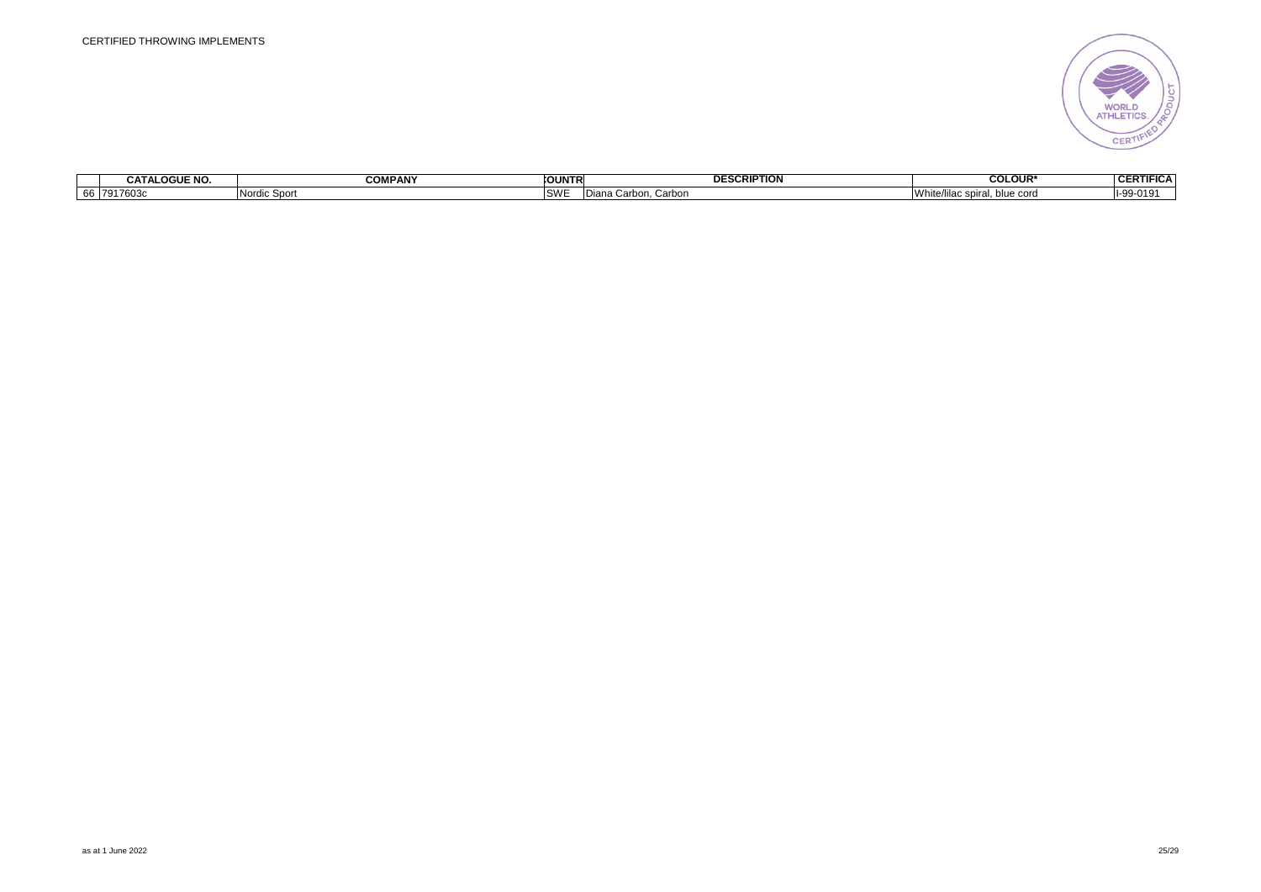

|                            | <b>OGUE NO.</b><br>--<br>CATA | <b>COMPANY</b>  | <b>COUNTR</b>        | <b>ESCRIPTION</b><br>DE.  | <b>COLOUR*</b>               | <b>CERTI</b><br>$\overline{1}$<br>.<br>FIGA |
|----------------------------|-------------------------------|-----------------|----------------------|---------------------------|------------------------------|---------------------------------------------|
| $ -$<br>$\mathbf{r}$<br>oo | 7917603c                      | Nordic<br>Sport | $\sim$<br><b>PAA</b> | Carbon<br>11 UU L<br>лана | ie cor<br><b>VV hit</b><br>. | $I-99-019$                                  |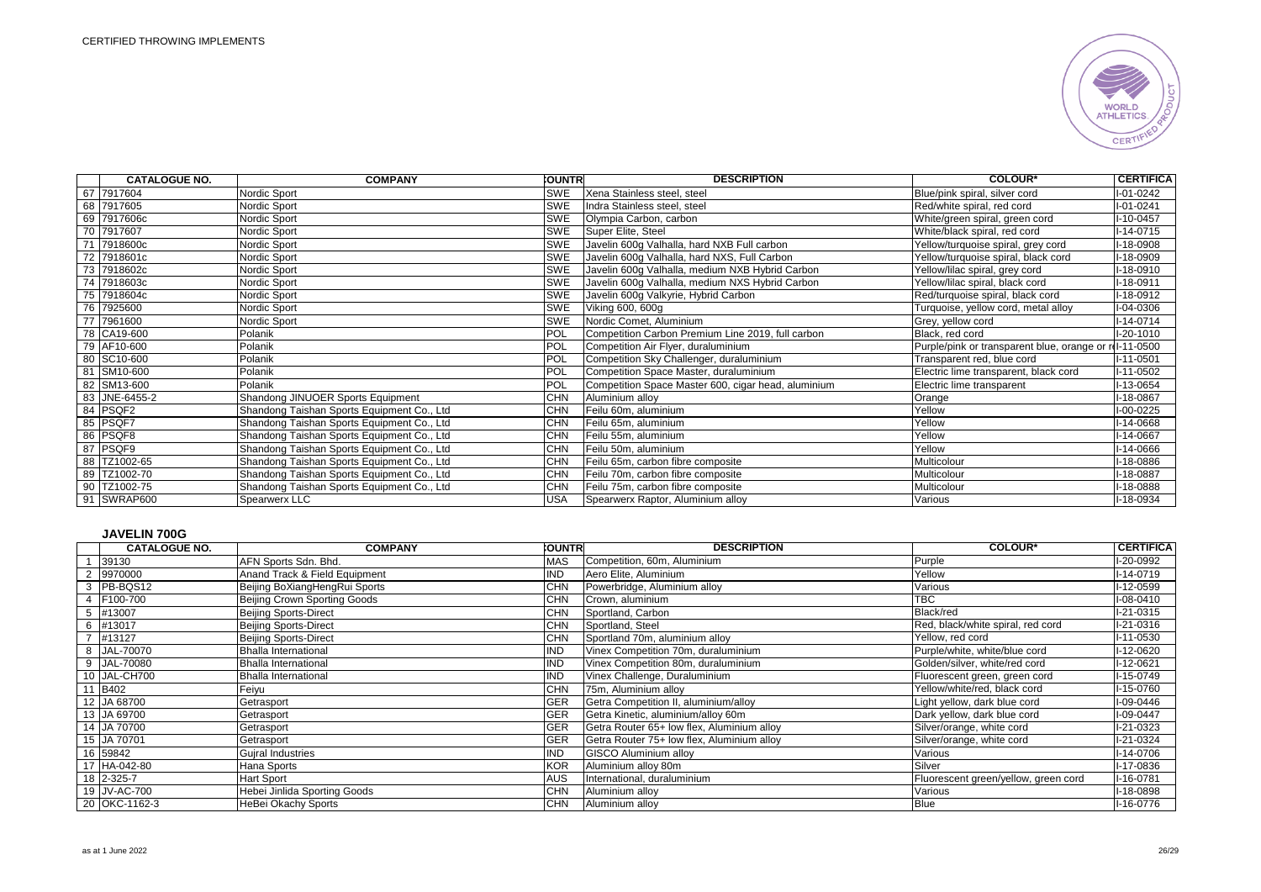

|    | <b>CATALOGUE NO.</b> | <b>COMPANY</b>                             | <b>CUNTRI</b> | <b>DESCRIPTION</b>                                  | <b>COLOUR*</b>                             | <b>CERTIFICA</b> |
|----|----------------------|--------------------------------------------|---------------|-----------------------------------------------------|--------------------------------------------|------------------|
|    | 67 7917604           | Nordic Sport                               | SWE           | Xena Stainless steel, steel                         | Blue/pink spiral, silver cord              | $I - 01 - 0242$  |
|    | 68 7917605           | Nordic Sport                               | SWE           | Indra Stainless steel, steel                        | Red/white spiral, red cord                 | $I - 01 - 0241$  |
|    | 69 7917606c          | Nordic Sport                               | SWE           | Olympia Carbon, carbon                              | White/green spiral, green cord             | I-10-0457        |
|    | 70 7917607           | Nordic Sport                               | <b>SWE</b>    | Super Elite, Steel                                  | White/black spiral, red cord               | $I-14-0715$      |
| 71 | 7918600c             | Nordic Sport                               | SWE           | Javelin 600g Valhalla, hard NXB Full carbon         | Yellow/turquoise spiral, grey cord         | I-18-0908        |
|    | 72 7918601c          | Nordic Sport                               | SWE           | Javelin 600g Valhalla, hard NXS, Full Carbon        | Yellow/turquoise spiral, black cord        | I-18-0909        |
|    | 73 7918602c          | Nordic Sport                               | SWE           | Javelin 600g Valhalla, medium NXB Hybrid Carbon     | Yellow/lilac spiral, grey cord             | I-18-0910        |
|    | 74 7918603c          | Nordic Sport                               | SWE           | Javelin 600q Valhalla, medium NXS Hybrid Carbon     | Yellow/lilac spiral, black cord            | $I-18-0911$      |
|    | 75 7918604c          | Nordic Sport                               | SWE           | Javelin 600g Valkyrie, Hybrid Carbon                | Red/turquoise spiral, black cord           | I-18-0912        |
|    | 76 7925600           | Nordic Sport                               | SWE           | Viking 600, 600g                                    | Turquoise, yellow cord, metal alloy        | I-04-0306        |
|    | 77 7961600           | Nordic Sport                               | <b>SWE</b>    | Nordic Comet, Aluminium                             | Grey, yellow cord                          | $I-14-0714$      |
|    | 78 CA19-600          | Polanik                                    | POL           | Competition Carbon Premium Line 2019, full carbon   | Black, red cord                            | $I-20-1010$      |
|    | 79 AF10-600          | Polanik                                    | POL           | Competition Air Flyer, duraluminium                 | Purple/pink or transparent blue, orange or | rd-11-0500       |
|    | 80 SC10-600          | Polanik                                    | POL           | Competition Sky Challenger, duraluminium            | Transparent red, blue cord                 | $I-11-0501$      |
|    | 81 SM10-600          | Polanik                                    | POL           | Competition Space Master, duraluminium              | Electric lime transparent, black cord      | $I-11-0502$      |
|    | 82 SM13-600          | Polanik                                    | POL           | Competition Space Master 600, cigar head, aluminium | Electric lime transparent                  | I-13-0654        |
|    | 83 JNE-6455-2        | Shandong JINUOER Sports Equipment          | <b>CHN</b>    | Aluminium alloy                                     | Orange                                     | I-18-0867        |
|    | 84 PSQF2             | Shandong Taishan Sports Equipment Co., Ltd | CHN           | Feilu 60m, aluminium                                | Yellow                                     | $I-00-0225$      |
|    | 85 PSQF7             | Shandong Taishan Sports Equipment Co., Ltd | <b>CHN</b>    | Feilu 65m, aluminium                                | Yellow                                     | I-14-0668        |
|    | 86 PSQF8             | Shandong Taishan Sports Equipment Co., Ltd | <b>CHN</b>    | Feilu 55m, aluminium                                | Yellow                                     | I-14-0667        |
|    | 87 PSQF9             | Shandong Taishan Sports Equipment Co., Ltd | <b>CHN</b>    | Feilu 50m, aluminium                                | Yellow                                     | I-14-0666        |
|    | 88 TZ1002-65         | Shandong Taishan Sports Equipment Co., Ltd | <b>CHN</b>    | Feilu 65m, carbon fibre composite                   | Multicolour                                | I-18-0886        |
|    | 89 TZ1002-70         | Shandong Taishan Sports Equipment Co., Ltd | CHN           | Feilu 70m, carbon fibre composite                   | Multicolour                                | I-18-0887        |
|    | 90 TZ1002-75         | Shandong Taishan Sports Equipment Co., Ltd | <b>CHN</b>    | Feilu 75m, carbon fibre composite                   | Multicolour                                | I-18-0888        |
| 91 | SWRAP600             | Spearwerx LLC                              | <b>USA</b>    | Spearwerx Raptor, Aluminium alloy                   | Various                                    | I-18-0934        |

# **JAVELIN 700G**

|                | <b>CATALOGUE NO.</b> | <b>COMPANY</b>                | <b>COUNTR</b> | <b>DESCRIPTION</b>                         | <b>COLOUR*</b>                       | <b>CERTIFICA</b> |
|----------------|----------------------|-------------------------------|---------------|--------------------------------------------|--------------------------------------|------------------|
|                | 39130                | AFN Sports Sdn. Bhd.          | <b>MAS</b>    | Competition, 60m, Aluminium                | Purple                               | I-20-0992        |
|                | 9970000              | Anand Track & Field Equipment | IND           | Aero Elite, Aluminium                      | Yellow                               | $I-14-0719$      |
|                | PB-BQS12             | Beijing BoXiangHengRui Sports | CHN           | Powerbridge, Aluminium alloy               | Various                              | I-12-0599        |
|                | F100-700             | Beijing Crown Sporting Goods  | <b>CHN</b>    | Crown, aluminium                           | <b>TBC</b>                           | I-08-0410        |
| 5              | #13007               | <b>Beijing Sports-Direct</b>  | <b>CHN</b>    | Sportland, Carbon                          | Black/red                            | I-21-0315        |
|                | 6 #13017             | Beijing Sports-Direct         | <b>CHN</b>    | Sportland, Steel                           | Red, black/white spiral, red cord    | I-21-0316        |
| $\overline{z}$ | #13127               | <b>Beijing Sports-Direct</b>  | <b>CHN</b>    | Sportland 70m, aluminium alloy             | Yellow, red cord                     | I-11-0530        |
|                | 8 JAL-70070          | Bhalla International          | IND           | Vinex Competition 70m, duraluminium        | Purple/white, white/blue cord        | I-12-0620        |
|                | 9 JAL-70080          | <b>Bhalla International</b>   | IND           | Vinex Competition 80m, duraluminium        | Golden/silver, white/red cord        | I-12-0621        |
|                | 10 JAL-CH700         | Bhalla International          | <b>IND</b>    | Vinex Challenge, Duraluminium              | Fluorescent green, green cord        | $I-15-0749$      |
|                | 11 B402              | Feiyu                         | <b>CHN</b>    | 75m, Aluminium alloy                       | Yellow/white/red, black cord         | I-15-0760        |
|                | 12 JA 68700          | Getrasport                    | <b>GER</b>    | Getra Competition II, aluminium/alloy      | Light yellow, dark blue cord         | I-09-0446        |
|                | 13 JA 69700          | Getrasport                    | <b>GER</b>    | Getra Kinetic, aluminium/alloy 60m         | Dark yellow, dark blue cord          | I-09-0447        |
|                | 14 JA 70700          | Getrasport                    | <b>GER</b>    | Getra Router 65+ low flex, Aluminium alloy | Silver/orange, white cord            | I-21-0323        |
|                | 15 JA 70701          | Getrasport                    | <b>GER</b>    | Getra Router 75+ low flex, Aluminium alloy | Silver/orange, white cord            | I-21-0324        |
|                | 16 59842             | <b>Gujral Industries</b>      | IND           | <b>GISCO Aluminium alloy</b>               | Various                              | I-14-0706        |
|                | 17 HA-042-80         | Hana Sports                   | <b>KOR</b>    | Aluminium alloy 80m                        | Silver                               | I-17-0836        |
|                | 18 2-325-7           | <b>Hart Sport</b>             | <b>AUS</b>    | International, duraluminium                | Fluorescent green/yellow, green cord | I-16-0781        |
|                | 19 JV-AC-700         | Hebei Jinlida Sporting Goods  | <b>CHN</b>    | Aluminium alloy                            | Various                              | I-18-0898        |
|                | 20 OKC-1162-3        | HeBei Okachy Sports           | <b>CHN</b>    | Aluminium alloy                            | <b>Blue</b>                          | I-16-0776        |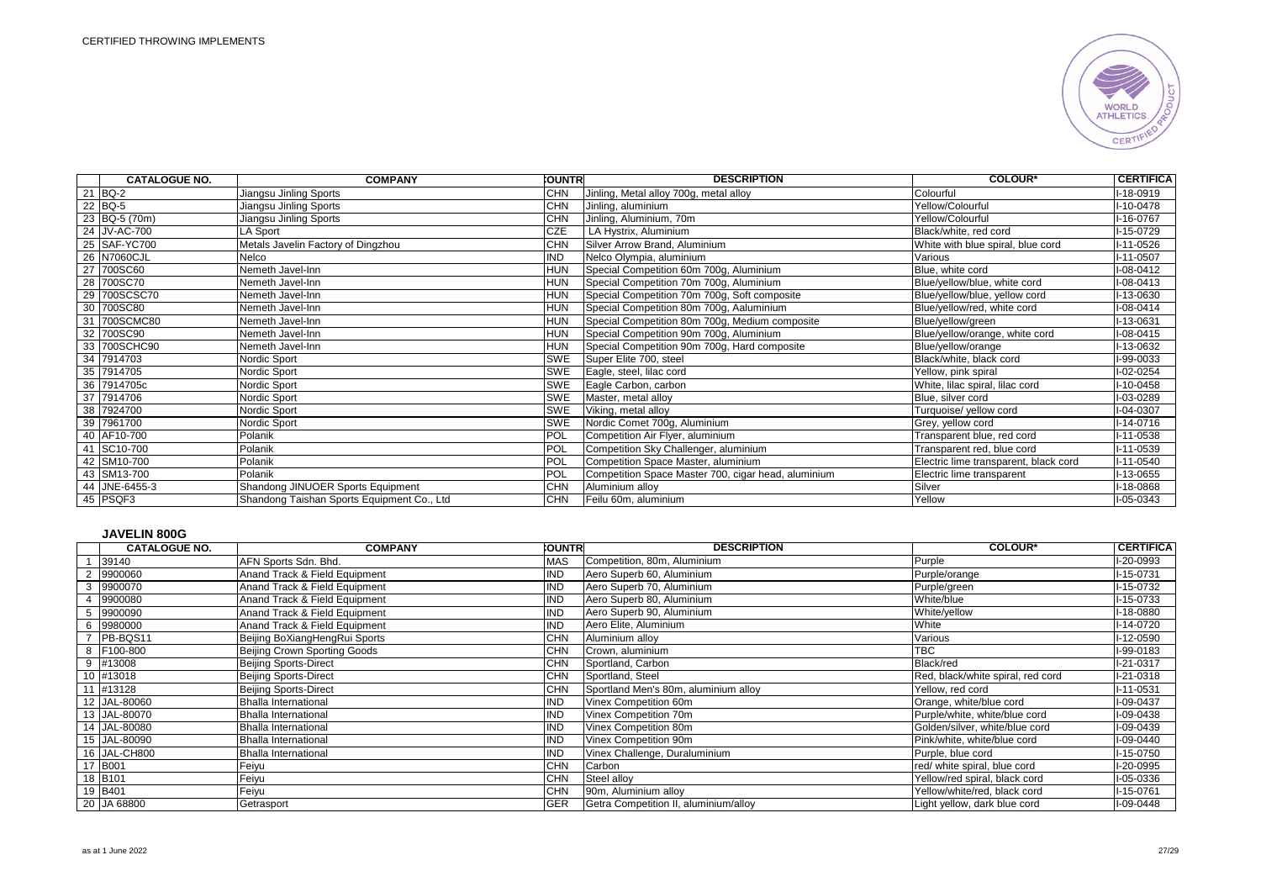

|    | <b>CATALOGUE NO.</b> | <b>COMPANY</b>                             | <b>COUNTRI</b> | <b>DESCRIPTION</b>                                  | <b>COLOUR*</b>                        | <b>CERTIFICA</b> |
|----|----------------------|--------------------------------------------|----------------|-----------------------------------------------------|---------------------------------------|------------------|
|    | 21 BQ-2              | Jiangsu Jinling Sports                     | <b>CHN</b>     | Jinling, Metal alloy 700g, metal alloy              | Colourful                             | I-18-0919        |
|    | 22 BQ-5              | Jiangsu Jinling Sports                     | <b>CHN</b>     | Jinling, aluminium                                  | Yellow/Colourful                      | I-10-0478        |
|    | 23 BQ-5 (70m)        | Jiangsu Jinling Sports                     | <b>CHN</b>     | Jinling, Aluminium, 70m                             | Yellow/Colourful                      | I-16-0767        |
|    | 24 JV-AC-700         | LA Sport                                   | <b>CZE</b>     | LA Hystrix, Aluminium                               | Black/white, red cord                 | I-15-0729        |
|    | 25 SAF-YC700         | Metals Javelin Factory of Dingzhou         | <b>CHN</b>     | Silver Arrow Brand, Aluminium                       | White with blue spiral, blue cord     | I-11-0526        |
|    | 26 N7060CJL          | Nelco                                      | <b>IND</b>     | Nelco Olympia, aluminium                            | Various                               | $I-11-0507$      |
|    | 27 700SC60           | Nemeth Javel-Inn                           | <b>HUN</b>     | Special Competition 60m 700g, Aluminium             | Blue, white cord                      | I-08-0412        |
|    | 28 700SC70           | Nemeth Javel-Inn                           | <b>HUN</b>     | Special Competition 70m 700g, Aluminium             | Blue/yellow/blue, white cord          | $I-08-0413$      |
|    | 29 700SCSC70         | Nemeth Javel-Inn                           | <b>HUN</b>     | Special Competition 70m 700g, Soft composite        | Blue/yellow/blue, yellow cord         | I-13-0630        |
|    | 30 700SC80           | Nemeth Javel-Inn                           | <b>HUN</b>     | Special Competition 80m 700g, Aaluminium            | Blue/yellow/red, white cord           | $I-08-0414$      |
|    | 31 700SCMC80         | Nemeth Javel-Inn                           | <b>HUN</b>     | Special Competition 80m 700g, Medium composite      | Blue/yellow/green                     | I-13-0631        |
|    | 32 700SC90           | Nemeth Javel-Inn                           | <b>HUN</b>     | Special Competition 90m 700g, Aluminium             | Blue/yellow/orange, white cord        | I-08-0415        |
|    | 33 700SCHC90         | Nemeth Javel-Inn                           | <b>HUN</b>     | Special Competition 90m 700g, Hard composite        | Blue/yellow/orange                    | I-13-0632        |
|    | 34 7914703           | Nordic Sport                               | <b>SWE</b>     | Super Elite 700, steel                              | Black/white, black cord               | I-99-0033        |
|    | 35 7914705           | Nordic Sport                               | <b>SWE</b>     | Eagle, steel, lilac cord                            | Yellow, pink spiral                   | I-02-0254        |
|    | 36 7914705c          | Nordic Sport                               | SWE            | Eagle Carbon, carbon                                | White, lilac spiral, lilac cord       | I-10-0458        |
|    | 37 7914706           | Nordic Sport                               | SWE            | Master, metal alloy                                 | Blue, silver cord                     | I-03-0289        |
| 38 | 7924700              | Nordic Sport                               | <b>SWE</b>     | Viking, metal alloy                                 | Turquoise/ yellow cord                | I-04-0307        |
|    | 39 7961700           | Nordic Sport                               | <b>SWE</b>     | Nordic Comet 700g, Aluminium                        | Grey, yellow cord                     | $I-14-0716$      |
|    | 40 AF10-700          | Polanik                                    | POL            | Competition Air Flyer, aluminium                    | Transparent blue, red cord            | I-11-0538        |
|    | 41 SC10-700          | Polanik                                    | POL            | Competition Sky Challenger, aluminium               | Transparent red, blue cord            | I-11-0539        |
|    | 42 SM10-700          | Polanik                                    | POL            | Competition Space Master, aluminium                 | Electric lime transparent, black cord | I-11-0540        |
|    | 43 SM13-700          | Polanik                                    | POL            | Competition Space Master 700, cigar head, aluminium | Electric lime transparent             | I-13-0655        |
|    | 44 JNE-6455-3        | Shandong JINUOER Sports Equipment          | <b>CHN</b>     | Aluminium alloy                                     | Silver                                | I-18-0868        |
|    | 45 PSQF3             | Shandong Taishan Sports Equipment Co., Ltd | <b>CHN</b>     | Feilu 60m, aluminium                                | Yellow                                | I-05-0343        |

### **JAVELIN 800G**

| <b>CATALOGUE NO.</b> | <b>COMPANY</b>                | <b>COUNTR</b> | <b>DESCRIPTION</b>                    | <b>COLOUR*</b>                    | <b>CERTIFICA</b> |
|----------------------|-------------------------------|---------------|---------------------------------------|-----------------------------------|------------------|
| 39140                | AFN Sports Sdn. Bhd.          | <b>MAS</b>    | Competition, 80m, Aluminium           | Purple                            | I-20-0993        |
| 9900060              | Anand Track & Field Equipment | <b>IND</b>    | Aero Superb 60, Aluminium             | Purple/orange                     | $I-15-0731$      |
| 9900070              | Anand Track & Field Equipment | <b>IND</b>    | Aero Superb 70, Aluminium             | Purple/green                      | I-15-0732        |
| 9900080              | Anand Track & Field Equipment | <b>IND</b>    | Aero Superb 80, Aluminium             | White/blue                        | I-15-0733        |
| 9900090              | Anand Track & Field Equipment | <b>IND</b>    | Aero Superb 90, Aluminium             | White/yellow                      | I-18-0880        |
| 6 9980000            | Anand Track & Field Equipment | <b>IND</b>    | Aero Elite, Aluminium                 | White                             | I-14-0720        |
| PB-BQS11             | Beijing BoXiangHengRui Sports | <b>CHN</b>    | Aluminium alloy                       | Various                           | I-12-0590        |
| 8 F100-800           | Beijing Crown Sporting Goods  | <b>CHN</b>    | Crown, aluminium                      | TBC                               | I-99-0183        |
| 9 #13008             | <b>Beijing Sports-Direct</b>  | CHN           | Sportland, Carbon                     | Black/red                         | I-21-0317        |
| 10 #13018            | <b>Beijing Sports-Direct</b>  | <b>CHN</b>    | Sportland, Steel                      | Red, black/white spiral, red cord | I-21-0318        |
| 11 #13128            | <b>Beijing Sports-Direct</b>  | <b>CHN</b>    | Sportland Men's 80m, aluminium alloy  | Yellow, red cord                  | $I-11-0531$      |
| 12 JAL-80060         | <b>Bhalla International</b>   | <b>IND</b>    | Vinex Competition 60m                 | Orange, white/blue cord           | I-09-0437        |
| 13 JAL-80070         | <b>Bhalla International</b>   | <b>IND</b>    | Vinex Competition 70m                 | Purple/white, white/blue cord     | I-09-0438        |
| 14 JAL-80080         | <b>Bhalla International</b>   | <b>IND</b>    | Vinex Competition 80m                 | Golden/silver, white/blue cord    | I-09-0439        |
| 15 JAL-80090         | <b>Bhalla International</b>   | <b>IND</b>    | Vinex Competition 90m                 | Pink/white, white/blue cord       | I-09-0440        |
| 16 JAL-CH800         | <b>Bhalla International</b>   | <b>IND</b>    | Vinex Challenge, Duraluminium         | Purple, blue cord                 | I-15-0750        |
| 17 B001              | Feiyu                         | <b>CHN</b>    | Carbon                                | red/ white spiral, blue cord      | I-20-0995        |
| 18 B <sub>101</sub>  | Feiyu                         | CHN           | Steel alloy                           | Yellow/red spiral, black cord     | I-05-0336        |
| 19 B401              | Feiyu                         | <b>CHN</b>    | 90m, Aluminium alloy                  | Yellow/white/red, black cord      | I-15-0761        |
| 20 JA 68800          | Getrasport                    | <b>GER</b>    | Getra Competition II, aluminium/alloy | Light yellow, dark blue cord      | I-09-0448        |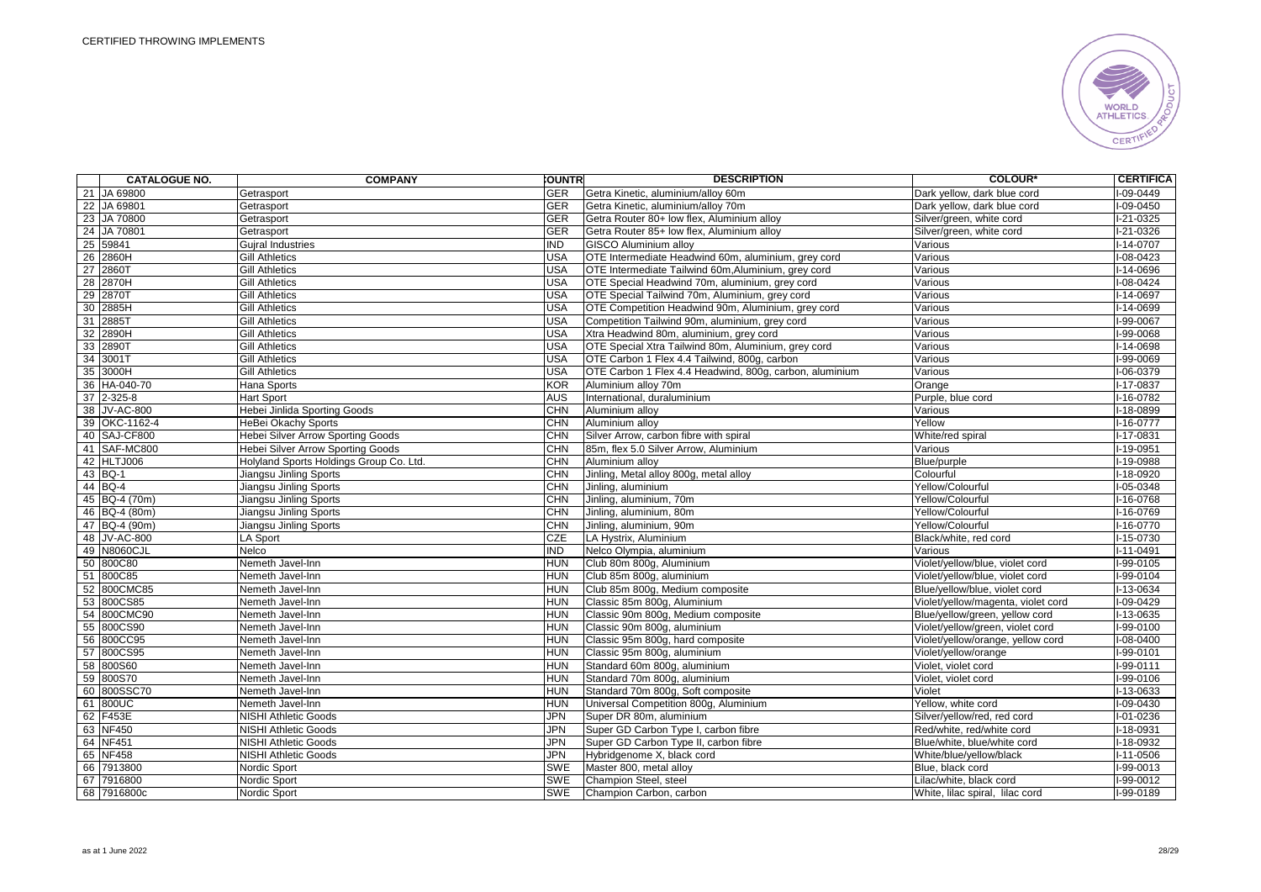

|    | <b>CATALOGUE NO.</b> | <b>COMPANY</b>                           | <b>OUNTR</b> | <b>DESCRIPTION</b>                                      | <b>COLOUR*</b>                     | <b>CERTIFICA</b> |
|----|----------------------|------------------------------------------|--------------|---------------------------------------------------------|------------------------------------|------------------|
|    | 21 JA 69800          | Getrasport                               | <b>GER</b>   | Getra Kinetic, aluminium/alloy 60m                      | Dark yellow, dark blue cord        | -09-0449         |
|    | 22 JA 69801          | Getrasport                               | <b>GER</b>   | Getra Kinetic, aluminium/alloy 70m                      | Dark yellow, dark blue cord        | I-09-0450        |
|    | 23 JA 70800          | Getrasport                               | <b>GER</b>   | Getra Router 80+ low flex, Aluminium alloy              | Silver/green, white cord           | $1-21-0325$      |
|    | 24 JA 70801          | Getrasport                               | <b>GER</b>   | Getra Router 85+ low flex, Aluminium alloy              | Silver/green, white cord           | $1-21-0326$      |
|    | 25 59841             | <b>Guiral Industries</b>                 | <b>IND</b>   | <b>GISCO Aluminium allov</b>                            | Various                            | I-14-0707        |
|    | 26 2860H             | <b>Gill Athletics</b>                    | <b>USA</b>   | OTE Intermediate Headwind 60m, aluminium, grey cord     | Various                            | I-08-0423        |
| 27 | 2860T                | <b>Gill Athletics</b>                    | <b>USA</b>   | OTE Intermediate Tailwind 60m, Aluminium, grey cord     | Various                            | -14-0696         |
|    | 28 2870H             | <b>Gill Athletics</b>                    | <b>USA</b>   | OTE Special Headwind 70m, aluminium, grey cord          | Various                            | $1 - 08 - 0424$  |
|    | 29 2870T             | <b>Gill Athletics</b>                    | <b>USA</b>   | OTE Special Tailwind 70m, Aluminium, grey cord          | Various                            | I-14-0697        |
|    | 30 2885H             | <b>Gill Athletics</b>                    | <b>USA</b>   | OTE Competition Headwind 90m, Aluminium, grey cord      | Various                            | $I-14-0699$      |
|    | 31 2885              | <b>Gill Athletics</b>                    | <b>USA</b>   | Competition Tailwind 90m, aluminium, grey cord          | Various                            | I-99-0067        |
|    | 32 2890H             | <b>Gill Athletics</b>                    | <b>USA</b>   | Xtra Headwind 80m, aluminium, grey cord                 | Various                            | I-99-0068        |
|    | 33 2890T             | <b>Gill Athletics</b>                    | <b>USA</b>   | OTE Special Xtra Tailwind 80m, Aluminium, grey cord     | Various                            | I-14-0698        |
|    | 34 3001T             | <b>Gill Athletics</b>                    | USA          | OTE Carbon 1 Flex 4.4 Tailwind, 800g, carbon            | Various                            | I-99-0069        |
|    | 35 3000H             | <b>Gill Athletics</b>                    | <b>USA</b>   | OTE Carbon 1 Flex 4.4 Headwind, 800g, carbon, aluminium | Various                            | $I-06-0379$      |
|    | 36 HA-040-70         | Hana Sports                              | KOR          | Aluminium alloy 70m                                     | Orange                             | I-17-0837        |
|    | 37 2-325-8           | Hart Sport                               | <b>AUS</b>   | International, duraluminium                             | Purple, blue cord                  | I-16-0782        |
|    | 38 JV-AC-800         | Hebei Jinlida Sporting Goods             | <b>CHN</b>   | Aluminium alloy                                         | Various                            | $I-18-0899$      |
|    | 39 OKC-1162-4        | HeBei Okachy Sports                      | <b>CHN</b>   | Aluminium alloy                                         | Yellow                             | $-16 - 0777$     |
|    | 40 SAJ-CF800         | <b>Hebei Silver Arrow Sporting Goods</b> | <b>CHN</b>   | Silver Arrow, carbon fibre with spiral                  | White/red spiral                   | $I-17-0831$      |
|    | 41 SAF-MC800         | <b>Hebei Silver Arrow Sporting Goods</b> | CHN          | 85m, flex 5.0 Silver Arrow, Aluminium                   | Various                            | $-19 - 0951$     |
|    | 42 HLTJ006           | Holyland Sports Holdings Group Co. Ltd.  | <b>CHN</b>   | Aluminium alloy                                         | Blue/purple                        | $1-19-0988$      |
|    | 43 BQ-1              | Jiangsu Jinling Sports                   | <b>CHN</b>   | Jinling, Metal alloy 800g, metal alloy                  | Colourful                          | $1 - 18 - 0920$  |
|    | 44 BQ-4              | Jiangsu Jinling Sports                   | CHN          | Jinling, aluminium                                      | Yellow/Colourful                   | $1 - 05 - 0348$  |
|    | 45 BQ-4 (70m)        | Jiangsu Jinling Sports                   | <b>CHN</b>   | Jinling, aluminium, 70m                                 | Yellow/Colourful                   | $1 - 16 - 0768$  |
|    | 46 BQ-4 (80m)        | Jiangsu Jinling Sports                   | <b>CHN</b>   | Jinling, aluminium, 80m                                 | Yellow/Colourful                   | $1 - 16 - 0769$  |
|    | 47 BQ-4 (90m)        | Jiangsu Jinling Sports                   | <b>CHN</b>   | Jinling, aluminium, 90m                                 | Yellow/Colourful                   | I-16-0770        |
|    | 48 JV-AC-800         | LA Sport                                 | <b>CZE</b>   | LA Hystrix, Aluminium                                   | Black/white, red cord              | $I-15-0730$      |
|    | 49 N8060CJL          | Nelco                                    | IND          | Nelco Olympia, aluminium                                | Various                            | $I-11-0491$      |
|    | 50 800C80            | Nemeth Javel-Inn                         | <b>HUN</b>   | Club 80m 800g, Aluminium                                | Violet/yellow/blue, violet cord    | $I-99-0105$      |
|    | 51 800C85            | Nemeth Javel-Inn                         | <b>HUN</b>   | Club 85m 800g, aluminium                                | Violet/yellow/blue, violet cord    | I-99-0104        |
|    | 52 800CMC85          | Nemeth Javel-Inn                         | <b>HUN</b>   | Club 85m 800g, Medium composite                         | Blue/yellow/blue, violet cord      | $I-13-0634$      |
|    | 53 800CS85           | Nemeth Javel-Inn                         | <b>HUN</b>   | Classic 85m 800g, Aluminium                             | Violet/yellow/magenta, violet cord | I-09-0429        |
|    | 54 800CMC90          | Nemeth Javel-Inn                         | <b>HUN</b>   | Classic 90m 800g, Medium composite                      | Blue/yellow/green, yellow cord     | $I-13-0635$      |
|    | 55 800CS90           | Nemeth Javel-Inn                         | HUN          | Classic 90m 800g, aluminium                             | Violet/yellow/green, violet cord   | I-99-0100        |
|    | 56 800CC95           | Nemeth Javel-Inn                         | <b>HUN</b>   | Classic 95m 800g, hard composite                        | Violet/yellow/orange, yellow cord  | $I-08-0400$      |
|    | 57 800CS95           | Nemeth Javel-Inn                         | <b>HUN</b>   | Classic 95m 800g, aluminium                             | Violet/yellow/orange               | $I-99-0101$      |
|    | 58 800S60            | Nemeth Javel-Inn                         | <b>HUN</b>   | Standard 60m 800g, aluminium                            | Violet, violet cord                | $1-99-0111$      |
|    | 59 800S70            | Nemeth Javel-Inn                         | <b>HUN</b>   | Standard 70m 800g, aluminium                            | Violet, violet cord                | -99-0106         |
|    | 60 800SSC70          | Nemeth Javel-Inn                         | <b>HUN</b>   | Standard 70m 800g, Soft composite                       | Violet                             | $-13 - 0633$     |
|    | 61 800UC             | Nemeth Javel-Inn                         | <b>HUN</b>   | Universal Competition 800g, Aluminium                   | Yellow, white cord                 | $1 - 09 - 0430$  |
|    | 62 F453E             | <b>NISHI Athletic Goods</b>              | JPN          | Super DR 80m, aluminium                                 | Silver/yellow/red, red cord        | I-01-0236        |
|    | 63 NF450             | <b>NISHI Athletic Goods</b>              | <b>JPN</b>   | Super GD Carbon Type I, carbon fibre                    | Red/white, red/white cord          | $1 - 18 - 0931$  |
|    | 64 NF451             | <b>NISHI Athletic Goods</b>              | JPN          | Super GD Carbon Type II, carbon fibre                   | Blue/white, blue/white cord        | $I-18-0932$      |
|    | 65 NF458             | <b>NISHI Athletic Goods</b>              | JPN          | Hybridgenome X, black cord                              | White/blue/yellow/black            | $I-11-0506$      |
|    | 66 7913800           | Nordic Sport                             | <b>SWE</b>   | Master 800, metal alloy                                 | Blue, black cord                   | I-99-0013        |
|    | 67 7916800           | Nordic Sport                             | <b>SWE</b>   | Champion Steel, steel                                   | Lilac/white, black cord            | I-99-0012        |
|    | 68 7916800c          | Nordic Sport                             | SWE          | Champion Carbon, carbon                                 | White, Iilac spiral, Iilac cord    | I-99-0189        |